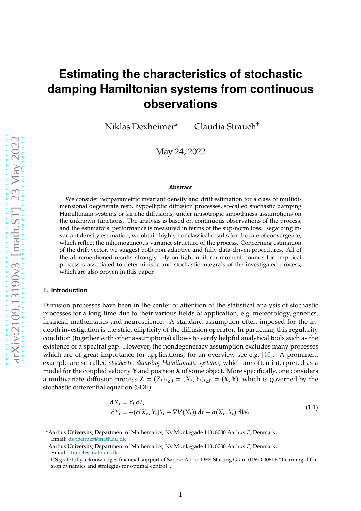# **Estimating the characteristics of stochastic damping Hamiltonian systems from continuous observations**

Niklas Dexheimer<sup>∗</sup> Claudia Strauch†

May 24, 2022

#### **Abstract**

We consider nonparametric invariant density and drift estimation for a class of multidimensional degenerate resp. hypoelliptic diffusion processes, so-called stochastic damping Hamiltonian systems or kinetic diffusions, under anisotropic smoothness assumptions on the unknown functions. The analysis is based on continuous observations of the process, and the estimators' performance is measured in terms of the sup-norm loss. Regarding invariant density estimation, we obtain highly nonclassical results for the rate of convergence, which reflect the inhomogeneous variance structure of the process. Concerning estimation of the drift vector, we suggest both non-adaptive and fully data-driven procedures. All of the aforementioned results strongly rely on tight uniform moment bounds for empirical processes associated to deterministic and stochastic integrals of the investigated process, which are also proven in this paper.

#### **1. Introduction**

Diffusion processes have been in the center of attention of the statistical analysis of stochastic processes for a long time due to their various fields of application, e.g. meteorology, genetics, financial mathematics and neuroscience. A standard assumption often imposed for the indepth investigation is the strict ellipticity of the diffusion operator. In particular, this regularity condition (together with other assumptions) allows to verify helpful analytical tools such as the existence of a spectral gap. However, the nondegeneracy assumption excludes many processes which are of great importance for applications, for an overview see e.g. [\[10](#page-35-0)]. A prominent example are so-called *stochastic damping Hamiltonian systems*, which are often interpreted as a model for the coupled velocity **Y** and position **X** of some object. More specifically, one considers a multivariate diffusion process  $\mathbf{Z} = (Z_t)_{t \geq 0} = (X_t, Y_t)_{t \geq 0} = (\mathbf{X}, \mathbf{Y})$ , which is governed by the stochastic differential equation (SDE)

<span id="page-0-0"></span>
$$
dX_t = Y_t dt,dY_t = -(c(X_t, Y_t)Y_t + \nabla V(X_t)) dt + \sigma(X_t, Y_t) dW_t.
$$
\n(1.1)

<sup>∗</sup>Aarhus University, Department of Mathematics, Ny Munkegade 118, 8000 Aarhus C, Denmark. Email: [dexheimer@math.au.dk](mailto:dexheimer@math.au.dk)

<sup>†</sup>Aarhus University, Department of Mathematics, Ny Munkegade 118, 8000 Aarhus C, Denmark. Email: [strauch@math.au.dk](mailto:strauch@math.au.dk)

CS gratefully acknowledges financial support of Sapere Aude: DFF-Starting Grant 0165-00061B "Learning diffusion dynamics and strategies for optimal control".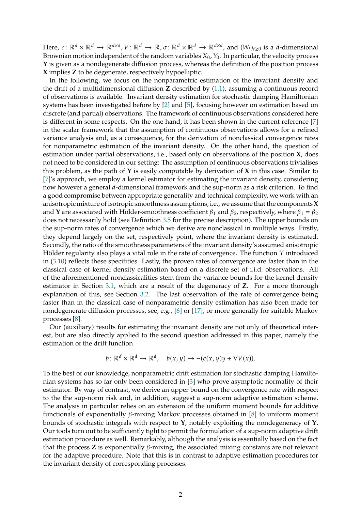Here,  $c \colon \mathbb{R}^d \times \mathbb{R}^d \to \mathbb{R}^{d \times d}$ ,  $V \colon \mathbb{R}^d \to \mathbb{R}$ ,  $\sigma \colon \mathbb{R}^d \times \mathbb{R}^d \to \mathbb{R}^{d \times d}$ , and  $(W_t)_{t \geq 0}$  is a *d*-dimensional Brownian motion independent of the random variables  $X_0$ ,  $Y_0$ . In particular, the velocity process **Y** is given as a nondegenerate diffusion process, whereas the definition of the position process **X** implies **Z** to be degenerate, respectively hypoelliptic.

In the following, we focus on the nonparametric estimation of the invariant density and the drift of a multidimensional diffusion **Z** described by [\(1.1\)](#page-0-0), assuming a continuous record of observations is available. Invariant density estimation for stochastic damping Hamiltonian systems has been investigated before by [\[2](#page-35-1)] and [\[5\]](#page-35-2), focusing however on estimation based on discrete (and partial) observations. The framework of continuous observations considered here is different in some respects. On the one hand, it has been shown in the current reference [\[7\]](#page-35-3) in the scalar framework that the assumption of continuous observations allows for a refined variance analysis and, as a consequence, for the derivation of nonclassical convergence rates for nonparametric estimation of the invariant density. On the other hand, the question of estimation under partial observations, i.e., based only on observations of the position **X**, does not need to be considered in our setting: The assumption of continuous observations trivialises this problem, as the path of **Y** is easily computable by derivation of **X** in this case. Similar to [\[7\]](#page-35-3)'s approach, we employ a kernel estimator for estimating the invariant density, considering now however a general d-dimensional framework and the sup-norm as a risk criterion. To find a good compromise between appropriate generality and technical complexity, we work with an anisotropic mixture of isotropic smoothness assumptions, i.e., we assume that the components**X** and **Y** are associated with Hölder-smoothness coefficient  $\beta_1$  and  $\beta_2$ , respectively, where  $\beta_1 = \beta_2$ does not necessarily hold (see Definition [3.5](#page-6-0) for the precise description). The upper bounds on the sup-norm rates of convergence which we derive are nonclassical in multiple ways. Firstly, they depend largely on the set, respectively point, where the invariant density is estimated. Secondly, the ratio of the smoothness parameters of the invariant density's assumed anisotropic Hölder regularity also plays a vital role in the rate of convergence. The function Υ introduced in [\(3.10\)](#page-7-0) reflects these specifities. Lastly, the proven rates of convergence are faster than in the classical case of kernel density estimation based on a discrete set of i.i.d. observations. All of the aforementioned nonclassicalities stem from the variance bounds for the kernel density estimator in Section [3.1,](#page-4-0) which are a result of the degeneracy of **Z**. For a more thorough explanation of this, see Section [3.2.](#page-5-0) The last observation of the rate of convergence being faster than in the classical case of nonparametric density estimation has also been made for nondegenerate diffusion processes, see, e.g., [\[6](#page-35-4)] or [\[17\]](#page-36-0), or more generally for suitable Markov processes [\[8\]](#page-35-5).

Our (auxiliary) results for estimating the invariant density are not only of theoretical interest, but are also directly applied to the second question addressed in this paper, namely the estimation of the drift function

$$
b: \mathbb{R}^d \times \mathbb{R}^d \to \mathbb{R}^d, \quad b(x, y) \mapsto -(c(x, y)y + \nabla V(x)).
$$

To the best of our knowledge, nonparametric drift estimation for stochastic damping Hamiltonian systems has so far only been considered in [\[3](#page-35-6)] who prove asymptotic normality of their estimator. By way of contrast, we derive an upper bound on the convergence rate with respect to the the sup-norm risk and, in addition, suggest a sup-norm adaptive estimation scheme. The analysis in particular relies on an extension of the uniform moment bounds for additive functionals of exponentially  $\beta$ -mixing Markov processes obtained in [\[8\]](#page-35-5) to uniform moment bounds of stochastic integrals with respect to **Y**, notably exploiting the nondegeneracy of **Y**. Our tools turn out to be sufficiently tight to permit the formulation of a sup-norm adaptive drift estimation procedure as well. Remarkably, although the analysis is essentially based on the fact that the process  $Z$  is exponentially  $\beta$ -mixing, the associated mixing constants are not relevant for the adaptive procedure. Note that this is in contrast to adaptive estimation procedures for the invariant density of corresponding processes.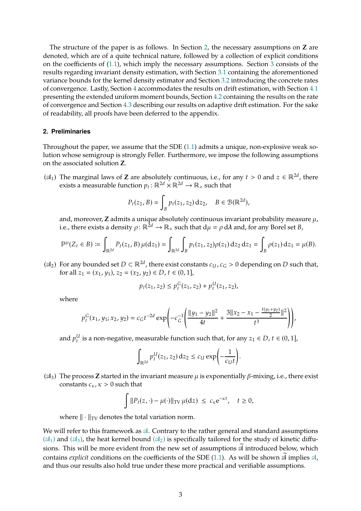The structure of the paper is as follows. In Section [2,](#page-2-0) the necessary assumptions on **Z** are denoted, which are of a quite technical nature, followed by a collection of explicit conditions on the coefficients of [\(1.1\)](#page-0-0), which imply the necessary assumptions. Section [3](#page-4-1) consists of the results regarding invariant density estimation, with Section [3.1](#page-4-0) containing the aforementioned variance bounds for the kernel density estimator and Section [3.2](#page-5-0) introducing the concrete rates of convergence. Lastly, Section [4](#page-9-0) accommodates the results on drift estimation, with Section [4.1](#page-10-0) presenting the extended uniform moment bounds, Section [4.2](#page-12-0) containing the results on the rate of convergence and Section [4.3](#page-13-0) describing our results on adaptive drift estimation. For the sake of readability, all proofs have been deferred to the appendix.

## <span id="page-2-0"></span>**2. Preliminaries**

Throughout the paper, we assume that the SDE [\(1.1\)](#page-0-0) admits a unique, non-explosive weak solution whose semigroup is strongly Feller. Furthermore, we impose the following assumptions on the associated solution **Z**.

<span id="page-2-1"></span>( $\mathcal{A}_1$ ) The marginal laws of **Z** are absolutely continuous, i.e., for any  $t > 0$  and  $z \in \mathbb{R}^{2d}$ , there exists a measurable function  $p_t: \mathbb{R}^{2d} \times \mathbb{R}^{2d} \to \mathbb{R}_+$  such that

$$
P_t(z_1, B) = \int_B p_t(z_1, z_2) dz_2, \quad B \in \mathcal{B}(\mathbb{R}^{2d}),
$$

and, moreover,  $Z$  admits a unique absolutely continuous invariant probability measure  $\mu$ , i.e., there exists a density  $\rho: \mathbb{R}^{2d} \to \mathbb{R}_+$  such that  $d\mu = \rho d\lambda$  and, for any Borel set *B*,

$$
\mathbb{P}^{\mu}(Z_t \in B) \coloneqq \int_{\mathbb{R}^{2d}} P_t(z_1, B) \, \mu(\mathrm{d}z_1) = \int_{\mathbb{R}^{2d}} \int_B p_t(z_1, z_2) \rho(z_1) \, \mathrm{d}z_2 \, \mathrm{d}z_1 = \int_B \rho(z_1) \, \mathrm{d}z_1 = \mu(B).
$$

<span id="page-2-3"></span>( $\mathfrak{A}_2$ ) For any bounded set  $D \subset \mathbb{R}^{2d}$ , there exist constants  $c_U$ ,  $c_G > 0$  depending on  $D$  such that, for all  $z_1 = (x_1, y_1), z_2 = (x_2, y_2) \in D$ ,  $t \in (0, 1]$ ,

$$
p_t(z_1, z_2) \le p_t^G(z_1, z_2) + p_t^U(z_1, z_2),
$$

where

$$
p_t^G(x_1, y_1; x_2, y_2) = c_G t^{-2d} \exp\left(-c_G^{-1}\left(\frac{\|y_1 - y_2\|^2}{4t} + \frac{3\|x_2 - x_1 - \frac{t(y_1 + y_2)}{2}\|^2}{t^3}\right)\right),
$$

and  $p_t^U$  is a non-negative, measurable function such that, for any  $z_1 \in D$ ,  $t \in (0,1]$ ,

$$
\int_{\mathbb{R}^{2d}} p_t^U(z_1, z_2) dz_2 \le c_U \exp\left(-\frac{1}{c_U t}\right).
$$

<span id="page-2-2"></span>( $\mathcal{A}_3$ ) The process **Z** started in the invariant measure  $\mu$  is exponentially  $\beta$ -mixing, i.e., there exist constants  $c_{\kappa}$ ,  $\kappa > 0$  such that

$$
\int \|P_t(z,\cdot) - \mu(\cdot)\|_{TV} \, \mu(\mathrm{d}z) \ \leq \ c_{\kappa} \mathrm{e}^{-\kappa t}, \quad t \geq 0,
$$

where  $\|\cdot\|_{TV}$  denotes the total variation norm.

We will refer to this framework as  $A$ . Contrary to the rather general and standard assumptions  $(\mathfrak{A}_1)$  and  $(\mathfrak{A}_3)$ , the heat kernel bound  $(\mathfrak{A}_2)$  is specifically tailored for the study of kinetic diffusions. This will be more evident from the new set of assumptions  $\widetilde{\mathfrak{A}}$  introduced below, which contains *explicit* conditions on the coefficients of the SDE [\(1.1\)](#page-0-0). As will be shown  $\widetilde{\mathfrak{A}}$  implies  $\mathfrak{A}$ , and thus our results also hold true under these more practical and verifiable assumptions.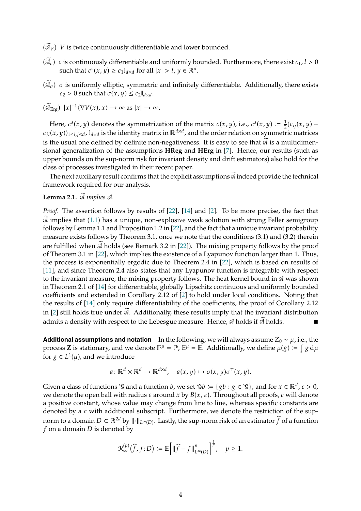$(\widetilde{\mathfrak{A}}_V)$  V is twice continuously differentiable and lower bounded.

- $(\vec{A}_c)$  c is continuously differentiable and uniformly bounded. Furthermore, there exist  $c_1$ ,  $l > 0$ such that  $c^s(x, y) \ge c_1 \mathbb{I}_{d \times d}$  for all  $|x| > l$ ,  $y \in \mathbb{R}^d$ .
- $(\widetilde{A}_{\sigma})$   $\sigma$  is uniformly elliptic, symmetric and infinitely differentiable. Additionally, there exists  $c_2 > 0$  such that  $\sigma(x, y) \leq c_2 \mathbb{I}_{d \times d}$ .

$$
(\widetilde{\mathfrak{A}}_{\mathrm{Erg}}) \ \vert x \vert^{-1} \langle \nabla V(x), x \rangle \to \infty \text{ as } \vert x \vert \to \infty.
$$

Here,  $c^{s}(x, y)$  denotes the symmetrization of the matrix  $c(x, y)$ , i.e.,  $c^{s}(x, y) \coloneqq \frac{1}{2}(c_{ij}(x, y) + c_{ij}(x, y)$  $(c_{ji}(x,y))_{1\leq i,j\leq d}$ ,  $\mathbb{I}_{d\times d}$  is the identity matrix in  $\mathbb{R}^{d\times d}$ , and the order relation on symmetric matrices is the usual one defined by definite non-negativeness. It is easy to see that  $\widetilde{\mathfrak{A}}$  is a multidimensional generalization of the assumptions **HReg** and **HErg** in [\[7](#page-35-3)]. Hence, our results (such as upper bounds on the sup-norm risk for invariant density and drift estimators) also hold for the class of processes investigated in their recent paper.

The next auxiliary result confirms that the explicit assumptions  $\widetilde{\mathfrak{A}}$  indeed provide the technical framework required for our analysis.

# **Lemma 2.1.**  $\widetilde{\mathcal{A}}$  implies  $\mathcal{A}$ *.*

*Proof.* The assertion follows by results of [\[22](#page-36-1)], [\[14\]](#page-36-2) and [\[2](#page-35-1)]. To be more precise, the fact that  $\mathcal A$  implies that [\(1.1\)](#page-0-0) has a unique, non-explosive weak solution with strong Feller semigroup follows by Lemma 1.1 and Proposition 1.2 in [\[22\]](#page-36-1), and the fact that a unique invariant probability measure exists follows by Theorem 3.1, once we note that the conditions (3.1) and (3.2) therein are fulfilled when  $\mathfrak A$  holds (see Remark 3.2 in [\[22](#page-36-1)]). The mixing property follows by the proof of Theorem 3.1 in [\[22\]](#page-36-1), which implies the existence of a Lyapunov function larger than 1. Thus, the process is exponentially ergodic due to Theorem 2.4 in [\[22\]](#page-36-1), which is based on results of [\[11](#page-36-3)], and since Theorem 2.4 also states that any Lyapunov function is integrable with respect to the invariant measure, the mixing property follows. The heat kernel bound in  $\mathfrak A$  was shown in Theorem 2.1 of [\[14\]](#page-36-2) for differentiable, globally Lipschitz continuous and uniformly bounded coefficients and extended in Corollary 2.12 of [\[2\]](#page-35-1) to hold under local conditions. Noting that the results of [\[14\]](#page-36-2) only require differentiability of the coefficients, the proof of Corollary 2.12 in [\[2](#page-35-1)] still holds true under  $\mathcal{A}$ . Additionally, these results imply that the invariant distribution admits a density with respect to the Lebesgue measure. Hence,  $\mathcal A$  holds if  $\mathcal A$  holds.

**Additional assumptions and notation** In the following, we will always assume  $Z_0 \sim \mu$ , i.e., the process **Z** is stationary, and we denote  $\mathbb{P}^{\mu} = \mathbb{P}$ ,  $\mathbb{E}^{\mu} = \mathbb{E}$ . Additionally, we define  $\mu(g) := \int g d\mu$ for  $g \in L^1(\mu)$ , and we introduce

$$
a: \mathbb{R}^d \times \mathbb{R}^d \to \mathbb{R}^{d \times d}
$$
,  $a(x, y) \mapsto \sigma(x, y)\sigma^{\top}(x, y)$ .

Given a class of functions  $\mathscr G$  and a function  $b$ , we set  $\mathscr{C}b := \{gb : g \in \mathscr{C}\}$ , and for  $x \in \mathbb{R}^d$ ,  $\varepsilon > 0$ , we denote the open ball with radius  $\varepsilon$  around  $x$  by  $B(x, \varepsilon)$ . Throughout all proofs,  $c$  will denote a positive constant, whose value may change from line to line, whereas specific constants are denoted by a  $c$  with additional subscript. Furthermore, we denote the restriction of the supnorm to a domain  $D \subset \mathbb{R}^{2d}$  by  $\|\cdot\|_{L^\infty(D)}$ . Lastly, the sup-norm risk of an estimator  $\widehat{f}$  of a function  $f$  on a domain  $D$  is denoted by

$$
\mathcal{R}_{\infty}^{(p)}(\widehat{f},f;D) \coloneqq \mathbb{E}\Big[\|\widehat{f} - f\|_{L^{\infty}(D)}^p\Big]^{\frac{1}{p}}, \quad p \ge 1.
$$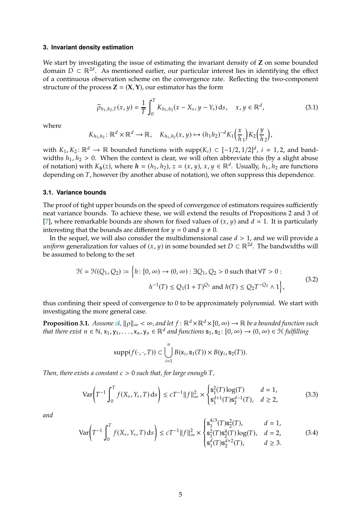#### <span id="page-4-1"></span>**3. Invariant density estimation**

We start by investigating the issue of estimating the invariant density of **Z** on some bounded domain  $D \subset \mathbb{R}^{2d}$ . As mentioned earlier, our particular interest lies in identifying the effect of a continuous observation scheme on the convergence rate. Reflecting the two-component structure of the process  $\mathbf{Z} = (\mathbf{X}, \mathbf{Y})$ , our estimator has the form

<span id="page-4-3"></span>
$$
\widehat{\rho}_{h_1, h_2, T}(x, y) = \frac{1}{T} \int_0^T K_{h_1, h_2}(x - X_s, y - Y_s) \, ds, \quad x, y \in \mathbb{R}^d,
$$
\n(3.1)

where

$$
K_{h_1,h_2}\colon\mathbb{R}^d\times\mathbb{R}^d\to\mathbb{R},\quad K_{h_1,h_2}(x,y)\mapsto (h_1h_2)^{-d}K_1\Big(\frac{x}{h_1}\Big)K_2\Big(\frac{y}{h_2}\Big),
$$

with  $K_1, K_2$ :  $\mathbb{R}^d \to \mathbb{R}$  bounded functions with supp $(K_i) \subset [-1/2, 1/2]^d$ ,  $i = 1, 2$ , and bandwidths  $h_1, h_2 > 0$ . When the context is clear, we will often abbreviate this (by a slight abuse of notation) with  $K_h(z)$ , where  $h = (h_1, h_2)$ ,  $z = (x, y)$ ,  $x, y \in \mathbb{R}^d$ . Usually,  $h_1, h_2$  are functions depending on  $T$ , however (by another abuse of notation), we often suppress this dependence.

#### <span id="page-4-0"></span>**3.1. Variance bounds**

The proof of tight upper bounds on the speed of convergence of estimators requires sufficiently neat variance bounds. To achieve these, we will extend the results of Propositions 2 and 3 of [\[7\]](#page-35-3), where remarkable bounds are shown for fixed values of  $(x, y)$  and  $d = 1$ . It is particularly interesting that the bounds are different for  $y = 0$  and  $y \neq 0$ .

In the sequel, we will also consider the multidimensional case  $d > 1$ , and we will provide a *uniform* generalization for values of  $(x, y)$  in some bounded set  $D \subset \mathbb{R}^{2d}$ . The bandwidths will be assumed to belong to the set

$$
\mathcal{H} = \mathcal{H}(Q_1, Q_2) \coloneqq \left\{ h \colon [0, \infty) \to (0, \infty) : \exists Q_1, Q_2 > 0 \text{ such that } \forall T > 0 : h^{-1}(T) \le Q_1(1+T)^{Q_1} \text{ and } h(T) \le Q_2 T^{-Q_2} \wedge 1 \right\},\tag{3.2}
$$

thus confining their speed of convergence to 0 to be approximately polynomial. We start with investigating the more general case.

<span id="page-4-2"></span>**Proposition 3.1.** *Assume*  $\mathcal{A}, ||\rho||_{\infty} < \infty$ , and let  $f : \mathbb{R}^d \times \mathbb{R}^d \times [0, \infty) \to \mathbb{R}$  be a bounded function such *that there exist*  $n \in \mathbb{N}$ ,  $x_1$ ,  $y_1$ , . . . ,  $x_n$ ,  $y_n \in \mathbb{R}^d$  and functions  $s_1$ ,  $s_2$ :  $[0, \infty) \to (0, \infty) \in \mathcal{H}$  fulfilling

$$
\mathrm{supp}(f(\cdot,\cdot,T))\subset \bigcup_{i=1}^n B(\mathsf{x}_i,\mathsf{s}_1(T))\times B(\mathsf{y}_i,\mathsf{s}_2(T)).
$$

*Then, there exists a constant*  $c > 0$  *such that, for large enough*  $T$ *,* 

<span id="page-4-4"></span>
$$
\text{Var}\bigg(T^{-1}\int_0^T f(X_s, Y_s, T) \, ds\bigg) \le c T^{-1} \|f\|_{\infty}^2 \times \begin{cases} \mathbf{s}_1^2(T) \log(T) & d = 1, \\ \mathbf{s}_1^{d+1}(T) \mathbf{s}_2^{d-1}(T), & d \ge 2, \end{cases} \tag{3.3}
$$

*and*

<span id="page-4-5"></span>
$$
\text{Var}\bigg(T^{-1}\int_0^T f(X_s, Y_s, T) \, ds\bigg) \le cT^{-1} ||f||_\infty^2 \times \begin{cases} \mathbf{s}_1^{4/3}(T)\mathbf{s}_2^2(T), & d = 1, \\ \mathbf{s}_1^2(T)\mathbf{s}_2^4(T) \log(T), & d = 2, \\ \mathbf{s}_1^d(T)\mathbf{s}_2^{d+2}(T), & d \ge 3. \end{cases} \tag{3.4}
$$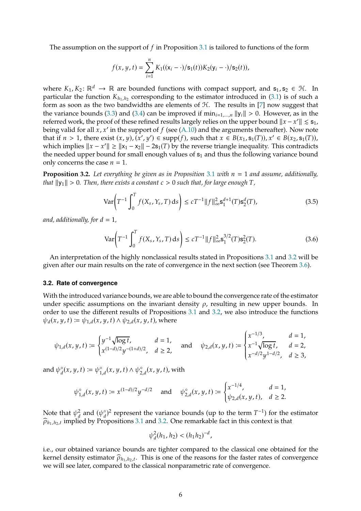The assumption on the support of  $f$  in Proposition [3.1](#page-4-2) is tailored to functions of the form

$$
f(x, y, t) = \sum_{i=1}^{n} K_1((x_i - \cdot)/s_1(t))K_2(y_i - \cdot)/s_2(t)),
$$

where  $K_1, K_2: \mathbb{R}^d \to \mathbb{R}$  are bounded functions with compact support, and  $s_1, s_2 \in \mathcal{H}$ . In particular the function  $K_{h_1,h_2}$  corresponding to the estimator introduced in [\(3.1\)](#page-4-3) is of such a form as soon as the two bandwidths are elements of  $H$ . The results in [\[7](#page-35-3)] now suggest that the variance bounds [\(3.3\)](#page-4-4) and [\(3.4\)](#page-4-5) can be improved if  $\min_{i=1,\ldots,n} ||y_i|| > 0$ . However, as in the referred work, the proof of these refined results largely relies on the upper bound  $||x - x'|| \leq s_1$ , being valid for all  $x$ ,  $x'$  in the support of  $f$  (see [\(A.10\)](#page-20-0) and the arguments thereafter). Now note that if  $n > 1$ , there exist  $(x, y), (x', y') \in \text{supp}(f)$ , such that  $x \in B(x_1, s_1(T)), x' \in B(x_2, s_1(T)),$ which implies  $||x - x'|| \ge ||x_1 - x_2|| - 2s_1(T)$  by the reverse triangle inequality. This contradicts the needed upper bound for small enough values of  $s<sub>1</sub>$  and thus the following variance bound only concerns the case  $n = 1$ .

<span id="page-5-1"></span>**Proposition 3.2.** Let everything be given as in Proposition [3.1](#page-4-2) with  $n = 1$  and assume, additionally, *that*  $||y_1|| > 0$ . Then, there exists a constant  $c > 0$  such that, for large enough  $T$ *,* 

<span id="page-5-2"></span>
$$
\text{Var}\bigg(T^{-1}\int_0^T f(X_s, Y_s, T) \, \text{d} s\bigg) \le c T^{-1} \|f\|_{\infty}^2 \mathbf{s}_1^{d+1}(T) \mathbf{s}_2^d(T),\tag{3.5}
$$

*and, additionally, for*  $d = 1$ ,

<span id="page-5-3"></span>
$$
\text{Var}\bigg(T^{-1}\int_0^T f(X_s, Y_s, T) \, ds\bigg) \le c \, T^{-1} \|f\|_{\infty}^2 \mathbf{s}_1^{3/2}(T) \mathbf{s}_2^2(T). \tag{3.6}
$$

An interpretation of the highly nonclassical results stated in Propositions [3.1](#page-4-2) and [3.2](#page-5-1) will be given after our main results on the rate of convergence in the next section (see Theorem [3.6\)](#page-7-1).

#### <span id="page-5-0"></span>**3.2. Rate of convergence**

With the introduced variance bounds, we are able to bound the convergence rate of the estimator under specific assumptions on the invariant density  $\rho$ , resulting in new upper bounds. In order to use the different results of Propositions [3.1](#page-4-2) and [3.2,](#page-5-1) we also introduce the functions  $\psi_d(x, y, t) \coloneqq \psi_{1, d}(x, y, t) \wedge \psi_{2, d}(x, y, t)$ , where

$$
\psi_{1,d}(x,y,t) := \begin{cases} y^{-1} \sqrt{\log t}, & d = 1, \\ x^{(1-d)/2} y^{-(1+d)/2}, & d \ge 2, \end{cases} \text{ and } \psi_{2,d}(x,y,t) := \begin{cases} x^{-1/3}, & d = 1, \\ x^{-1} \sqrt{\log t}, & d = 2, \\ x^{-d/2} y^{1-d/2}, & d \ge 3, \end{cases}
$$

and  $\psi_d^{\circ}(x, y, t) \coloneqq \psi_{1, d}^{\circ}(x, y, t) \wedge \psi_{2, d}^{\circ}(x, y, t)$ , with

$$
\psi_{1,d}^{\circ}(x,y,t) \coloneqq x^{(1-d)/2}y^{-d/2} \quad \text{ and } \quad \psi_{2,d}^{\circ}(x,y,t) \coloneqq \begin{cases} x^{-1/4}, & d=1, \\ \psi_{2,d}(x,y,t), & d\geq 2. \end{cases}
$$

Note that  $\psi_d^2$  $\frac{2}{d}$  and  $(\psi_d^{\circ})^2$  represent the variance bounds (up to the term  $T^{-1}$ ) for the estimator  $\widehat{\rho}_{h_1,h_2,t}$  implied by Propositions [3.1](#page-4-2) and [3.2.](#page-5-1) One remarkable fact in this context is that

$$
\psi_d^2(h_1, h_2) < (h_1 h_2)^{-d},
$$

i.e., our obtained variance bounds are tighter compared to the classical one obtained for the kernel density estimator  $\hat{\rho}_{h_1,h_2,t}$ . This is one of the reasons for the faster rates of convergence we will see later, compared to the classical nonparametric rate of convergence.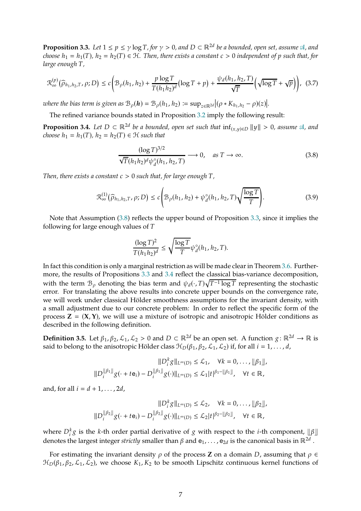<span id="page-6-2"></span>**Proposition 3.3.** *Let*  $1 \le p \le \gamma \log T$ , for  $\gamma > 0$ , and  $D \subset \mathbb{R}^{2d}$  be a bounded, open set, assume  $\mathfrak{A}$ , and *choose*  $h_1 = h_1(T)$ ,  $h_2 = h_2(T) \in H$ . Then, there exists a constant  $c > 0$  independent of p such that, for *large enough*  $T$ *,* 

<span id="page-6-4"></span>
$$
\mathcal{R}_{\infty}^{(p)}\big(\widehat{\rho}_{h_1,h_2,T},\rho;D\big) \le c\bigg(\mathcal{B}_{\rho}(h_1,h_2)+\frac{p\log T}{T(h_1h_2)^d}\big(\log T+p\big)+\frac{\psi_d(h_1,h_2,T)}{\sqrt{T}}\bigg(\sqrt{\log T}+\sqrt{p}\bigg)\bigg),\tag{3.7}
$$

where the bias term is given as  $\mathcal{B}_{\rho}(\mathbf{h}) = \mathcal{B}_{\rho}(h_1, h_2) \coloneqq \sup_{z \in \mathbb{R}^{2d}} |(\rho * K_{h_1, h_2} - \rho)(z)|$ .

The refined variance bounds stated in Proposition [3.2](#page-5-1) imply the following result:

<span id="page-6-3"></span>**Proposition 3.4.** *Let*  $D \subset \mathbb{R}^{2d}$  *be a bounded, open set such that*  $\inf_{(x,y)\in D} ||y|| > 0$ *, assume*  $\mathcal{A}$ *, and choose*  $h_1 = h_1(T)$ ,  $h_2 = h_2(T) \in \mathcal{H}$  *such that* 

<span id="page-6-1"></span>
$$
\frac{(\log T)^{3/2}}{\sqrt{T}(h_1 h_2)^d \psi_d^{\circ}(h_1, h_2, T)} \longrightarrow 0, \quad \text{as } T \to \infty.
$$
 (3.8)

*Then, there exists a constant*  $c > 0$  *such that, for large enough*  $T$ *,* 

<span id="page-6-5"></span>
$$
\mathcal{R}_{\infty}^{(1)}\big(\widehat{\rho}_{h_1,h_2,T},\rho;D\big) \le c \Bigg(\mathcal{B}_{\rho}(h_1,h_2) + \psi_d^{\circ}(h_1,h_2,T)\sqrt{\frac{\log T}{T}}\Bigg). \tag{3.9}
$$

Note that Assumption [\(3.8\)](#page-6-1) reflects the upper bound of Proposition [3.3,](#page-6-2) since it implies the following for large enough values of  $T$ 

$$
\frac{(\log T)^2}{T(h_1h_2)^d} \le \sqrt{\frac{\log T}{T}} \psi_d^{\circ}(h_1, h_2, T).
$$

In fact this condition is only a marginal restriction as will be made clear in Theorem [3.6.](#page-7-1) Furthermore, the results of Propositions [3.3](#page-6-2) and [3.4](#page-6-3) reflect the classical bias-variance decomposition, with the term  $\mathcal{B}_{\rho}$  denoting the bias term and  $\psi_d(\cdot, T)\sqrt{T^{-1}\log T}$  representing the stochastic error. For translating the above results into concrete upper bounds on the convergence rate, we will work under classical Hölder smoothness assumptions for the invariant density, with a small adjustment due to our concrete problem: In order to reflect the specific form of the process  $Z = (X, Y)$ , we will use a mixture of isotropic and anisotropic Hölder conditions as described in the following definition.

<span id="page-6-0"></span>**Definition 3.5.** Let  $\beta_1$ ,  $\beta_2$ ,  $\mathcal{L}_1$ ,  $\mathcal{L}_2 > 0$  and  $D \subset \mathbb{R}^{2d}$  be an open set. A function  $g: \mathbb{R}^{2d} \to \mathbb{R}$  is said to belong to the anisotropic Hölder class  $\mathcal{H}_D(\beta_1, \beta_2, \mathcal{L}_1, \mathcal{L}_2)$  if, for all  $i = 1, \ldots, d$ ,

$$
||D_i^k g||_{L^{\infty}(D)} \leq \mathcal{L}_1, \quad \forall k = 0, ..., ||\beta_1||,
$$
  

$$
||D_i^{||\beta_1||} g(\cdot + t e_i) - D_i^{||\beta_1||} g(\cdot)||_{L^{\infty}(D)} \leq \mathcal{L}_1 |t|^{\beta_1 - ||\beta_1||}, \quad \forall t \in \mathbb{R},
$$

and, for all  $i = d + 1, \ldots, 2d$ ,

$$
||D_i^k g||_{L^{\infty}(D)} \leq \mathcal{L}_2, \quad \forall k = 0, ..., ||\beta_2||,
$$
  

$$
||D_i^{||\beta_2||} g(\cdot + t e_i) - D_i^{||\beta_2||} g(\cdot) ||_{L^{\infty}(D)} \leq \mathcal{L}_2 |t|^{\beta_2 - ||\beta_2||}, \quad \forall t \in \mathbb{R},
$$

where  $D_i^k g$  is the *k*-th order partial derivative of  $g$  with respect to the *i*-th component,  $\lfloor \beta \rfloor \rfloor$ denotes the largest integer *strictly* smaller than  $\beta$  and  ${\tt e}_1, \ldots$  ,  ${\tt e}_{2d}$  is the canonical basis in  $\mathbb{R}^{2d}$  .

For estimating the invariant density  $\rho$  of the process **Z** on a domain *D*, assuming that  $\rho \in$  $\mathcal{H}_D(\beta_1, \beta_2, \mathcal{L}_1, \mathcal{L}_2)$ , we choose  $K_1, K_2$  to be smooth Lipschitz continuous kernel functions of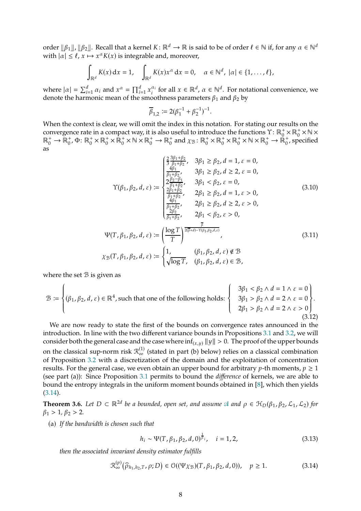order  $\|\beta_1\|$ ,  $\|\beta_2\|$ . Recall that a kernel  $K: \mathbb{R}^d \to \mathbb{R}$  is said to be of order  $\ell \in \mathbb{N}$  if, for any  $\alpha \in \mathbb{N}^d$ with  $|\alpha| \leq \ell$ ,  $x \mapsto x^{\alpha} K(x)$  is integrable and, moreover,

$$
\int_{\mathbb{R}^d} K(x) dx = 1, \quad \int_{\mathbb{R}^d} K(x) x^{\alpha} dx = 0, \quad \alpha \in \mathbb{N}^d, |\alpha| \in \{1, \dots, \ell\},
$$

where  $|\alpha| = \sum_{i=1}^{d} \alpha_i$  and  $x^{\alpha} = \prod_{i=1}^{d} x_i^{\alpha_i}$  $\alpha_i^{\alpha_i}$  for all  $x \in \mathbb{R}^d$ ,  $\alpha \in \mathbb{N}^d$ . For notational convenience, we denote the harmonic mean of the smoothness parameters  $\beta_1$  and  $\beta_2$  by

<span id="page-7-3"></span><span id="page-7-0"></span>
$$
\overline{\beta}_{1,2} := 2(\beta_1^{-1} + \beta_2^{-1})^{-1}.
$$

When the context is clear, we will omit the index in this notation. For stating our results on the convergence rate in a compact way, it is also useful to introduce the functions  $\Upsilon\colon\mathbb{R}^+_0\times\mathbb{R}^+_0\times\mathbb{N}\times\mathbb{R}^+_0$  $\mathbb{R}_{0}^{+} \to \mathbb{R}_{0}^{+}, \Phi: \mathbb{R}_{0}^{+} \times \mathbb{R}_{0}^{+} \times \mathbb{R} \times \mathbb{R}_{0}^{+} \to \mathbb{R}_{0}^{+}$  and  $\chi_{\mathcal{B}}: \mathbb{R}_{0}^{+} \times \mathbb{R}_{0}^{+} \times \mathbb{R}_{0}^{+} \times \mathbb{R} \times \mathbb{R}_{0}^{+} \to \mathbb{R}_{0}^{+}$ , specified as

$$
\gamma(\beta_1, \beta_2, d, \varepsilon) := \begin{cases}\n\frac{2}{3} \frac{3\beta_1 + \beta_2}{\beta_1 + \beta_2}, & 3\beta_1 \ge \beta_2, d = 1, \varepsilon = 0, \\
\frac{4\beta_1}{\beta_1 + \beta_2}, & 3\beta_1 \ge \beta_2, d \ge 2, \varepsilon = 0, \\
\frac{2\beta_1 + \beta_2}{\beta_1 + \beta_2}, & 3\beta_1 < \beta_2, \varepsilon = 0, \\
\frac{2\beta_1 + \beta_2}{\beta_1 + \beta_2}, & 2\beta_1 \ge \beta_2, d = 1, \varepsilon > 0, \\
\frac{4\beta_1}{\beta_1 + \beta_2}, & 2\beta_1 \ge \beta_2, d \ge 2, \varepsilon > 0, \\
\frac{2\beta_2}{\beta_1 + \beta_2}, & 2\beta_1 < \beta_2, \varepsilon > 0,\n\end{cases}
$$
\n
$$
\Psi(T, \beta_1, \beta_2, d, \varepsilon) := \left(\frac{\log T}{T}\right)^{\frac{\overline{\beta}}{2(\overline{\beta} + d) - \Upsilon(\beta_1, \beta_2, d, \varepsilon)}}\tag{3.11}
$$
\n
$$
\chi_{\mathcal{B}}(T, \beta_1, \beta_2, d, \varepsilon) := \begin{cases}\n1, & (\beta_1, \beta_2, d, \varepsilon) \notin \mathcal{B} \\
\sqrt{\log T}, & (\beta_1, \beta_2, d, \varepsilon) \in \mathcal{B},\n\end{cases}
$$

where the set  $B$  is given as

<span id="page-7-4"></span>
$$
\mathcal{B} := \begin{cases} (\beta_1, \beta_2, d, \varepsilon) \in \mathbb{R}^4, \text{ such that one of the following holds:} \\ (\beta_1, \beta_2, d, \varepsilon) \in \mathbb{R}^4, \\ 2\beta_1 > \beta_2 \land d = 2 \land \varepsilon = 0 \\ 2\beta_1 > \beta_2 \land d = 2 \land \varepsilon > 0 \end{cases} . \tag{3.12}
$$

We are now ready to state the first of the bounds on convergence rates announced in the introduction. In line with the two different variance bounds in Propositions [3.1](#page-4-2) and [3.2,](#page-5-1) we will consider both the general case and the case where  $\inf_{(x,u)} ||y|| > 0$ . The proof of the upper bounds on the classical sup-norm risk  $\mathcal{R}_{\infty}^{(1)}$  (stated in part (b) below) relies on a classical combination of Proposition [3.2](#page-5-1) with a discretization of the domain and the exploitation of concentration results. For the general case, we even obtain an upper bound for arbitrary *p*-th moments,  $p \ge 1$ (see part (a)): Since Proposition [3.1](#page-4-2) permits to bound the *difference* of kernels, we are able to bound the entropy integrals in the uniform moment bounds obtained in [\[8](#page-35-5)], which then yields [\(3.14\)](#page-7-2).

<span id="page-7-1"></span>**Theorem 3.6.** Let  $D \subset \mathbb{R}^{2d}$  be a bounded, open set, and assume  $\mathcal{A}$  and  $\rho \in \mathcal{H}_D(\beta_1, \beta_2, \mathcal{L}_1, \mathcal{L}_2)$  for  $\beta_1 > 1, \beta_2 > 2.$ 

(a) *If the bandwidth is chosen such that*

<span id="page-7-5"></span>
$$
h_i \sim \Psi(T, \beta_1, \beta_2, d, 0)^{\frac{1}{\beta_i}}, \quad i = 1, 2,
$$
\n(3.13)

*then the associated invariant density estimator fulfills*

<span id="page-7-2"></span>
$$
\mathcal{R}_{\infty}^{(p)}\big(\widehat{\rho}_{h_1,h_2,T},\rho;D\big) \in \mathcal{O}((\Psi\chi_{\mathcal{B}})(T,\beta_1,\beta_2,d,0)), \quad p \ge 1. \tag{3.14}
$$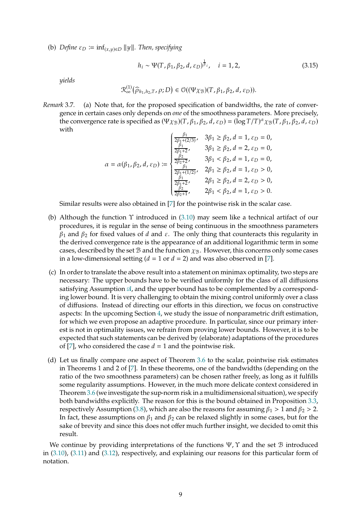(b) *Define*  $\varepsilon_D := \inf_{(x,y)\in D} ||y||$ . Then, specifying

$$
h_i \sim \Psi(T, \beta_1, \beta_2, d, \varepsilon_D)^{\frac{1}{\beta_i}}, \quad i = 1, 2,
$$
 (3.15)

*yields*

$$
\mathcal{R}^{(1)}_{\infty}(\widehat{\rho}_{h_1,h_2,T},\rho;D) \in \mathcal{O}((\Psi\chi_{\mathcal{B}})(T,\beta_1,\beta_2,d,\varepsilon_D)).
$$

*Remark* 3.7*.* (a) Note that, for the proposed specification of bandwidths, the rate of convergence in certain cases only depends on *one* of the smoothness parameters. More precisely, the convergence rate is specified as  $(\Psi \chi_B)(T, \beta_1, \beta_2, d, \varepsilon_D) = (\log T/T)^{\alpha} \chi_B(T, \beta_1, \beta_2, d, \varepsilon_D)$ with

$$
\alpha = \alpha(\beta_1, \beta_2, d, \varepsilon_D) := \begin{cases} \frac{\beta_1}{2\beta_1 + (2/3)}, & 3\beta_1 \ge \beta_2, d = 1, \varepsilon_D = 0, \\ \frac{\beta_1}{2\beta_1 + 2}, & 3\beta_1 \ge \beta_2, d = 2, \varepsilon_D = 0, \\ \frac{\beta_2}{2\beta_2 + 2}, & 3\beta_1 < \beta_2, d = 1, \varepsilon_D = 0, \\ \frac{\beta_1}{2\beta_1 + (1/2)}, & 2\beta_1 \ge \beta_2, d = 1, \varepsilon_D > 0, \\ \frac{\beta_1}{2\beta_1 + 2}, & 2\beta_1 \ge \beta_2, d = 2, \varepsilon_D > 0, \\ \frac{\beta_2}{2\beta_2 + 1}, & 2\beta_1 < \beta_2, d = 1, \varepsilon_D > 0. \end{cases}
$$

Similar results were also obtained in [\[7\]](#page-35-3) for the pointwise risk in the scalar case.

- (b) Although the function  $\Upsilon$  introduced in [\(3.10\)](#page-7-0) may seem like a technical artifact of our procedures, it is regular in the sense of being continuous in the smoothness parameters  $\beta_1$  and  $\beta_2$  for fixed values of  $d$  and  $\varepsilon$ . The only thing that counteracts this regularity in the derived convergence rate is the appearance of an additional logarithmic term in some cases, described by the set  $\mathcal B$  and the function  $\chi_{\mathcal B}$ . However, this concerns only some cases in a low-dimensional setting ( $d = 1$  or  $d = 2$ ) and was also observed in [\[7\]](#page-35-3).
- (c) In order to translate the above result into a statement on minimax optimality, two steps are necessary: The upper bounds have to be verified uniformly for the class of all diffusions satisfying Assumption  $\mathcal{A}$ , and the upper bound has to be complemented by a corresponding lower bound. It is very challenging to obtain the mixing control uniformly over a class of diffusions. Instead of directing our efforts in this direction, we focus on constructive aspects: In the upcoming Section [4,](#page-9-0) we study the issue of nonparametric drift estimation, for which we even propose an adaptive procedure. In particular, since our primary interest is not in optimality issues, we refrain from proving lower bounds. However, it is to be expected that such statements can be derived by (elaborate) adaptations of the procedures of [\[7](#page-35-3)], who considered the case  $d = 1$  and the pointwise risk.
- (d) Let us finally compare one aspect of Theorem [3.6](#page-7-1) to the scalar, pointwise risk estimates in Theorems 1 and 2 of [\[7\]](#page-35-3). In these theorems, one of the bandwidths (depending on the ratio of the two smoothness parameters) can be chosen rather freely, as long as it fulfills some regularity assumptions. However, in the much more delicate context considered in Theorem [3.6](#page-7-1) (we investigate the sup-norm risk in a multidimensional situation), we specify both bandwidths explicitly. The reason for this is the bound obtained in Proposition [3.3,](#page-6-2) respectively Assumption [\(3.8\)](#page-6-1), which are also the reasons for assuming  $\beta_1 > 1$  and  $\beta_2 > 2$ . In fact, these assumptions on  $\beta_1$  and  $\beta_2$  can be relaxed slightly in some cases, but for the sake of brevity and since this does not offer much further insight, we decided to omit this result.

We continue by providing interpretations of the functions  $\Psi$ ,  $\Upsilon$  and the set  $\mathcal B$  introduced in [\(3.10\)](#page-7-0), [\(3.11\)](#page-7-3) and [\(3.12\)](#page-7-4), respectively, and explaining our reasons for this particular form of notation.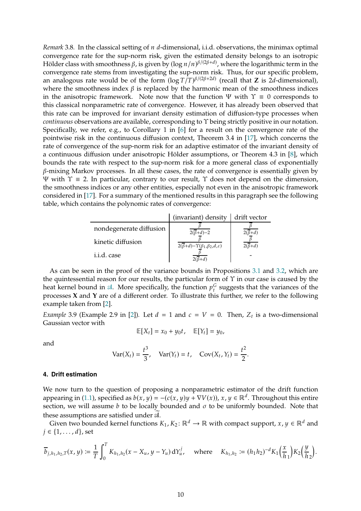*Remark* 3.8. In the classical setting of *n d*-dimensional, i.i.d. observations, the minimax optimal convergence rate for the sup-norm risk, given the estimated density belongs to an isotropic Hölder class with smoothness  $\beta$ , is given by  $(\log n/n)^{\beta/(2\beta+d)}$ , where the logarithmic term in the convergence rate stems from investigating the sup-norm risk. Thus, for our specific problem, an analogous rate would be of the form  $(\log T/T)^{\beta/(2\beta+2d)}$  (recall that **Z** is 2*d*-dimensional), where the smoothness index  $\beta$  is replaced by the harmonic mean of the smoothness indices in the anisotropic framework. Note now that the function  $\Psi$  with  $\Upsilon \equiv 0$  corresponds to this classical nonparametric rate of convergence. However, it has already been observed that this rate can be improved for invariant density estimation of diffusion-type processes when *continuous* observations are available, corresponding to Υ being strictly positive in our notation. Specifically, we refer, e.g., to Corollary 1 in [\[6\]](#page-35-4) for a result on the convergence rate of the pointwise risk in the continuous diffusion context, Theorem 3.4 in [\[17\]](#page-36-0), which concerns the rate of convergence of the sup-norm risk for an adaptive estimator of the invariant density of a continuous diffusion under anisotropic Hölder assumptions, or Theorem 4.3 in [\[8\]](#page-35-5), which bounds the rate with respect to the sup-norm risk for a more general class of exponentially  $\beta$ -mixing Markov processes. In all these cases, the rate of convergence is essentially given by <sup>Ψ</sup> with <sup>Υ</sup> <sup>≡</sup> <sup>2</sup>. In particular, contrary to our result, <sup>Υ</sup> does not depend on the dimension, the smoothness indices or any other entities, especially not even in the anisotropic framework considered in [\[17](#page-36-0)]. For a summary of the mentioned results in this paragraph see the following table, which contains the polynomic rates of convergence:

|                         | (invariant) density                                             | drift vector            |
|-------------------------|-----------------------------------------------------------------|-------------------------|
| nondegenerate diffusion | $2(\overline{\beta}+d)-2$                                       | $2(\overline{\beta}+d)$ |
| kinetic diffusion       | $2(\overline{\beta}+d)-\Upsilon(\beta_1,\beta_2,d,\varepsilon)$ | $2(\overline{\beta}+d)$ |
| i.i.d. case             | $2(\overline{\beta}+d)$                                         |                         |

As can be seen in the proof of the variance bounds in Propositions [3.1](#page-4-2) and [3.2,](#page-5-1) which are the quintessential reason for our results, the particular form of  $\Upsilon$  in our case is caused by the heat kernel bound in  $\mathcal{A}$ . More specifically, the function  $p_t^G$  suggests that the variances of the processes **X** and **Y** are of a different order. To illustrate this further, we refer to the following example taken from [\[2\]](#page-35-1).

*Example* 3.9 (Example 2.9 in [\[2\]](#page-35-1)). Let  $d = 1$  and  $c = V = 0$ . Then,  $Z_t$  is a two-dimensional Gaussian vector with

$$
\mathbb{E}[X_t]=x_0+y_0t, \quad \mathbb{E}[Y_t]=y_0,
$$

and

$$
Var(X_t) = \frac{t^3}{3}
$$
,  $Var(Y_t) = t$ ,  $Cov(X_t, Y_t) = \frac{t^2}{2}$ .

#### <span id="page-9-0"></span>**4. Drift estimation**

We now turn to the question of proposing a nonparametric estimator of the drift function appearing in [\(1.1\)](#page-0-0), specified as  $b(x, y) = -(c(x, y)y + \nabla V(x))$ ,  $x, y \in \mathbb{R}^d$ . Throughout this entire section, we will assume  $b$  to be locally bounded and  $\sigma$  to be uniformly bounded. Note that these assumptions are satisfied under  $\mathcal{A}$ .

Given two bounded kernel functions  $K_1, K_2 \colon \mathbb{R}^d \to \mathbb{R}$  with compact support,  $x, y \in \mathbb{R}^d$  and  $j \in \{1, \ldots, d\}$ , set

$$
\overline{b}_{j,h_1,h_2,T}(x,y) := \frac{1}{T} \int_0^T K_{h_1,h_2}(x - X_u, y - Y_u) dY_u^j, \text{ where } K_{h_1,h_2} := (h_1 h_2)^{-d} K_1 \left(\frac{x}{h_1}\right) K_2 \left(\frac{y}{h_2}\right).
$$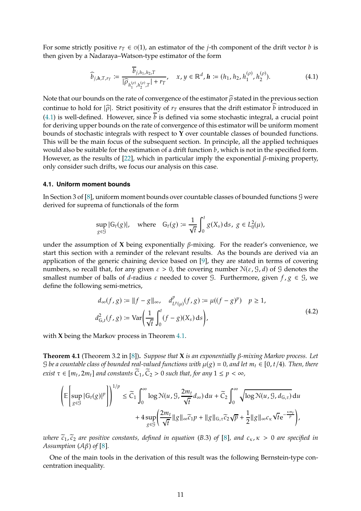For some strictly positive  $r_{\tau} \in O(1)$ , an estimator of the *j*-th component of the drift vector *b* is then given by a Nadaraya–Watson-type estimator of the form

<span id="page-10-1"></span>
$$
\widehat{b}_{j,h,T,r_T} := \frac{b_{j,h_1,h_2,T}}{|\widehat{\rho}_{h_1^{(\rho)},h_2^{(\rho)},T}|+r_T}, \quad x, y \in \mathbb{R}^d, h := (h_1, h_2, h_1^{(\rho)}, h_2^{(\rho)}).
$$
(4.1)

Note that our bounds on the rate of convergence of the estimator  $\hat{\rho}$  stated in the previous section continue to hold for  $|\hat{\rho}|$ . Strict positivity of  $r<sub>T</sub>$  ensures that the drift estimator  $\hat{b}$  introduced in [\(4.1\)](#page-10-1) is well-defined. However, since  $\overline{b}$  is defined via some stochastic integral, a crucial point for deriving upper bounds on the rate of convergence of this estimator will be uniform moment bounds of stochastic integrals with respect to **Y** over countable classes of bounded functions. This will be the main focus of the subsequent section. In principle, all the applied techniques would also be suitable for the estimation of a drift function  $b$ , which is not in the specified form. However, as the results of  $[22]$ , which in particular imply the exponential  $\beta$ -mixing property, only consider such drifts, we focus our analysis on this case.

### <span id="page-10-0"></span>**4.1. Uniform moment bounds**

In Section 3 of [\[8\]](#page-35-5), uniform moment bounds over countable classes of bounded functions G were derived for suprema of functionals of the form

$$
\sup_{g \in \mathcal{G}} |\mathbb{G}_t(g)|, \quad \text{where} \quad \mathbb{G}_t(g) \coloneqq \frac{1}{\sqrt{t}} \int_0^t g(X_s) \, ds, \ g \in L_0^2(\mu),
$$

under the assumption of  $X$  being exponentially  $\beta$ -mixing. For the reader's convenience, we start this section with a reminder of the relevant results. As the bounds are derived via an application of the generic chaining device based on [\[9\]](#page-35-7), they are stated in terms of covering numbers, so recall that, for any given  $\varepsilon > 0$ , the covering number  $N(\varepsilon, \mathcal{G}, d)$  of  $\mathcal{G}$  denotes the smallest number of balls of *d*-radius  $\varepsilon$  needed to cover  $\mathcal{G}$ . Furthermore, given  $f, g \in \mathcal{G}$ , we define the following semi-metrics,

$$
d_{\infty}(f, g) := ||f - g||_{\infty}, \quad d_{L^{p}(\mu)}^{p}(f, g) := \mu((f - g)^{p}) \quad p \ge 1,
$$
  

$$
d_{G,t}^{2}(f, g) := \text{Var}\left(\frac{1}{\sqrt{t}} \int_{0}^{t} (f - g)(X_{s}) ds\right),
$$
\n(4.2)

<span id="page-10-3"></span>with **X** being the Markov process in Theorem [4.1.](#page-10-2)

<span id="page-10-2"></span>**Theorem 4.1** (Theorem 3.2 in [\[8](#page-35-5)]). *Suppose that* **X** *is an exponentially*  $\beta$ *-mixing Markov process. Let* G be a countable class of bounded real-valued functions with  $\mu(g) = 0$ , and let  $m_t \in [0, t/4)$ . Then, there *exist*  $\tau \in [m_t, 2m_t]$  and constants  $C_1$ ,  $C_2 > 0$  such that, for any  $1 \leq p < \infty$ ,

$$
\left(\mathbb{E}\left[\sup_{g\in\mathcal{G}}|\mathbb{G}_{t}(g)|^{p}\right]\right)^{1/p} \leq \widetilde{C}_{1}\int_{0}^{\infty}\log\mathcal{N}(u, \mathcal{G}, \frac{2m_{t}}{\sqrt{t}}d_{\infty}) du + \widetilde{C}_{2}\int_{0}^{\infty}\sqrt{\log\mathcal{N}(u, \mathcal{G}, d_{\mathbb{G},\tau})} du +4\sup_{g\in\mathcal{G}}\left(\frac{2m_{t}}{\sqrt{t}}\|g\|_{\infty}\widetilde{c}_{1}p + \|g\|_{\mathbb{G},\tau}\widetilde{c}_{2}\sqrt{p} + \frac{1}{2}\|g\|_{\infty}c_{\kappa}\sqrt{t}e^{-\frac{\kappa m_{t}}{p}}\right),
$$

*where*  $\tilde{c}_1$ ,  $\tilde{c}_2$  *are positive constants, defined in equation* (B.3) of [\[8](#page-35-5)], and  $c_K$ ,  $\kappa > 0$  *are specified in Assumption (A* $\beta$ *) of [\[8](#page-35-5)].* 

One of the main tools in the derivation of this result was the following Bernstein-type concentration inequality.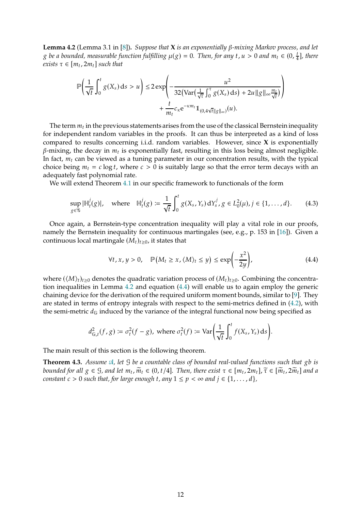<span id="page-11-0"></span>**Lemma 4.2** (Lemma 3.1 in [\[8](#page-35-5)]). *Suppose that*  $\bf{X}$  *is an exponentially*  $\beta$ -mixing Markov process, and let g be a bounded, measurable function fulfilling  $\mu(g) = 0$ . Then, for any t,  $u > 0$  and  $m_t \in (0, \frac{t}{4})$ 4 ]*, there*  $exists \tau \in [m_t, 2m_t]$  *such that* 

$$
\mathbb{P}\left(\frac{1}{\sqrt{t}}\int_0^t g(X_s) \, ds > u\right) \le 2 \exp\left(-\frac{u^2}{32\left(\text{Var}\left(\frac{1}{\sqrt{\tau}}\int_0^{\tau} g(X_s) \, ds\right) + 2u \|g\|_{\infty} \frac{m_t}{\sqrt{t}}\right)} + \frac{t}{m_t} c_{\kappa} e^{-\kappa m_t} 1\!\!1_{(0,4\sqrt{t}\|g\|_{\infty})}(u).
$$

The term  $m_t$  in the previous statements arises from the use of the classical Bernstein inequality for independent random variables in the proofs. It can thus be interpreted as a kind of loss compared to results concerning i.i.d. random variables. However, since **X** is exponentially  $\beta$ -mixing, the decay in  $m_t$  is exponentially fast, resulting in this loss being almost negligible. In fact,  $m_t$  can be viewed as a tuning parameter in our concentration results, with the typical choice being  $m_t = c \log t$ , where  $c > 0$  is suitably large so that the error term decays with an adequately fast polynomial rate.

We will extend Theorem [4.1](#page-10-2) in our specific framework to functionals of the form

<span id="page-11-3"></span>
$$
\sup_{g \in \mathcal{G}} |\mathbb{H}_{t}^{j}(g)|, \quad \text{where} \quad \mathbb{H}_{t}^{j}(g) \coloneqq \frac{1}{\sqrt{t}} \int_{0}^{t} g(X_{s}, Y_{s}) \, dY_{s}^{j}, g \in L_{0}^{2}(\mu), j \in \{1, \dots, d\}. \tag{4.3}
$$

Once again, a Bernstein-type concentration inequality will play a vital role in our proofs, namely the Bernstein inequality for continuous martingales (see, e.g., p. 153 in [\[16](#page-36-4)]). Given a continuous local martingale  $(M_t)_{t>0}$ , it states that

<span id="page-11-1"></span>
$$
\forall t, x, y > 0, \quad \mathbb{P}\left(M_t \ge x, \langle M \rangle_t \le y\right) \le \exp\left(-\frac{x^2}{2y}\right),\tag{4.4}
$$

where  $(\langle M \rangle_t)_{t\geq0}$  denotes the quadratic variation process of  $(M_t)_{t\geq0}$ . Combining the concentration inequalities in Lemma [4.2](#page-11-0) and equation [\(4.4\)](#page-11-1) will enable us to again employ the generic chaining device for the derivation of the required uniform moment bounds, similar to [\[9](#page-35-7)]. They are stated in terms of entropy integrals with respect to the semi-metrics defined in [\(4.2\)](#page-10-3), with the semi-metric  $d_G$  induced by the variance of the integral functional now being specified as

$$
d_{\mathbb{G},t}^2(f,g) \coloneqq \sigma_t^2(f-g), \text{ where } \sigma_t^2(f) \coloneqq \text{Var}\bigg(\frac{1}{\sqrt{t}}\int_0^t f(X_s,Y_s)\,ds\bigg).
$$

The main result of this section is the following theorem.

<span id="page-11-2"></span>**Theorem 4.3.** *Assume*  $\mathcal{A}$ *, let*  $\mathcal{G}$  *be a countable class of bounded real-valued functions such that*  $\alpha$ *b is bounded for all*  $g \in \mathcal{G}$ , and let  $m_t$ ,  $\widetilde{m}_t \in (0, t/4]$ . Then, there exist  $\tau \in [m_t, 2m_t]$ ,  $\widetilde{\tau} \in [\widetilde{m}_t, 2\widetilde{m}_t]$  and a *constant*  $c > 0$  *such that, for large enough t, any*  $1 \leq p < \infty$  *and*  $j \in \{1, \ldots, d\}$ *,*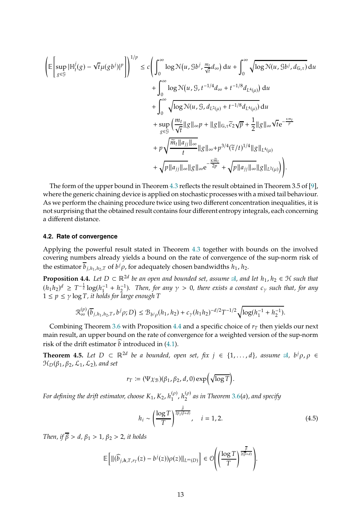$$
\begin{split}\n\left(\mathbb{E}\left[\sup_{g\in\mathcal{G}}|\mathbb{H}_{t}^{j}(g)-\sqrt{t}\mu(gb^{j})|^{p}\right]\right)^{1/p} &\leq c\left(\int_{0}^{\infty}\log\mathcal{N}(u,\mathcal{G}b^{j},\frac{m_{t}}{\sqrt{t}}d_{\infty})\,du+\int_{0}^{\infty}\sqrt{\log\mathcal{N}(u,\mathcal{G}b^{j},d_{\mathbb{G},\tau})}\,du\right) \\
&+\int_{0}^{\infty}\log\mathcal{N}(u,\mathcal{G},t^{-1/4}d_{\infty}+t^{-1/8}d_{L^{4}(\mu)})\,du \\
&+\int_{0}^{\infty}\sqrt{\log\mathcal{N}(u,\mathcal{G},d_{L^{2}(\mu)}+t^{-1/8}d_{L^{4}(\mu)})}\,du \\
&+\sup_{g\in\mathcal{G}}\left(\frac{m_{t}}{\sqrt{t}}\|g\|_{\infty}p+\|g\|_{\mathbb{G},\tau}\overline{c}_{2}\sqrt{p}+\frac{1}{2}\|g\|_{\infty}\sqrt{t}e^{-\frac{\kappa m_{t}}{p}} \\
&+p\sqrt{\frac{\widetilde{m}_{t}\|a_{jj}\|_{\infty}}{t}}\|g\|_{\infty}+p^{3/4}(\widetilde{\tau}/t)^{1/4}\|g\|_{L^{4}(\mu)} \\
&+\sqrt{p\|a_{jj}\|_{\infty}}\|g\|_{\infty}e^{-\frac{\kappa \widetilde{m}_{t}}{2p}}+\sqrt{p\|a_{jj}\|_{\infty}}\|g\|_{L^{2}(\mu)}\right)\right).\n\end{split}
$$

The form of the upper bound in Theorem [4.3](#page-11-2) reflects the result obtained in Theorem 3.5 of [\[9](#page-35-7)], where the generic chaining device is applied on stochastic processes with a mixed tail behaviour. As we perform the chaining procedure twice using two different concentration inequalities, it is not surprising that the obtained result contains four different entropy integrals, each concerning a different distance.

#### <span id="page-12-0"></span>**4.2. Rate of convergence**

Applying the powerful result stated in Theorem [4.3](#page-11-2) together with bounds on the involved covering numbers already yields a bound on the rate of convergence of the sup-norm risk of the estimator  $b_{j,h_1,h_2,T}$  of  $b^j \rho$ , for adequately chosen bandwidths  $h_1$ ,  $h_2$ .

<span id="page-12-1"></span>**Proposition 4.4.** Let  $D \subset \mathbb{R}^{2d}$  be an open and bounded set, assume  $\mathcal{A}$ , and let  $h_1, h_2 \in \mathcal{H}$  such that  $(h_1 h_2)^d \geq T^{-\frac{1}{2}} \log(h_1^{-1} + h_2^{-1})$ . Then, for any  $\gamma > 0$ , there exists a constant  $c_\gamma$  such that, for any  $1 \leq p \leq \gamma \log T$ , it holds for large enough T

$$
\mathcal{R}_\infty^{(p)}\big(\overline{b}_{j,h_1,h_2,T},b^j\rho;D\big)\leq \mathcal{B}_{b^j\rho}(h_1,h_2)+c_\gamma(h_1h_2)^{-d/2}T^{-1/2}\sqrt{\log(h_1^{-1}+h_2^{-1})}.
$$

Combining Theorem [3.6](#page-7-1) with Proposition [4.4](#page-12-1) and a specific choice of  $r<sub>T</sub>$  then yields our next main result, an upper bound on the rate of convergence for a weighted version of the sup-norm risk of the drift estimator  $\hat{b}$  introduced in [\(4.1\)](#page-10-1).

<span id="page-12-2"></span>**Theorem 4.5.** *Let*  $D \subset \mathbb{R}^{2d}$  *be a bounded, open set, fix*  $j \in \{1, ..., d\}$ *, assume*  $\mathcal{A}, b^j \rho, \rho \in \mathbb{R}$  $\mathcal{H}_D(\beta_1, \beta_2, \mathcal{L}_1, \mathcal{L}_2)$ , and set

$$
r_T := (\Psi \chi_{\mathcal{B}})(\beta_1, \beta_2, d, 0) \exp\left(\sqrt{\log T}\right).
$$

For defining the drift estimator, choose  $K_1$ ,  $K_2$ ,  $h_1^{(\rho)}$ ,  $h_2^{(\rho)}$  as in Theorem [3.6\(](#page-7-1)a), and specify

<span id="page-12-3"></span>
$$
h_i \sim \left(\frac{\log T}{T}\right)^{\frac{\beta}{2\beta_i(\beta+d)}}, \quad i = 1, 2. \tag{4.5}
$$

*Then, if*  $\overline{\beta} > d$ ,  $\beta_1 > 1$ ,  $\beta_2 > 2$ , *it holds* 

$$
\mathbb{E}\bigg[\|(\widehat{b}_{j,h,T,r_T}(z)-b^j(z))\rho(z)\|_{L^{\infty}(D)}\bigg]\in\mathcal{O}\Bigg(\bigg(\frac{\log T}{T}\bigg)^{\frac{\beta}{2(\overline{\beta}+d)}}\Bigg).
$$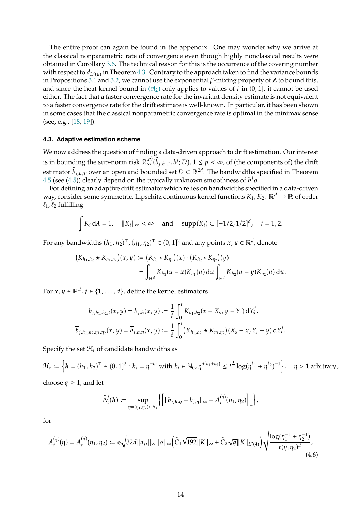The entire proof can again be found in the appendix. One may wonder why we arrive at the classical nonparametric rate of convergence even though highly nonclassical results were obtained in Corollary [3.6.](#page-7-1) The technical reason for this is the occurrence of the covering number with respect to  $d_{L^2(\mu)}$  in Theorem [4.3.](#page-11-2) Contrary to the approach taken to find the variance bounds in Propositions [3.1](#page-4-2) and [3.2,](#page-5-1) we cannot use the exponential  $\beta$ -mixing property of **Z** to bound this, and since the heat kernel bound in  $(\mathfrak{A}_2)$  only applies to values of t in  $(0, 1]$ , it cannot be used either. The fact that a faster convergence rate for the invariant density estimate is not equivalent to a faster convergence rate for the drift estimate is well-known. In particular, it has been shown in some cases that the classical nonparametric convergence rate is optimal in the minimax sense (see, e.g., [\[18,](#page-36-5) [19](#page-36-6)]).

#### <span id="page-13-0"></span>**4.3. Adaptive estimation scheme**

We now address the question of finding a data-driven approach to drift estimation. Our interest is in bounding the sup-norm risk  $\mathcal{R}_{\infty}^{(p)}(\widehat{b}_{j,h,T},b^j;D)$ ,  $1 \leq p < \infty$ , of (the components of) the drift estimator  $\widehat{b}_{j,h,T}$  over an open and bounded set  $D \subset \mathbb{R}^{2d}$ . The bandwidths specified in Theorem [4.5](#page-12-2) (see [\(4.5\)](#page-12-3)) clearly depend on the typically unknown smoothness of  $b^j \rho$ .

For defining an adaptive drift estimator which relies on bandwidths specified in a data-driven way, consider some symmetric, Lipschitz continuous kernel functions  $K_1, K_2: \mathbb{R}^d \to \mathbb{R}$  of order  $\ell_1$ ,  $\ell_2$  fulfilling

$$
\int K_i d\lambda = 1
$$
,  $||K_i||_{\infty} < \infty$  and  $\text{supp}(K_i) \subset [-1/2, 1/2]^d$ ,  $i = 1, 2$ .

For any bandwidths  $(h_1, h_2)^\top$ ,  $(\eta_1, \eta_2)^\top \in (0, 1]^2$  and any points  $x, y \in \mathbb{R}^d$ , denote

$$
(K_{h_1,h_2} \star K_{\eta_1,\eta_2})(x,y) := (K_{h_1} \star K_{\eta_1})(x) \cdot (K_{h_2} \star K_{\eta_2})(y)
$$
  
= 
$$
\int_{\mathbb{R}^d} K_{h_1}(u-x)K_{\eta_1}(u) du \int_{\mathbb{R}^d} K_{h_2}(u-y)K_{\eta_2}(u) du.
$$

For  $x, y \in \mathbb{R}^d$ ,  $j \in \{1, ..., d\}$ , define the kernel estimators

$$
\overline{b}_{j,h_1,h_2,t}(x,y) = \overline{b}_{j,h}(x,y) := \frac{1}{t} \int_0^t K_{h_1,h_2}(x - X_s, y - Y_s) dY_s^j,
$$
  

$$
\overline{b}_{j,h_1,h_2,\eta_1,\eta_2}(x,y) = \overline{b}_{j,h,\eta}(x,y) := \frac{1}{t} \int_0^t (K_{h_1,h_2} \star K_{\eta_1,\eta_2})(X_s - x, Y_s - y) dY_s^j.
$$

Specify the set  $\mathcal{H}_t$  of candidate bandwidths as

 $\mathcal{H}_t := \left\{ \boldsymbol{h} = (h_1, h_2)^\top \in (0, 1]^2 : h_i = \eta^{-k_i} \text{ with } k_i \in \mathbb{N}_0, \eta^{d(k_1 + k_2)} \le t^{\frac{1}{2}} \log(\eta^{k_1} + \eta^{k_2})^{-1} \right\}$ ,  $\eta > 1$  arbitrary, choose  $q \geq 1$ , and let

$$
\widehat{\Delta}_t^j(\boldsymbol{h}) \coloneqq \sup_{\boldsymbol{\eta} = (\eta_1, \eta_2) \in \mathcal{H}_t} \left\{ \left[ \|\overline{b}_{j,\boldsymbol{h},\boldsymbol{\eta}} - \overline{b}_{j,\boldsymbol{\eta}}\|_\infty - A_t^{(q)}(\eta_1, \eta_2) \right]_+ \right\},
$$

for

<span id="page-13-1"></span>
$$
A_t^{(q)}(\eta) = A_t^{(q)}(\eta_1, \eta_2) := e \sqrt{32d ||a_{jj}||_{\infty} ||\rho||_{\infty}} \Big( \widetilde{C}_1 \sqrt{192} ||K||_{\infty} + \widetilde{C}_2 \sqrt{q} ||K||_{L^2(\lambda)} \Big) \sqrt{\frac{\log(\eta_1^{-1} + \eta_2^{-1})}{t(\eta_1 \eta_2)^d}},
$$
\n(4.6)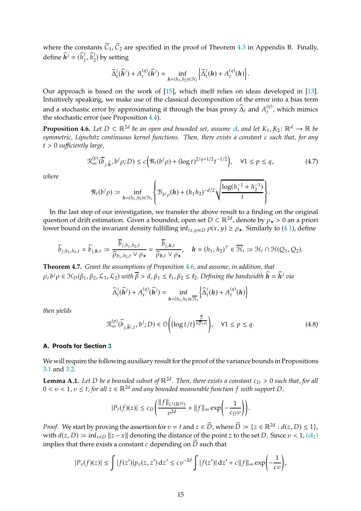where the constants  $\tilde{C}_1$ ,  $\tilde{C}_2$  are specified in the proof of Theorem [4.3](#page-11-2) in Appendix B. Finally, define  $\widehat{h}^j = (\widehat{h}_1^j)$  $j_1$ ,  $\widehat{h}_2^j$  $_2^{\prime}$ ) by setting

$$
\widehat{\Delta}_{t}^{j}(\widehat{\boldsymbol{h}}^{j})+A_{t}^{(q)}(\widehat{\boldsymbol{h}}^{j})=\inf_{\boldsymbol{h}=(h_{1},h_{2})\in\mathcal{H}_{t}}\bigg\{\widehat{\Delta}_{t}^{j}(\boldsymbol{h})+A_{t}^{(q)}(\boldsymbol{h})\bigg\}.
$$

Our approach is based on the work of [\[15](#page-36-7)], which itself relies on ideas developed in [\[13](#page-36-8)]. Intuitively speaking, we make use of the classical decomposition of the error into a bias term and a stochastic error by approximating it through the bias proxy  $\widehat{\Delta}_t$  and  $A_t^{(q)}$ , which mimics the stochastic error (see Proposition [4.4\)](#page-12-1).

<span id="page-14-0"></span>**Proposition 4.6.** *Let*  $D \subset \mathbb{R}^{2d}$  *be an open and bounded set, assume*  $\mathcal{A}$ *, and let*  $K_1$ *,*  $K_2$ :  $\mathbb{R}^d \to \mathbb{R}$  *be symmetric, Lipschitz continuous kernel functions. Then, there exists a constant c such that, for any* 𝑡 > 0 *sufficiently large,*

<span id="page-14-4"></span>
$$
\mathcal{R}_{\infty}^{(p)}(\overline{b}_{j,\widehat{h}},b^j\rho;D) \le c\Big(\mathcal{R}_t(b^j\rho) + (\log t)^{2/q+1/2}t^{-1/2}\Big), \quad \forall 1 \le p \le q,\tag{4.7}
$$

*where*

$$
\mathfrak{R}_t(b^j \rho) := \inf_{h = (h_1, h_2) \in \mathcal{H}_t} \left\{ \mathfrak{B}_{b^j \rho}(h) + (h_1 h_2)^{-d/2} \sqrt{\frac{\log(h_1^{-1} + h_2^{-1})}{t}} \right\}.
$$

In the last step of our investigation, we transfer the above result to a finding on the original question of drift estimation. Given a bounded, open set  $D \subset \mathbb{R}^{2d}$ , denote by  $\rho_{\star} > 0$  an a priori lower bound on the invariant density fulfilling inf<sub>(*x*,*y*)∈ $\varphi$ (*x*,*y*) ≥  $\rho_{\star}$ . Similarly to [\(4.1\)](#page-10-1), define</sub>

$$
\widehat{b}_{j,h_1,h_2,t} = \widehat{b}_{j,h,t} := \frac{\overline{b}_{j,h_1,h_2,t}}{\widehat{\rho}_{h_1,h_2,t} \vee \rho_{\star}} = \frac{\overline{b}_{j,h,t}}{\widehat{\rho}_{h,t} \vee \rho_{\star}}, \quad h = (h_1,h_2)^{\top} \in \overline{\mathcal{H}}_t := \mathcal{H}_t \cap \mathcal{H}(Q_1,Q_2).
$$

<span id="page-14-2"></span>**Theorem 4.7.** *Grant the assumptions of Proposition [4.6,](#page-14-0) and assume, in addition, that*  $\rho$ ,  $b^j \rho \in \mathfrak{H}_D(\beta_1, \beta_2, \mathcal{L}_1, \mathcal{L}_2)$  with  $\overline{\beta} > d$ ,  $\beta_1 \leq \ell_1$ ,  $\beta_2 \leq \ell_2$ . Defining the bandwidth  $\widehat{\mathbf{h}} = \widehat{\mathbf{h}}^j$  via

$$
\widehat{\Delta}_{t}^{j}(\widehat{\boldsymbol{h}}^{j})+A_{t}^{(q)}(\widehat{\boldsymbol{h}}^{j})=\inf_{\boldsymbol{h}=(h_{1},h_{2})\in\overline{\mathcal{H}}_{t}}\left\{\widehat{\Delta}_{t}^{j}(\boldsymbol{h})+A_{t}^{(q)}(\boldsymbol{h})\right\}
$$

*then yields*

<span id="page-14-3"></span>
$$
\mathcal{R}_{\infty}^{(p)}(\widehat{b}_{j,\widehat{h}^j,t},b^j;D) \in \mathcal{O}\Bigg(\big(\log t/t\big)^{\frac{\overline{\beta}}{2(\overline{\beta}+d)}}\Bigg), \quad \forall 1 \le p \le q. \tag{4.8}
$$

#### **A. Proofs for Section [3](#page-4-1)**

We will require the following auxiliary result for the proof of the variance bounds in Propositions [3.1](#page-4-2) and [3.2.](#page-5-1)

<span id="page-14-1"></span>**Lemma A.1.** Let D be a bounded subset of ℝ<sup>2d</sup>. Then, there exists a constant  $c_D > 0$  such that, for all  $0 < v < 1$ ,  $v \le t$ , for all  $z \in \mathbb{R}^{2d}$  and any bounded measurable function  $f$  with support  $D$ ,

$$
|P_t(f)(z)| \leq c_D \bigg( \frac{\|f\|_{L^1(\mathbb{R}^{2d})}}{\nu^{2d}} + \|f\|_\infty \exp\bigg( -\frac{1}{c_D \nu} \bigg) \bigg).
$$

*Proof.* We start by proving the assertion for  $v = t$  and  $z \in \overline{D}$ , where  $\overline{D} := \{z \in \mathbb{R}^{2d} : d(z, D) \le 1\}$ , with  $d(z, D) := \inf_{x \in D} ||z - x||$  denoting the distance of the point z to the set D. Since  $v < 1$ ,  $(\mathfrak{A}_2)$ implies that there exists a constant c depending on  $\widetilde{D}$  such that

$$
|P_v(f)(z)| \le \int |f(z')| p_v(z, z') dz' \le c v^{-2d} \int |f(z')| dz' + c \|f\|_{\infty} \exp\left(-\frac{1}{cv}\right),
$$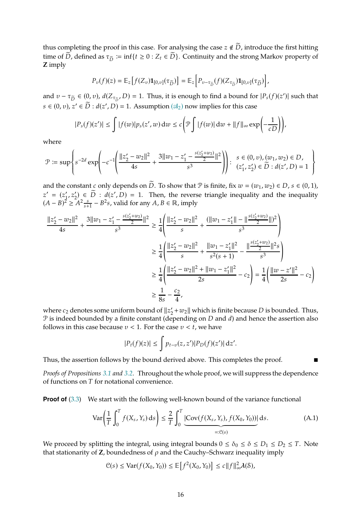thus completing the proof in this case. For analysing the case  $z \notin \tilde{D}$ , introduce the first hitting time of  $\widetilde{D}$ , defined as  $\tau_{\widetilde{D}} := \inf\{t \geq 0 : Z_t \in \widetilde{D}\}\)$ . Continuity and the strong Markov property of **Z** imply

$$
P_{\nu}(f)(z) = \mathbb{E}_{z} \left[ f(Z_{\nu}) \mathbf{1}_{[0,\nu]}(\tau_{\widetilde{D}}) \right] = \mathbb{E}_{z} \left[ P_{\nu - \tau_{\widetilde{D}}}(f)(Z_{\tau_{\widetilde{D}}}) \mathbf{1}_{[0,\nu]}(\tau_{\widetilde{D}}) \right],
$$

and  $v - \tau_{\tilde{D}} \in (0, v)$ ,  $d(Z_{\tau_{\tilde{D}}}, D) = 1$ . Thus, it is enough to find a bound for  $|P_s(f)(z')|$  such that  $s \in (0, v)$ ,  $z' \in \widetilde{D}$  :  $d(z', D) = 1$ . Assumption  $(\mathcal{A}_2)$  now implies for this case

$$
|P_s(f)(z')| \leq \int |f(w)|p_s(z',w) \, \mathrm{d}w \leq c \bigg(\mathcal{P} \int |f(w)| \, \mathrm{d}w + \|f\|_{\infty} \exp\bigg(-\frac{1}{cD}\bigg)\bigg),
$$

where

$$
\mathcal{P} \coloneqq \sup \left\{ s^{-2d} \exp \left( -c^{-1} \left( \frac{||z_2' - w_2||^2}{4s} + \frac{3||w_1 - z_1' - \frac{s(z_2' + w_2)}{2}||^2}{s^3} \right) \right) : \begin{array}{l} s \in (0, v), (w_1, w_2) \in D, \\ (z_1', z_2') \in \widetilde{D} : d(z', D) = 1 \end{array} \right\}
$$

and the constant  $c$  only depends on  $\widetilde{D}$ . To show that  $\mathcal P$  is finite, fix  $w = (w_1, w_2) \in D$ ,  $s \in (0, 1)$ ,  $z' = (z'_1, z'_2) \in D : d(z', D) = 1$ . Then, the reverse triangle inequality and the inequality  $(A - B)^2 \ge A^2 \frac{s}{s+1}$  $\frac{s}{s+1} - B^2 s$ , valid for any  $A, B \in \mathbb{R}$ , imply

$$
\frac{||z'_{2} - w_{2}||^{2}}{4s} + \frac{3||w_{1} - z'_{1} - \frac{s(z'_{2} + w_{2})}{2}||^{2}}{s^{3}} \ge \frac{1}{4} \left( \frac{||z'_{2} - w_{2}||^{2}}{s} + \frac{(||w_{1} - z'_{1}|| - ||\frac{s(z'_{2} + w_{2})}{2}||)^{2}}{s^{3}} \right)
$$
  

$$
\ge \frac{1}{4} \left( \frac{||z'_{2} - w_{2}||^{2}}{s} + \frac{||w_{1} - z'_{1}||^{2}}{s^{2}(s + 1)} - \frac{||\frac{s(z'_{2} + w_{2})}{2}||^{2}s}{s^{3}} \right)
$$
  

$$
\ge \frac{1}{4} \left( \frac{||z'_{2} - w_{2}||^{2} + ||w_{1} - z'_{1}||^{2}}{2s} - c_{2} \right) = \frac{1}{4} \left( \frac{||w - z'||^{2}}{2s} - c_{2} \right)
$$
  

$$
\ge \frac{1}{8s} - \frac{c_{2}}{4},
$$

where  $c_2$  denotes some uniform bound of  $||z'_2 + w_2||$  which is finite because D is bounded. Thus,  $P$  is indeed bounded by a finite constant (depending on  $D$  and  $d$ ) and hence the assertion also follows in this case because  $v < 1$ . For the case  $v < t$ , we have

<span id="page-15-0"></span>
$$
|P_t(f)(z)| \leq \int p_{t-v}(z,z')|P_D(f)(z')|\,\mathrm{d} z'.
$$

Thus, the assertion follows by the bound derived above. This completes the proof.

*Proofs of Propositions [3.1](#page-4-2) and [3.2.](#page-5-1)* Throughout the whole proof, we will suppress the dependence of functions on  $T$  for notational convenience.

**Proof of** [\(3.3\)](#page-4-4) We start with the following well-known bound of the variance functional

$$
\text{Var}\left(\frac{1}{T}\int_0^T f(X_s, Y_s) \, ds\right) \le \frac{2}{T} \int_0^T \underbrace{\left[\text{Cov}(f(X_s, Y_s), f(X_0, Y_0))\right]}_{=: \mathcal{C}(s)} ds. \tag{A.1}
$$

We proceed by splitting the integral, using integral bounds  $0 \le \delta_0 \le \delta \le D_1 \le D_2 \le T$ . Note that stationarity of  $Z$ , boundedness of  $\rho$  and the Cauchy–Schwarz inequality imply

$$
\mathcal{C}(s) \leq \text{Var}(f(X_0, Y_0)) \leq \mathbb{E}\left[f^2(X_0, Y_0)\right] \leq c \|f\|_{\infty}^2 \lambda(\mathcal{S}),
$$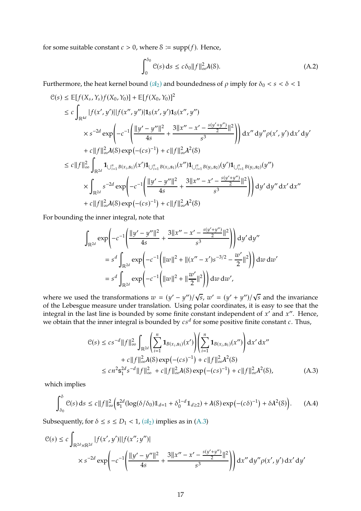for some suitable constant  $c > 0$ , where  $\delta := \text{supp}(f)$ . Hence,

<span id="page-16-1"></span>
$$
\int_0^{\delta_0} \mathcal{C}(s) \, \mathrm{d}s \le c \delta_0 \|f\|_{\infty}^2 \lambda(\mathcal{S}). \tag{A.2}
$$

Furthermore, the heat kernel bound  $(\mathfrak{A}_2)$  and boundedness of  $\rho$  imply for  $\delta_0 < s < \delta < 1$ 

$$
C(s) \le \mathbb{E}[f(X_s, Y_s)f(X_0, Y_0)] + \mathbb{E}[f(X_0, Y_0)]^2
$$
  
\n
$$
\le c \int_{\mathbb{R}^{4d}} |f(x', y')||f(x'', y'')| 1_S(x', y') 1_S(x'', y'')
$$
  
\n
$$
\times s^{-2d} \exp\left(-c^{-1} \left(\frac{||y' - y''||^2}{4s} + \frac{3||x'' - x' - \frac{s(y' + y'')}{2}}{s^3}\right)\right) dx'' dy'' \rho(x', y') dx' dy'
$$
  
\n
$$
+ c||f||_{\infty}^2 \lambda(S) \exp(-(cs)^{-1}) + c||f||_{\infty}^2 \lambda^2(S)
$$
  
\n
$$
\le c||f||_{\infty}^2 \int_{\mathbb{R}^{2d}} 1_{\bigcup_{i=1}^n B(x_i, s_1)}(x') 1_{\bigcup_{i=1}^n B(x_i, s_1)}(x'') 1_{\bigcup_{i=1}^n B(y_i, s_2)}(y') 1_{\bigcup_{i=1}^n B(y_i, s_2)}(y'')
$$
  
\n
$$
\times \int_{\mathbb{R}^{2d}} s^{-2d} \exp\left(-c^{-1} \left(\frac{||y' - y''||^2}{4s} + \frac{3||x'' - x' - \frac{s(y' + y'')}{2}||^2}{s^3}\right)\right) dy' dy'' dx' dx''
$$
  
\n
$$
+ c||f||_{\infty}^2 \lambda(S) \exp(-(cs)^{-1}) + c||f||_{\infty}^2 \lambda^2(S)
$$

For bounding the inner integral, note that

$$
\int_{\mathbb{R}^{2d}} \exp\left(-c^{-1}\left(\frac{\|y'-y''\|^2}{4s} + \frac{3\|x'' - x' - \frac{s(y'+y'')}{2}\|^2}{s^3}\right)\right) dy' dy''
$$
  
=  $s^d \int_{\mathbb{R}^{2d}} \exp\left(-c^{-1}\left(\|w\|^2 + \|(x'' - x')s^{-3/2} - \frac{w'}{2}\|^2\right)\right) dw dw'$   
=  $s^d \int_{\mathbb{R}^{2d}} \exp\left(-c^{-1}\left(\|w\|^2 + \|\frac{w'}{2}\|^2\right)\right) dw dw',$ 

where we used the transformations  $w = (y' - y'')/\sqrt{s}$ ,  $w' = (y' + y'')/\sqrt{s}$  and the invariance of the Lebesgue measure under translation. Using polar coordinates, it is easy to see that the integral in the last line is bounded by some finite constant independent of  $x'$  and  $x''$ . Hence, we obtain that the inner integral is bounded by  $c\hspace{0.5mm}s^d$  for some positive finite constant  $c.$  Thus,

<span id="page-16-0"></span>
$$
C(s) \leq c s^{-d} ||f||_{\infty}^{2} \int_{\mathbb{R}^{2d}} \left( \sum_{i=1}^{n} \mathbf{1}_{B(x_{i}, s_{1})}(x') \right) \left( \sum_{i=1}^{n} \mathbf{1}_{B(x_{i}, s_{1})}(x'') \right) dx' dx''
$$
  
+  $c ||f||_{\infty}^{2} \lambda(S) \exp(-(cs)^{-1}) + c ||f||_{\infty}^{2} \lambda^{2}(S)$   
 $\leq c n^{2} s_{1}^{2d} s^{-d} ||f||_{\infty}^{2} + c ||f||_{\infty}^{2} \lambda(8) \exp(-(cs)^{-1}) + c ||f||_{\infty}^{2} \lambda^{2}(S),$  (A.3)

which implies

<span id="page-16-2"></span>
$$
\int_{\delta_0}^{\delta} \mathcal{C}(s) \, ds \le c \|f\|_{\infty}^2 \Big( \mathbf{s}_1^{2d} (\log(\delta/\delta_0) \mathbb{1}_{d=1} + \delta_0^{1-d} \mathbb{1}_{d\ge 2}) + \lambda(\delta) \exp\left(- (c\delta)^{-1}\right) + \delta \lambda^2(\delta) \Big). \tag{A.4}
$$

Subsequently, for  $\delta \leq s \leq D_1 < 1$ ,  $(\mathcal{A}_2)$  implies as in [\(A.3\)](#page-16-0)

$$
C(s) \le c \int_{\mathbb{R}^{2d} \times \mathbb{R}^{2d}} |f(x', y')||f(x''; y'')|
$$
  
 
$$
\times s^{-2d} \exp\left(-c^{-1}\left(\frac{||y' - y''||^2}{4s} + \frac{3||x'' - x' - \frac{s(y' + y'')}{2}||^2}{s^3}\right)\right) dx'' dy'' \rho(x', y') dx' dy'
$$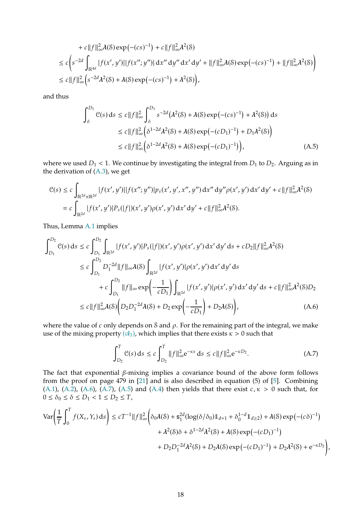+ c||f||<sup>2</sup><sub>$$
\infty
$$</sub> $\lambda(S) \exp(-(cs)^{-1}) + c||f||2 $\infty$  $\lambda^2(S)$   
\n $\leq c\left(s^{-2d} \int_{\mathbb{R}^{4d}} |f(x', y')||f(x''; y'')| dx'' dy'' dx' dy' + ||f||2 $\infty$  $\lambda(S) \exp(-(cs)^{-1}) + ||f||2 $\infty$  $\lambda^2(S)$   
\n $\leq c||f||2 $\infty$  $\left(s^{-2d}\lambda^2(S) + \lambda(S) \exp(-(cs)^{-1}) + \lambda^2(S)\right),$$$$$ 

and thus

<span id="page-17-2"></span>
$$
\int_{\delta}^{D_1} \mathcal{C}(s) ds \le c \|f\|_{\infty}^2 \int_{\delta}^{D_1} s^{-2d} (\lambda^2(\mathcal{S}) + \lambda(\mathcal{S}) \exp(-(cs)^{-1}) + \lambda^2(\mathcal{S})) ds
$$
  
\n
$$
\le c \|f\|_{\infty}^2 (\delta^{1-2d} \lambda^2(\mathcal{S}) + \lambda(\mathcal{S}) \exp(-(cD_1)^{-1}) + D_1 \lambda^2(\mathcal{S}) )
$$
  
\n
$$
\le c \|f\|_{\infty}^2 (\delta^{1-2d} \lambda^2(\mathcal{S}) + \lambda(\mathcal{S}) \exp(-(cD_1)^{-1}) ), \tag{A.5}
$$

where we used  $D_1$  < 1. We continue by investigating the integral from  $D_1$  to  $D_2$ . Arguing as in the derivation of [\(A.3\)](#page-16-0), we get

$$
\mathcal{C}(s) \le c \int_{\mathbb{R}^{2d} \times \mathbb{R}^{2d}} |f(x', y')||f(x''; y'')| p_s(x', y', x'', y'') dx'' dy'' \rho(x', y') dx' dy' + c||f||_{\infty}^2 \lambda^2(\mathcal{S})
$$
  
=  $c \int_{\mathbb{R}^{2d}} |f(x', y')| P_s(|f|)(x', y') \rho(x', y') dx' dy' + c||f||_{\infty}^2 \lambda^2(\mathcal{S}).$ 

Thus, Lemma [A.1](#page-14-1) implies

$$
\int_{D_1}^{D_2} \mathcal{C}(s) \, ds \le c \int_{D_1}^{D_2} \int_{\mathbb{R}^{2d}} |f(x', y')| P_s(|f|)(x', y') \rho(x', y') \, dx' \, dy' \, ds + cD_2 ||f||_{\infty}^2 \lambda^2(\mathcal{S})
$$
\n
$$
\le c \int_{D_1}^{D_2} D_1^{-2d} ||f||_{\infty} \lambda(\mathcal{S}) \int_{\mathbb{R}^{2d}} |f(x', y')| \rho(x', y') \, dx' \, dy' \, ds
$$
\n
$$
+ c \int_{D_1}^{D_2} ||f||_{\infty} \exp\left(-\frac{1}{cD_1}\right) \int_{\mathbb{R}^{2d}} |f(x', y')| \rho(x', y') \, dx' \, dy' \, ds + c||f||_{\infty}^2 \lambda^2(\mathcal{S}) D_2
$$
\n
$$
\le c||f||_{\infty}^2 \lambda(\mathcal{S}) \left(D_2 D_1^{-2d} \lambda(\mathcal{S}) + D_2 \exp\left(-\frac{1}{cD_1}\right) + D_2 \lambda(\mathcal{S})\right), \tag{A.6}
$$

where the value of  $c$  only depends on  $\delta$  and  $\rho$ . For the remaining part of the integral, we make use of the mixing property  $(\mathfrak{A}_3)$ , which implies that there exists  $\kappa > 0$  such that

<span id="page-17-1"></span><span id="page-17-0"></span>
$$
\int_{D_2}^{T} \mathcal{C}(s) \, ds \le c \int_{D_2}^{T} \|f\|_{\infty}^2 e^{-\kappa s} \, ds \le c \|f\|_{\infty}^2 e^{-\kappa D_2}.
$$
 (A.7)

The fact that exponential  $\beta$ -mixing implies a covariance bound of the above form follows from the proof on page 479 in [\[21](#page-36-9)] and is also described in equation (5) of [\[5\]](#page-35-2). Combining [\(A.1\)](#page-15-0), [\(A.2\)](#page-16-1), [\(A.6\)](#page-17-0), [\(A.7\)](#page-17-1), [\(A.5\)](#page-17-2) and [\(A.4\)](#page-16-2) then yields that there exist  $c, \kappa > 0$  such that, for  $0 \leq \delta_0 \leq \delta \leq D_1 < 1 \leq D_2 \leq T,$ 

$$
\begin{split} \text{Var} \bigg( & \frac{1}{T} \int_{0}^{T} f(X_{s}, Y_{s}) \, \text{d}s \bigg) \leq c T^{-1} \|f\|_{\infty}^{2} \bigg( \delta_{0} \lambda(\mathcal{S}) + \mathsf{s}_{1}^{2d} (\log(\delta/\delta_{0}) \mathbb{1}_{d=1} + \delta_{0}^{1-d} \mathbb{1}_{d \geq 2}) + \lambda(\mathcal{S}) \exp\left(-(c\delta)^{-1}\right) \\ &+ \lambda^{2}(\mathcal{S})\delta + \delta^{1-2d} \lambda^{2}(\mathcal{S}) + \lambda(\mathcal{S}) \exp\left(-(cD_{1})^{-1}\right) \\ &+ D_{2} D_{1}^{-2d} \lambda^{2}(\mathcal{S}) + D_{2} \lambda(\mathcal{S}) \exp\left(-(cD_{1})^{-1}\right) + D_{2} \lambda^{2}(\mathcal{S}) + \mathrm{e}^{-\kappa D_{2}} \bigg), \end{split}
$$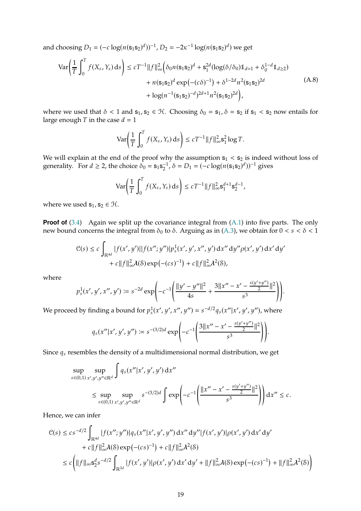and choosing  $D_1 = (-c \log(n(s_1 s_2)^d))^{-1}$ ,  $D_2 = -2\kappa^{-1} \log(n(s_1 s_2)^d)$  we get

<span id="page-18-0"></span>
$$
\operatorname{Var}\left(\frac{1}{T}\int_{0}^{T}f(X_{s},Y_{s})\,ds\right) \le cT^{-1}\|f\|_{\infty}^{2}\Big(\delta_{0}n(\mathbf{s}_{1}\mathbf{s}_{2})^{d} + \mathbf{s}_{1}^{2d}(\log(\delta/\delta_{0})\mathbb{1}_{d=1} + \delta_{0}^{1-d}\mathbb{1}_{d\ge 2}) + n(\mathbf{s}_{1}\mathbf{s}_{2})^{d}\exp(-(c\delta)^{-1}) + \delta^{1-2d}n^{2}(\mathbf{s}_{1}\mathbf{s}_{2})^{2d} + \log(n^{-1}(\mathbf{s}_{1}\mathbf{s}_{2})^{-d})^{2d+1}n^{2}(\mathbf{s}_{1}\mathbf{s}_{2})^{2d}\Big),\tag{A.8}
$$

where we used that  $\delta$  < 1 and  $s_1, s_2 \in \mathcal{H}$ . Choosing  $\delta_0 = s_1$ ,  $\delta = s_2$  if  $s_1 < s_2$  now entails for large enough  $T$  in the case  $d = 1$ 

$$
\text{Var}\bigg(\frac{1}{T}\int_0^T f(X_s, Y_s) \, ds\bigg) \le cT^{-1} \|f\|_{\infty}^2 \mathbf{s}_1^2 \log T.
$$

We will explain at the end of the proof why the assumption  $s_1 < s_2$  is indeed without loss of generality. For  $d \ge 2$ , the choice  $\delta_0 = s_1 s_2^{-1}$ ,  $\delta = D_1 = (-c \log(n(s_1 s_2)^d))^{-1}$  gives

$$
\text{Var}\bigg(\frac{1}{T}\int_0^T f(X_s, Y_s) \, ds\bigg) \le c T^{-1} \|f\|_{\infty}^2 \mathbf{s}_1^{d+1} \mathbf{s}_2^{d-1},
$$

where we used  $s_1, s_2 \in \mathcal{H}$ .

**Proof of** [\(3.4\)](#page-4-5) Again we split up the covariance integral from [\(A.1\)](#page-15-0) into five parts. The only new bound concerns the integral from  $\delta_0$  to  $\delta$ . Arguing as in [\(A.3\)](#page-16-0), we obtain for  $0 < s < \delta < 1$ 

$$
C(s) \le c \int_{\mathbb{R}^{4d}} |f(x', y')||f(x''; y'')| p_s^1(x', y', x'', y') dx'' dy'' \rho(x', y') dx' dy' + c ||f||_{\infty}^2 \lambda(S) \exp(-(cs)^{-1}) + c ||f||_{\infty}^2 \lambda^2(S),
$$

where

$$
p_s^1(x', y', x'', y') \coloneqq s^{-2d} \exp\left(-c^{-1} \left(\frac{\|y' - y''\|^2}{4s} + \frac{3\|x'' - x' - \frac{s(y' + y'')}{2}}{s^3}\right)\right).
$$

We proceed by finding a bound for  $p_s^1(x', y', x'', y'') = s^{-d/2} q_s(x''|x', y', y'')$ , where

$$
q_s(x''|x',y',y'') := s^{-(3/2)d} \exp\left(-c^{-1}\left(\frac{3||x''-x'-\frac{s(y'+y'')}{2}||^2}{s^3}\right)\right).
$$

Since  $q_s$  resembles the density of a multidimensional normal distribution, we get

$$
\sup_{s \in (0,1)} \sup_{x',y',y'' \in \mathbb{R}^d} \int q_s(x''|x',y',y') dx''
$$
\n
$$
\leq \sup_{s \in (0,1)} \sup_{x',y',y'' \in \mathbb{R}^d} s^{-(3/2)d} \int \exp \left(-c^{-1} \left( \frac{||x'' - x' - \frac{s(y' + y'')}{2}||^2}{s^3} \right) \right) dx'' \leq c.
$$

Hence, we can infer

$$
C(s) \leq c s^{-d/2} \int_{\mathbb{R}^{4d}} |f(x''; y'')| q_s(x''|x', y', y'') dx'' dy'' | f(x', y')| \rho(x', y') dx' dy'+ c \|f\|_{\infty}^2 \lambda(8) \exp(-(cs)^{-1}) + c \|f\|_{\infty}^2 \lambda^2(8)\leq c \Biggl( \|f\|_{\infty} s_2^d s^{-d/2} \int_{\mathbb{R}^{2d}} |f(x', y')| \rho(x', y') dx' dy' + \|f\|_{\infty}^2 \lambda(8) \exp(-(cs)^{-1}) + \|f\|_{\infty}^2 \lambda^2(8) \Biggr)
$$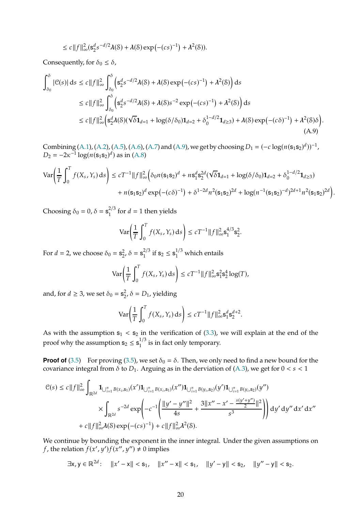$$
\leq c \|f\|_{\infty}^2 (\mathbf{s}_2^d s^{-d/2} \lambda(\mathcal{S}) + \lambda(\mathcal{S}) \exp(-(cs)^{-1}) + \lambda^2(\mathcal{S})).
$$

Consequently, for  $\delta_0 \leq \delta$ ,

$$
\int_{\delta_0}^{\delta} |\mathcal{C}(s)| ds \le c \|f\|_{\infty}^2 \int_{\delta_0}^{\delta} \left( s_2^d s^{-d/2} \lambda(\mathcal{S}) + \lambda(\mathcal{S}) \exp(-(cs)^{-1}) + \lambda^2(\mathcal{S}) \right) ds
$$
  
\n
$$
\le c \|f\|_{\infty}^2 \int_{\delta_0}^{\delta} \left( s_2^d s^{-d/2} \lambda(\mathcal{S}) + \lambda(\mathcal{S}) s^{-2} \exp(-(cs)^{-1}) + \lambda^2(\mathcal{S}) \right) ds
$$
  
\n
$$
\le c \|f\|_{\infty}^2 \left( s_2^d \lambda(\mathcal{S}) (\sqrt{\delta} \mathbf{1}_{d=1} + \log(\delta/\delta_0) \mathbf{1}_{d=2} + \delta_0^{1-d/2} \mathbf{1}_{d \ge 3}) + \lambda(\mathcal{S}) \exp(-(c\delta)^{-1}) + \lambda^2(\mathcal{S}) \delta \right).
$$
  
\n(A.9)

Combining [\(A.1\)](#page-15-0), [\(A.2\)](#page-16-1), [\(A.5\)](#page-17-2), [\(A.6\)](#page-17-0), [\(A.7\)](#page-17-1) and [\(A.9\)](#page-19-0), we get by choosing  $D_1 = (-c \log(n({\bf s}_1 {\bf s}_2)^d))^{-1}$ ,  $D_2 = -2\kappa^{-1} \log(n(\mathbf{s}_1 \mathbf{s}_2)^d)$  as in [\(A.8\)](#page-18-0)

$$
\operatorname{Var}\left(\frac{1}{T}\int_0^T f(X_s, Y_s) \, ds\right) \le cT^{-1}||f||_\infty^2 \Big(\delta_0 n(\mathbf{s}_1 \mathbf{s}_2)^d + n\mathbf{s}_1^d \mathbf{s}_2^{2d} (\sqrt{\delta} \mathbf{1}_{d=1} + \log(\delta/\delta_0) \mathbf{1}_{d=2} + \delta_0^{1-d/2} \mathbf{1}_{d\ge 3}) + n(\mathbf{s}_1 \mathbf{s}_2)^d \exp(-(c\delta)^{-1}) + \delta^{1-2d} n^2 (\mathbf{s}_1 \mathbf{s}_2)^{2d} + \log(n^{-1} (\mathbf{s}_1 \mathbf{s}_2)^{-d})^{2d+1} n^2 (\mathbf{s}_1 \mathbf{s}_2)^{2d}\Big).
$$

Choosing  $\delta_0 = 0$ ,  $\delta = s_1^{2/3}$  for  $d = 1$  then yields

<span id="page-19-0"></span>
$$
\operatorname{Var}\left(\frac{1}{T}\int_0^T f(X_s, Y_s) \, ds\right) \le c T^{-1} \|f\|_{\infty}^2 \mathbf{s}_1^{4/3} \mathbf{s}_2^2.
$$

For  $d = 2$ , we choose  $\delta_0 = s_2^2$  $_2^2$ ,  $\delta = s_1^{2/3}$  if  $s_2 \leq s_1^{1/3}$  which entails

$$
\text{Var}\bigg(\frac{1}{T}\int_0^T f(X_s, Y_s) \, ds\bigg) \le cT^{-1} \|f\|_{\infty}^2 \mathbf{s}_1^2 \mathbf{s}_2^4 \log(T),
$$

and, for  $d \geq 3$ , we set  $\delta_0 = s_2^2$  $2^2$ ,  $\delta = D_1$ , yielding

$$
\text{Var}\bigg(\frac{1}{T}\int_0^T f(X_s, Y_s) \, ds\bigg) \le c T^{-1} \|f\|_{\infty}^2 \mathbf{s}_1^d \mathbf{s}_2^{d+2}.
$$

As with the assumption  $s_1 < s_2$  in the verification of [\(3.3\)](#page-4-4), we will explain at the end of the proof why the assumption  $s_2 \leq s_1^{1/3}$  is in fact only temporary.

**Proof of** [\(3.5\)](#page-5-2) For proving [\(3.5\)](#page-5-2), we set  $\delta_0 = \delta$ . Then, we only need to find a new bound for the covariance integral from  $\delta$  to  $D_1$ . Arguing as in the derviation of [\(A.3\)](#page-16-0), we get for  $0 < s < 1$ 

$$
C(s) \le c \|f\|_{\infty}^{2} \int_{\mathbb{R}^{2d}} \mathbf{1}_{\bigcup_{i=1}^{n} B(x_{i}, s_{1})}(x') \mathbf{1}_{\bigcup_{i=1}^{n} B(x_{i}, s_{1})}(x'') \mathbf{1}_{\bigcup_{i=1}^{n} B(y_{i}, s_{2})}(y') \mathbf{1}_{\bigcup_{i=1}^{n} B(y_{i}, s_{2})}(y'')}
$$

$$
\times \int_{\mathbb{R}^{2d}} s^{-2d} \exp\left(-c^{-1} \left(\frac{\|y' - y''\|^{2}}{4s} + \frac{3\|x'' - x' - \frac{s(y' + y'')}{2}}{s^{3}}\right)\right) dy' dy'' dx' dx''
$$

$$
+ c \|f\|_{\infty}^{2} \lambda(\mathcal{S}) \exp(-(cs)^{-1}) + c \|f\|_{\infty}^{2} \lambda^{2}(\mathcal{S}).
$$

We continue by bounding the exponent in the inner integral. Under the given assumptions on f, the relation  $f(x', y')f(x'', y'') \neq 0$  implies

 $\exists x, y \in \mathbb{R}^{2d}: \quad ||x'-x|| < s_1, \quad ||x''-x|| < s_1, \quad ||y'-y|| < s_2, \quad ||y''-y|| < s_2.$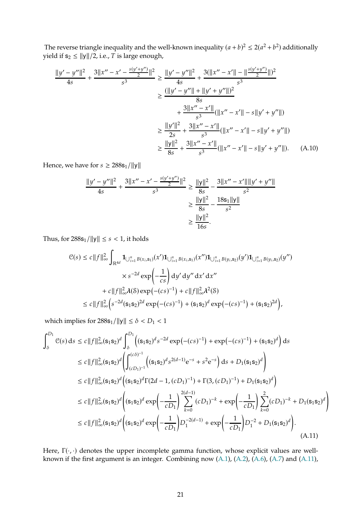The reverse triangle inequality and the well-known inequality  $(a + b)^2 \le 2(a^2 + b^2)$  additionally yield if  $s_2 \le ||y||/2$ , i.e., T is large enough,

$$
\frac{\|y'-y''\|^2}{4s} + \frac{3\|x'' - x' - \frac{s(y'+y'')}{2}\|^2}{s^3} \ge \frac{\|y'-y''\|^2}{4s} + \frac{3(\|x'' - x'\| - \frac{\|s(y'+y'')\|^2}{2}\|^2)}{s^3}
$$

$$
\ge \frac{(\|y'-y''\| + \|y'+y''\|)^2}{8s}
$$

$$
+ \frac{3\|x'' - x'\|}{s^3}(\|x'' - x'\| - s\|y' + y''\|)
$$

$$
\ge \frac{\|y'\|^2}{2s} + \frac{3\|x'' - x'\|}{s^3}(\|x'' - x'\| - s\|y' + y''\|)
$$

$$
\ge \frac{\|y\|^2}{8s} + \frac{3\|x'' - x'\|}{s^3}(\|x'' - x'\| - s\|y' + y''\|).
$$
 (A.10)

Hence, we have for  $s \geq 288s_1/||y||$ 

<span id="page-20-0"></span>
$$
\frac{\|y'-y''\|^2}{4s} + \frac{3\|x'' - x' - \frac{s(y'+y'')}{2}\|^2}{s^3} \ge \frac{\|y\|^2}{8s} - \frac{3\|x'' - x'\|\|y' + y''\|}{s^2}
$$

$$
\ge \frac{\|y\|^2}{8s} - \frac{18s_1\|y\|}{s^2}
$$

$$
\ge \frac{\|y\|^2}{16s}.
$$

Thus, for  $288s_1/||y|| \leq s < 1$ , it holds

$$
C(s) \le c \|f\|_{\infty}^{2} \int_{\mathbb{R}^{4d}} \mathbf{1}_{\bigcup_{i=1}^{n} B(x_{i}, s_{1})}(x') \mathbf{1}_{\bigcup_{i=1}^{n} B(x_{i}, s_{1})}(x'') \mathbf{1}_{\bigcup_{i=1}^{n} B(y_{i}, s_{2})}(y') \mathbf{1}_{\bigcup_{i=1}^{n} B(y_{i}, s_{2})}(y'') \times s^{-2d} \exp\left(-\frac{1}{cs}\right) dy' dy'' dx' dx''
$$

$$
+ c \|f\|_{\infty}^{2} \mathcal{A}(S) \exp(-(cs)^{-1}) + c \|f\|_{\infty}^{2} \mathcal{A}^{2}(S)
$$

$$
\le c \|f\|_{\infty}^{2} \left(s^{-2d} (s_{1} s_{2})^{2d} \exp(-(cs)^{-1}) + (s_{1} s_{2})^{d} \exp(-(cs)^{-1}) + (s_{1} s_{2})^{2d}\right),
$$

which implies for  $288s_1/||y|| \leq \delta < D_1 < 1$ 

$$
\int_{\delta}^{D_1} C(s) ds \le c \|f\|_{\infty}^{2} (\mathbf{s}_{1} \mathbf{s}_{2})^{d} \int_{\delta}^{D_1} ((\mathbf{s}_{1} \mathbf{s}_{2})^{d} s^{-2d} \exp(-(cs)^{-1}) + \exp(-(cs)^{-1}) + (\mathbf{s}_{1} \mathbf{s}_{2})^{d}) ds
$$
  
\n
$$
\le c \|f\|_{\infty}^{2} (\mathbf{s}_{1} \mathbf{s}_{2})^{d} \left( \int_{(cD_{1})^{-1}}^{(c\delta)^{-1}} ((\mathbf{s}_{1} \mathbf{s}_{2})^{d} s^{2(d-1)} e^{-s} + s^{2} e^{-s}) ds + D_{1}(\mathbf{s}_{1} \mathbf{s}_{2})^{d} \right)
$$
  
\n
$$
\le c \|f\|_{\infty}^{2} (\mathbf{s}_{1} \mathbf{s}_{2})^{d} ((\mathbf{s}_{1} \mathbf{s}_{2})^{d} \Gamma(2d - 1, (cD_{1})^{-1}) + \Gamma(3, (cD_{1})^{-1}) + D_{1}(\mathbf{s}_{1} \mathbf{s}_{2})^{d})
$$
  
\n
$$
\le c \|f\|_{\infty}^{2} (\mathbf{s}_{1} \mathbf{s}_{2})^{d} ((\mathbf{s}_{1} \mathbf{s}_{2})^{d} \exp\left(-\frac{1}{cD_{1}}\right) \sum_{k=0}^{2(d-1)} (cD_{1})^{-k} + \exp\left(-\frac{1}{cD_{1}}\right) \sum_{k=0}^{2} (cD_{1})^{-k} + D_{1}(\mathbf{s}_{1} \mathbf{s}_{2})^{d})
$$
  
\n
$$
\le c \|f\|_{\infty}^{2} (\mathbf{s}_{1} \mathbf{s}_{2})^{d} ((\mathbf{s}_{1} \mathbf{s}_{2})^{d} \exp\left(-\frac{1}{cD_{1}}\right) D_{1}^{-2(d-1)} + \exp\left(-\frac{1}{cD_{1}}\right) D_{1}^{-2} + D_{1}(\mathbf{s}_{1} \mathbf{s}_{2})^{d}).
$$
  
\n(A.11)

<span id="page-20-1"></span>Here,  $\Gamma(\cdot, \cdot)$  denotes the upper incomplete gamma function, whose explicit values are wellknown if the first argument is an integer. Combining now [\(A.1\)](#page-15-0), [\(A.2\)](#page-16-1), [\(A.6\)](#page-17-0), [\(A.7\)](#page-17-1) and [\(A.11\)](#page-20-1),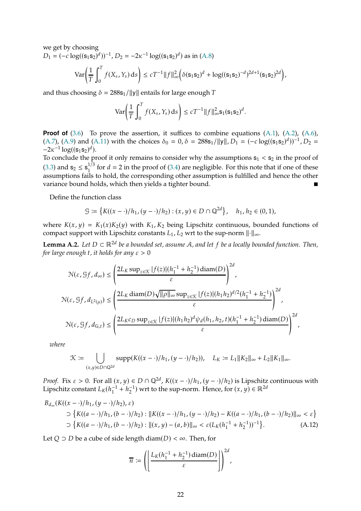we get by choosing

 $D_1 = (-c \log((s_1 s_2)^d))^{-1}$ ,  $D_2 = -2\kappa^{-1} \log((s_1 s_2)^d)$  as in [\(A.8\)](#page-18-0)

$$
\text{Var}\bigg(\frac{1}{T}\int_0^T f(X_s, Y_s) \, ds\bigg) \le cT^{-1} \|f\|_{\infty}^2 \bigg(\delta(s_1 s_2)^d + \log((s_1 s_2)^{-d})^{2d+1} (s_1 s_2)^{2d}\bigg),
$$

and thus choosing  $\delta = 288s_1/||y||$  entails for large enough T

$$
\text{Var}\bigg(\frac{1}{T}\int_0^T f(X_s, Y_s) \, ds\bigg) \le c T^{-1} \|f\|_{\infty}^2 \mathbf{s}_1 (\mathbf{s}_1 \mathbf{s}_2)^d.
$$

**Proof of** [\(3.6\)](#page-5-3) To prove the assertion, it suffices to combine equations [\(A.1\)](#page-15-0), [\(A.2\)](#page-16-1), [\(A.6\)](#page-17-0),  $(A.7)$ ,  $(A.9)$  and  $(A.11)$  with the choices  $\delta_0 = 0$ ,  $\delta = 288s_1/||y||$ ,  $D_1 = (-c \log((s_1s_2)^d))^{-1}$ ,  $D_2 =$  $-2\kappa^{-1} \log((s_1 s_2)^d)$ .

To conclude the proof it only remains to consider why the assumptions  $s_1 < s_2$  in the proof of [\(3.3\)](#page-4-4) and  $s_2 \le s_1^{1/3}$  for  $d = 2$  in the proof of [\(3.4\)](#page-4-5) are negligible. For this note that if one of these assumptions fails to hold, the corresponding other assumption is fulfilled and hence the other variance bound holds, which then yields a tighter bound.

Define the function class

$$
\mathcal{G} := \left\{ K((x - \cdot)/h_1, (y - \cdot)/h_2) : (x, y) \in D \cap \mathbb{Q}^{2d} \right\}, \quad h_1, h_2 \in (0, 1),
$$

where  $K(x, y) = K_1(x)K_2(y)$  with  $K_1, K_2$  being Lipschitz continuous, bounded functions of compact support with Lipschitz constants  $L_1$ ,  $L_2$  wrt to the sup-norm  $\|\cdot\|_{\infty}$ .

<span id="page-21-1"></span>**Lemma A.2.** *Let*  $D \subset \mathbb{R}^{2d}$  *be a bounded set, assume A, and let*  $f$  *be a locally bounded function. Then, for large enough t, it holds for any*  $\varepsilon > 0$ 

$$
\mathcal{N}(\varepsilon, \mathcal{G}f, d_{\infty}) \leq \left(\frac{2L_K \sup_{z \in \mathcal{K}} |f(z)|(h_1^{-1} + h_2^{-1}) \operatorname{diam}(D)}{\varepsilon}\right)^{2d},
$$
  

$$
\mathcal{N}(\varepsilon, \mathcal{G}f, d_{L^2(\mu)}) \leq \left(\frac{2L_K \operatorname{diam}(D) \sqrt{||\rho||_{\infty}} \sup_{z \in \mathcal{K}} |f(z)|(h_1 h_2)^{d/2}(h_1^{-1} + h_2^{-1})}{\varepsilon}\right)^{2d},
$$
  

$$
\mathcal{N}(\varepsilon, \mathcal{G}f, d_{\mathbb{G},t}) \leq \left(\frac{2L_K c_D \sup_{z \in \mathcal{K}} |f(z)|(h_1 h_2)^d \psi_d(h_1, h_2, t)(h_1^{-1} + h_2^{-1}) \operatorname{diam}(D)}{\varepsilon}\right)^{2d},
$$

*where*

$$
\mathcal{K} := \bigcup_{(x,y)\in D\cap\mathbb{Q}^{2d}} \text{supp}(K((x-\cdot)/h_1, (y-\cdot)/h_2)), \quad L_K := L_1||K_2||_{\infty} + L_2||K_1||_{\infty}.
$$

*Proof.* Fix  $\varepsilon > 0$ . For all  $(x, y) \in D \cap \mathbb{Q}^{2d}$ ,  $K((x - \cdot)/h_1, (y - \cdot)/h_2)$  is Lipschitz continuous with Lipschitz constant  $L_K(h_1^{-1} + h_2^{-1})$  wrt to the sup-norm. Hence, for  $(x, y) \in \mathbb{R}^{2d}$ 

$$
B_{d_{\infty}}(K((x - \cdot)/h_1, (y - \cdot)/h_2), \varepsilon)
$$
  
\n
$$
\supset \{K((a - \cdot)/h_1, (b - \cdot)/h_2) : ||K((x - \cdot)/h_1, (y - \cdot)/h_2) - K((a - \cdot)/h_1, (b - \cdot)/h_2)||_{\infty} < \varepsilon\}
$$
  
\n
$$
\supset \{K((a - \cdot)/h_1, (b - \cdot)/h_2) : ||(x, y) - (a, b)||_{\infty} < \varepsilon (L_K(h_1^{-1} + h_2^{-1}))^{-1}\}.
$$
 (A.12)

Let  $Q \supset D$  be a cube of side length diam( $D$ ) <  $\infty$ . Then, for

<span id="page-21-0"></span>
$$
\overline{n} := \left( \left| \frac{L_K(h_1^{-1} + h_2^{-1}) \operatorname{diam}(D)}{\varepsilon} \right| \right)^{2d},
$$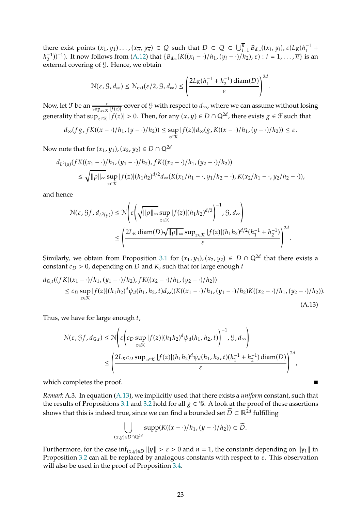there exist points  $(x_1, y_1) \ldots (x_{\overline{n}}, y_{\overline{n}}) \in Q$  such that  $D \subset Q \subset \bigcup_{i=1}^{\overline{n}} B_{d_{\infty}}((x_i, y_i), \varepsilon (L_K(h_1^{-1} +$  $(h_2^{-1}))^{-1}$ ). It now follows from [\(A.12\)](#page-21-0) that  $\{B_{d_\infty}(K((x_i - \cdot)/h_1, (y_i - \cdot)/h_2), \varepsilon) : i = 1, ..., \overline{n}\}$  is an external covering of G. Hence, we obtain

$$
\mathcal{N}(\varepsilon, \mathcal{G}, d_{\infty}) \leq \mathcal{N}_{ext}(\varepsilon/2, \mathcal{G}, d_{\infty}) \leq \left(\frac{2L_K(h_1^{-1}+h_2^{-1})\operatorname{diam}(D)}{\varepsilon}\right)^{2d}.
$$

Now, let  $\mathcal F$  be an  $\frac{\varepsilon}{\sup_{z \in \mathcal K} |f(z)|}$ -cover of  $\mathcal G$  with respect to  $d_{\infty}$ , where we can assume without losing generality that  $\sup_{z\in\mathcal{K}}|f(z)|>0$ . Then, for any  $(x,y)\in D\cap\mathbb{Q}^{2d}$ , there exists  $g\in\mathcal{F}$  such that

$$
d_{\infty}(fg, fK((x-\cdot)/h_1, (y-\cdot)/h_2)) \leq \sup_{z \in \mathcal{K}} |f(z)|d_{\infty}(g, K((x-\cdot)/h_1, (y-\cdot)/h_2)) \leq \varepsilon.
$$

Now note that for  $(x_1, y_1), (x_2, y_2) \in D \cap \mathbb{Q}^{2d}$ 

$$
d_{L^2(\mu)}(fK((x_1 - \cdot)/h_1, (y_1 - \cdot)/h_2), fK((x_2 - \cdot)/h_1, (y_2 - \cdot)/h_2))
$$
  
\n
$$
\leq \sqrt{\|\rho\|_{\infty}} \sup_{z \in \mathcal{K}} |f(z)| (h_1 h_2)^{d/2} d_{\infty}(K(x_1/h_1 - \cdot, y_1/h_2 - \cdot), K(x_2/h_1 - \cdot, y_2/h_2 - \cdot)),
$$

and hence

$$
\begin{split} \mathcal{N}(\varepsilon,\mathcal{G}f,d_{L^2(\mu)}) & \leq \mathcal{N}\Bigg(\varepsilon\Bigg(\sqrt{\|\rho\|_\infty}\sup_{z\in\mathcal{K}}|f(z)|(h_1h_2)^{d/2}\Bigg)^{-1},\mathcal{G},d_\infty\Bigg)\\ & \leq \Bigg(\frac{2L_K\operatorname{diam}(D)\sqrt{\|\rho\|_\infty}\sup_{z\in\mathcal{K}}|f(z)|(h_1h_2)^{d/2}(h_1^{-1}+h_2^{-1})}{\varepsilon}\Bigg)^{2d}. \end{split}
$$

Similarly, we obtain from Proposition [3.1](#page-4-2) for  $(x_1, y_1)$ ,  $(x_2, y_2) \in D \cap \mathbb{Q}^{2d}$  that there exists a constant  $c_D > 0$ , depending on D and K, such that for large enough t

$$
d_{G,t}((fK((x_1 - \cdot)/h_1, (y_1 - \cdot)/h_2), fK((x_2 - \cdot)/h_1, (y_2 - \cdot)/h_2))
$$
  
\n
$$
\leq c_D \sup_{z \in \mathcal{K}} |f(z)|(h_1 h_2)^d \psi_d(h_1, h_2, t) d_{\infty}((K((x_1 - \cdot)/h_1, (y_1 - \cdot)/h_2)K((x_2 - \cdot)/h_1, (y_2 - \cdot)/h_2)).
$$
\n(A.13)

Thus, we have for large enough  $t$ ,

$$
\begin{split} \mathcal{N}(\varepsilon,\mathcal{G}f,d_{\mathbb{G},t}) &\leq \mathcal{N}\Bigg(\varepsilon\Bigg(c_D\sup_{z\in\mathcal{K}}|f(z)|(h_1h_2)^d\psi_d(h_1,h_2,t)\Bigg)^{-1},\mathcal{G},d_{\infty}\Bigg)\\ &\leq \Bigg(\frac{2L_Kc_D\sup_{z\in\mathcal{K}}|f(z)|(h_1h_2)^d\psi_d(h_1,h_2,t)(h_1^{-1}+h_2^{-1})\operatorname{diam}(D)}{\varepsilon}\Bigg)^{2d}, \end{split}
$$

which completes the proof.

*Remark* A.3*.* In equation [\(A.13\)](#page-22-0), we implicitly used that there exists a *uniform* constant, such that the results of Propositions [3.1](#page-4-2) and [3.2](#page-5-1) hold for all  $g \in \mathcal{G}$ . A look at the proof of these assertions shows that this is indeed true, since we can find a bounded set  $\widetilde{D} \subset \mathbb{R}^{2d}$  fulfilling

<span id="page-22-0"></span>
$$
\bigcup_{(x,y)\in D\cap \mathbb{Q}^{2d}}\text{supp}(K((x-\cdot)/h_1,(y-\cdot)/h_2))\subset \widetilde{D}.
$$

Furthermore, for the case  $\inf_{(x,y)\in D} ||y|| > \varepsilon > 0$  and  $n = 1$ , the constants depending on  $||y_1||$  in Proposition [3.2](#page-5-1) can all be replaced by analogous constants with respect to  $\varepsilon$ . This observation will also be used in the proof of Proposition [3.4.](#page-6-3)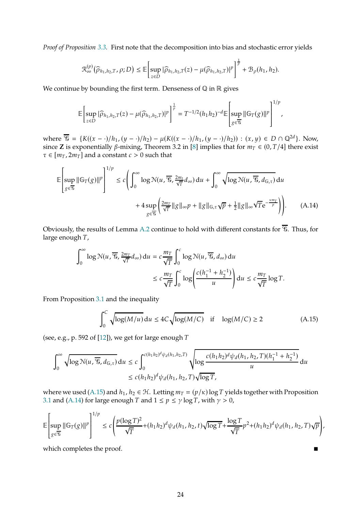*Proof of Proposition [3.3.](#page-6-2)* First note that the decomposition into bias and stochastic error yields

$$
\mathfrak{R}_{\infty}^{(p)}(\widehat{\rho}_{h_1,h_2,T},\rho;D)\leq \mathbb{E}\left[\sup_{z\in D}|\widehat{\rho}_{h_1,h_2,T}(z)-\mu(\widehat{\rho}_{h_1,h_2,T})|^p\right]^{\frac{1}{p}}+\mathfrak{B}_{\rho}(h_1,h_2).
$$

We continue by bounding the first term. Denseness of  $\mathbb Q$  in  $\mathbb R$  gives

$$
\mathbb{E}\left[\sup_{z\in D}|\widehat{\rho}_{h_1,h_2,T}(z)-\mu(\widehat{\rho}_{h_1,h_2,T})|^p\right]^{\frac{1}{p}}=T^{-1/2}(h_1h_2)^{-d}\mathbb{E}\left[\sup_{g\in\overline{\mathcal{G}}}\|\mathbb{G}_T(g)\|^p\right]^{1/p},\,
$$

where  $\overline{\mathcal{G}} = \{K((x - \cdot)/h_1, (y - \cdot)/h_2) - \mu(K((x - \cdot)/h_1, (y - \cdot)/h_2)) : (x, y) \in D \cap \mathbb{Q}^{2d}\}.$  Now, since **Z** is exponentially  $\beta$ -mixing, Theorem 3.2 in [\[8\]](#page-35-5) implies that for  $m_T \in (0, T/4]$  there exist  $\tau \in [m_T, 2m_T]$  and a constant  $c > 0$  such that

$$
\mathbb{E}\left[\sup_{g\in\overline{\mathcal{G}}}\|\mathbb{G}_{T}(g)\|^{p}\right]^{1/p} \le c\left(\int_{0}^{\infty}\log\mathcal{N}(u,\overline{\mathcal{G}},\frac{2m_{t}}{\sqrt{T}}d_{\infty})du + \int_{0}^{\infty}\sqrt{\log\mathcal{N}(u,\overline{\mathcal{G}},d_{\mathbb{G},\tau})}du + 4\sup_{g\in\overline{\mathcal{G}}}\left(\frac{2m_{T}}{\sqrt{T}}\|g\|_{\infty}p + \|g\|_{\mathbb{G},\tau}\sqrt{p} + \frac{1}{2}\|g\|_{\infty}\sqrt{T}e^{-\frac{\kappa m_{T}}{p}}\right)\right).
$$
 (A.14)

Obviously, the results of Lemma [A.2](#page-21-1) continue to hold with different constants for  $\overline{\mathcal{C}}$ . Thus, for large enough  $T$ ,

$$
\int_0^\infty \log \mathcal{N}(u, \overline{\mathcal{G}}, \frac{2m_T}{\sqrt{T}} d_\infty) du = c \frac{m_T}{\sqrt{T}} \int_0^c \log \mathcal{N}(u, \overline{\mathcal{G}}, d_\infty) du
$$
  

$$
\leq c \frac{m_T}{\sqrt{T}} \int_0^c \log \left( \frac{c(h_1^{-1} + h_2^{-1})}{u} \right) du \leq c \frac{m_T}{\sqrt{T}} \log T.
$$

From Proposition [3.1](#page-4-2) and the inequality

<span id="page-23-1"></span><span id="page-23-0"></span>
$$
\int_0^C \sqrt{\log(M/u)} \, \mathrm{d}u \le 4C \sqrt{\log(M/C)} \quad \text{if} \quad \log(M/C) \ge 2 \tag{A.15}
$$

(see, e.g., p. 592 of  $[12]$ ), we get for large enough T

$$
\int_0^{\infty} \sqrt{\log \mathcal{N}(u, \overline{\mathcal{G}}, d_{\mathbb{G}, \tau})} du \le c \int_0^{c(h_1 h_2)^d \psi_d(h_1, h_2, T)} \sqrt{\log \frac{c(h_1 h_2)^d \psi_d(h_1, h_2, T)(h_1^{-1} + h_2^{-1})}{u}} du
$$
  
  $\le c(h_1 h_2)^d \psi_d(h_1, h_2, T) \sqrt{\log T},$ 

where we used [\(A.15\)](#page-23-0) and  $h_1$ ,  $h_2 \in \mathcal{H}$ . Letting  $m_T = (p/\kappa) \log T$  yields together with Proposition [3.1](#page-4-2) and [\(A.14\)](#page-23-1) for large enough  $T$  and  $1 \leq p \leq \gamma \log T$ , with  $\gamma > 0$ ,

$$
\mathbb{E}\left[\sup_{g\in\overline{\mathcal{G}}}\left\|\mathbb{G}_{T}(g)\right\|^{p}\right]^{1/p} \leq c\left(\frac{p(\log T)^{2}}{\sqrt{T}}+(h_{1}h_{2})^{d}\psi_{d}(h_{1},h_{2},t)\sqrt{\log T}+\frac{\log T}{\sqrt{T}}p^{2}+(h_{1}h_{2})^{d}\psi_{d}(h_{1},h_{2},T)\sqrt{p}\right),
$$

which completes the proof.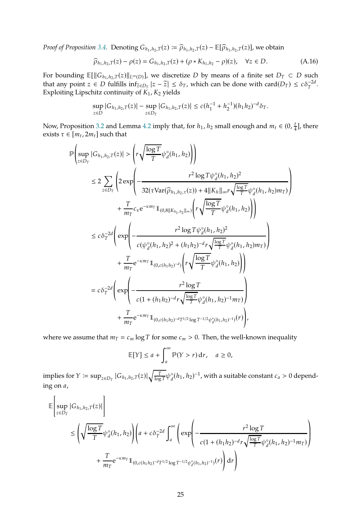*Proof of Proposition* [3.4.](#page-6-3) Denoting  $G_{h_1,h_2,T}(z) \coloneqq \widehat{\rho}_{h_1,h_2,T}(z) - \mathbb{E}[\widehat{\rho}_{h_1,h_2,T}(z)]$ , we obtain

<span id="page-24-0"></span>
$$
\widehat{\rho}_{h_1, h_2, T}(z) - \rho(z) = G_{h_1, h_2, T}(z) + (\rho * K_{h_1, h_2} - \rho)(z), \quad \forall z \in D.
$$
\n(A.16)

For bounding  $\mathbb{E}[\|G_{h_1,h_2,T}(z)\|_{L^{\infty}(D)}]$ , we discretize D by means of a finite set  $D_T \subset D$  such that any point  $z \in D$  fulfills  $\inf_{\tilde{z} \in D_T} |z - \tilde{z}| \leq \delta_T$ , which can be done with  $\text{card}(D_T) \leq c \delta_T^{-2d}$ . Exploiting Lipschitz continuity of  $K_1$ ,  $K_2$  yields

$$
\sup_{z \in D} |G_{h_1, h_2, T}(z)| - \sup_{z \in D_T} |G_{h_1, h_2, T}(z)| \le c (h_1^{-1} + h_2^{-1})(h_1 h_2)^{-d} \delta_T.
$$

Now, Proposition [3.2](#page-5-1) and Lemma [4.2](#page-11-0) imply that, for  $h_1$ ,  $h_2$  small enough and  $m_t \in (0, \frac{1}{4})$  $\frac{t}{4}$ ], there exists  $\tau \in [m_t, 2m_t]$  such that

$$
\begin{split} \mathbb{P}&\left(\sup_{z\in D_{T}}|G_{h_{1},h_{2},T}(z)|>\left(r\sqrt{\frac{\log T}{T}}\psi_{d}^{\circ}(h_{1},h_{2})\right)\right) \\ &\leq 2\sum_{z\in D_{T}}\left(2\exp\left(-\frac{r^{2}\log T\psi_{d}^{\circ}(h_{1},h_{2})^{2}}{32(\tau\text{Var}(\widehat{\rho}_{h_{1},h_{2},\tau}(z))+4\|K_{h}\|_{\infty}r\sqrt{\frac{\log T}{T}}\psi_{d}^{\circ}(h_{1},h_{2})m_{T})}\right) \\ &+\frac{T}{m_{T}}c_{\kappa}\mathrm{e}^{-\kappa m_{T}}\mathbb{1}_{(0,8\|K_{h_{1},h_{2}}\|_{\infty})}\left(r\sqrt{\frac{\log T}{T}}\psi_{d}^{\circ}(h_{1},h_{2})\right)\right) \\ &\leq c\delta_{T}^{-2d}\left(\exp\left(-\frac{r^{2}\log T\psi_{d}^{\circ}(h_{1},h_{2})^{2}}{c(\psi_{d}^{\circ}(h_{1},h_{2})^{2}+(h_{1}h_{2})^{-d}r\sqrt{\frac{\log T}{T}}\psi_{d}^{\circ}(h_{1},h_{2})m_{T})}\right) \\ &+\frac{T}{m_{T}}\mathrm{e}^{-\kappa m_{T}}\mathbb{1}_{(0,c(h_{1}h_{2})^{-d})}\left(r\sqrt{\frac{\log T}{T}}\psi_{d}^{\circ}(h_{1},h_{2})\right)\right) \\ &=c\delta_{T}^{-2d}\left(\exp\left(-\frac{r^{2}\log T}{c(1+(h_{1}h_{2})^{-d}r\sqrt{\frac{\log T}{T}}\psi_{d}^{\circ}(h_{1},h_{2})^{-1}m_{T})}\right) \\ &+\frac{T}{m_{T}}\mathrm{e}^{-\kappa m_{T}}\mathbb{1}_{(0,c(h_{1}h_{2})^{-d}T^{1/2}\log T^{-1/2}\psi_{d}^{\circ}(h_{1},h_{2})^{-1})(r)}\right), \end{split}
$$

where we assume that  $m_T = c_m \log T$  for some  $c_m > 0$ . Then, the well-known inequality

$$
\mathbb{E}[Y] \le a + \int_a^{\infty} \mathbb{P}(Y > r) dr, \quad a \ge 0,
$$

implies for  $Y \coloneqq \sup_{z \in D_T} |G_{h_1, h_2, T}(z)| \sqrt{\frac{T}{\log n}}$  $\frac{T}{\log T}\psi_d^{\circ}(h_1,h_2)^{-1}$ , with a suitable constant  $c_a>0$  depending on  $a$ ,

$$
\begin{aligned} &\mathbb{E}\Bigg[\sup_{z\in D_T}|G_{h_1,h_2,T}(z)|\Bigg]\\ &\leq \left(\sqrt{\frac{\log T}{T}}\psi_d^{\circ}(h_1,h_2)\right)\left(a+c\delta_T^{-2d}\int_a^{\infty}\left(\exp\left(-\frac{r^2\log T}{c(1+(h_1h_2)^{-d}r\sqrt{\frac{\log T}{T}}\psi_d^{\circ}(h_1,h_2)^{-1}mr)}\right)\right.\right.\\ &\left.+\frac{T}{m_T}\mathrm{e}^{-\kappa m_T}\mathbb{1}_{(0,c(h_1h_2)^{-d}T^{1/2}\log T^{-1/2}\psi_d^{\circ}(h_1,h_2)^{-1})}(r)\right)\mathrm{d} r\Bigg) \end{aligned}
$$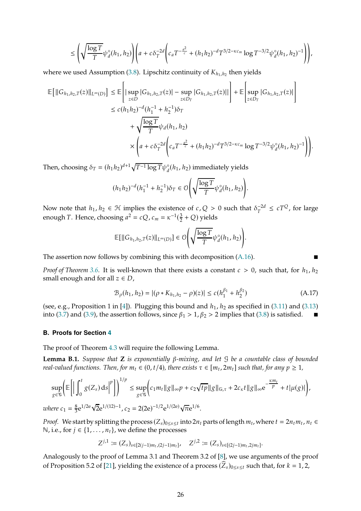$$
\leq \left(\sqrt{\frac{\log T}{T}}\psi_d^{\circ}(h_1,h_2)\right)\left(a + c\delta_T^{-2d}\left(c_aT^{-\frac{a^2}{c}} + (h_1h_2)^{-d}T^{3/2-\kappa c_m}\log T^{-3/2}\psi_d^{\circ}(h_1,h_2)^{-1}\right)\right),
$$

where we used Assumption [\(3.8\)](#page-6-1). Lipschitz continuity of  $K_{h_1,h_2}$  then yields

$$
\mathbb{E}\left[\|G_{h_1,h_2,T}(z)\|_{L^{\infty}(D)}\right] \leq \mathbb{E}\left[\left|\sup_{z\in D}|G_{h_1,h_2,T}(z)|-\sup_{z\in D_T}|G_{h_1,h_2,T}(z)||\right]+\mathbb{E}\left[\sup_{z\in D_T}|G_{h_1,h_2,T}(z)|\right]\right.\leq c(h_1h_2)^{-d}(h_1^{-1}+h_2^{-1})\delta_T+\sqrt{\frac{\log T}{T}}\psi_d(h_1,h_2)\times\left(a+c\delta_T^{-2d}\left(c_aT^{-\frac{a^2}{c}}+(h_1h_2)^{-d}T^{3/2-\kappa c_m}\log T^{-3/2}\psi_d^{\circ}(h_1,h_2)^{-1}\right)\right)
$$

Then, choosing  $\delta_T = (h_1 h_2)^{d+1} \sqrt{T^{-1} \log T} \psi_d^{\circ}(h_1, h_2)$  immediately yields

$$
(h_1h_2)^{-d}(h_1^{-1}+h_2^{-1})\delta_T \in \mathcal{O}\Bigg(\sqrt{\frac{\log T}{T}}\psi_d^{\circ}(h_1,h_2)\Bigg).
$$

Now note that  $h_1, h_2 \in \mathcal{H}$  implies the existence of  $c, Q > 0$  such that  $\delta_T^{-2d} \leq cT^Q$ , for large enough *T*. Hence, choosing  $a^2 = cQ$ ,  $c_m = \kappa^{-1}(\frac{3}{2})$  $\frac{3}{2}$  + Q) yields

$$
\mathbb{E}[\|G_{h_1,h_2,T}(z)\|_{L^\infty(D)}]\in \mathcal{O}\Bigg(\sqrt{\frac{\log T}{T}}\psi_d^{\circ}(h_1,h_2)\Bigg).
$$

The assertion now follows by combining this with decomposition [\(A.16\)](#page-24-0).

*Proof of Theorem* [3.6.](#page-7-1) It is well-known that there exists a constant  $c > 0$ , such that, for  $h_1, h_2$ small enough and for all  $z \in D$ ,

<span id="page-25-1"></span>
$$
\mathcal{B}_{\rho}(h_1, h_2) = |(\rho * K_{h_1, h_2} - \rho)(z)| \le c(h_1^{\beta_1} + h_2^{\beta_2})
$$
\n(A.17)

.

(see, e.g., Proposition 1 in [\[4](#page-35-8)]). Plugging this bound and  $h_1$ ,  $h_2$  as specified in [\(3.11\)](#page-7-3) and [\(3.13\)](#page-7-5) into [\(3.7\)](#page-6-4) and [\(3.9\)](#page-6-5), the assertion follows, since  $\beta_1 > 1$ ,  $\beta_2 > 2$  implies that [\(3.8\)](#page-6-1) is satisfied.

#### **B. Proofs for Section [4](#page-9-0)**

The proof of Theorem [4.3](#page-11-2) will require the following Lemma.

<span id="page-25-0"></span>**Lemma B.1.** *Suppose that*  $Z$  *is exponentially*  $\beta$ -mixing, and let  $\beta$  *be a countable class of bounded real-valued functions.* Then, for  $m_t \in (0, t/4)$ , there exists  $\tau \in [m_t, 2m_t]$  such that, for any  $p \ge 1$ ,

$$
\sup_{g \in \mathcal{G}} \left( \mathbb{E} \left[ \left| \int_0^t g(Z_s) \, ds \right|^p \right] \right)^{1/p} \leq \sup_{g \in \mathcal{G}} \left( c_1 m_t \|g\|_{\infty} p + c_2 \sqrt{tp} \|g\|_{\mathbb{G}, \tau} + 2c_{\kappa} t \|g\|_{\infty} e^{-\frac{\kappa m_t}{p}} + t |\mu(g)| \right),
$$
\n
$$
\sup_{g \in \mathcal{G}} \left( c_1 m_t \|g\|_{\infty} p + c_2 \sqrt{tp} \|g\|_{\mathbb{G}, \tau} + 2c_{\kappa} t \|g\|_{\infty} e^{-\frac{\kappa m_t}{p}} + t |\mu(g)| \right),
$$

*where*  $c_1 = \frac{8}{3}$  $\frac{8}{3}e^{1/2e}\sqrt{2}e^{1/(12)-1}$ ,  $c_2 = 2(2e)^{-1/2}e^{1/(2e)}\sqrt{\pi}e^{1/6}$ .

*Proof.* We start by splitting the process  $(Z_s)_{0 \le s \le t}$  into  $2n_t$  parts of length  $m_t$ , where  $t = 2n_t m_t$ ,  $n_t \in$ N, i.e., for  $j$  ∈ {1, . . . ,  $n_t$ }, we define the processes

$$
Z^{j,1} := (Z_s)_{s \in [2(j-1)m_t,(2j-1)m_t]}, \quad Z^{j,2} := (Z_s)_{s \in [(2j-1)m_t,2jm_t]}.
$$

Analogously to the proof of Lemma 3.1 and Theorem 3.2 of [\[8](#page-35-5)], we use arguments of the proof of Proposition 5.2 of [\[21](#page-36-9)], yielding the existence of a process  $(\widehat{Z}_s)_{0\leq s\leq t}$  such that, for  $k=1,2$ ,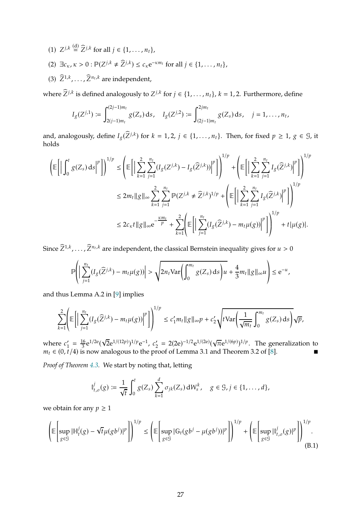- (1)  $Z^{j,k} \stackrel{\text{(d)}}{=} \widehat{Z}^{j,k}$  for all  $j \in \{1, \ldots, n_t\}$ ,
- (2)  $\exists c_K, \kappa > 0 : \mathbb{P}(Z^{j,k} \neq \widehat{Z}^{j,k}) \leq c_{\kappa} e^{-\kappa m_t}$  for all  $j \in \{1, \ldots, n_t\}$ ,
- (3)  $\bar{Z}^{1,k}, \ldots, \bar{Z}^{n_t,k}$  are independent,

where  $Z^{j,k}$  is defined analogously to  $Z^{j,k}$  for  $j \in \{1, \ldots, n_t\}$ ,  $k = 1, 2$ . Furthermore, define

$$
I_g(Z^{j,1}) := \int_{2(j-1)m_t}^{(2j-1)m_t} g(Z_s) \, ds, \quad I_g(Z^{j,2}) := \int_{(2j-1)m_t}^{2jm_t} g(Z_s) \, ds, \quad j = 1, \ldots, n_t,
$$

and, analogously, define  $I_g(\hat{Z}^{j,k})$  for  $k = 1, 2, j \in \{1, ..., n_t\}$ . Then, for fixed  $p \ge 1$ ,  $g \in \mathcal{G}$ , it holds

$$
\left(\mathbb{E}\left[\left|\int_{0}^{t} g(Z_{s}) \,ds\right|^{p}\right]\right)^{1/p} \leq \left(\mathbb{E}\left[\left|\sum_{k=1}^{2} \sum_{j=1}^{n_{t}} (I_{g}(Z^{j,k}) - I_{g}(\widehat{Z}^{j,k}))\right|^{p}\right]\right)^{1/p} + \left(\mathbb{E}\left[\left|\sum_{k=1}^{2} \sum_{j=1}^{n_{t}} I_{g}(\widehat{Z}^{j,k})\right|^{p}\right]\right)^{1/p}
$$
\n
$$
\leq 2m_{t} \|g\|_{\infty} \sum_{k=1}^{2} \sum_{j=1}^{n_{t}} \mathbb{P}(Z^{j,k} \neq \widehat{Z}^{j,k})^{1/p} + \left(\mathbb{E}\left[\left|\sum_{k=1}^{2} \sum_{j=1}^{n_{t}} I_{g}(\widehat{Z}^{j,k})\right|^{p}\right]\right)^{1/p}
$$
\n
$$
\leq 2c_{\kappa} t \|g\|_{\infty} e^{-\frac{\kappa m_{t}}{p}} + \sum_{k=1}^{2} \left(\mathbb{E}\left[\left|\sum_{j=1}^{n_{t}} (I_{g}(\widehat{Z}^{j,k}) - m_{t}\mu(g))\right|^{p}\right]\right)^{1/p} + t|\mu(g)|.
$$

Since  $Z^{1,k}, \ldots, Z^{n_t,k}$  are independent, the classical Bernstein inequality gives for  $u > 0$ 

$$
\mathbb{P}\Bigg(\bigg|\sum_{j=1}^{n_t} (I_g(\widehat{Z}^{j,k})-m_t\mu(g))\bigg|>\sqrt{2n_t\text{Var}\Bigg(\int_0^{m_t}g(Z_s)\,ds\Bigg)u}+\frac{4}{3}m_t\|g\|_\infty u\Bigg)\leq \mathrm{e}^{-u},
$$

and thus Lemma A.2 in [\[9\]](#page-35-7) implies

$$
\sum_{k=1}^2 \left( \mathbb{E} \left[ \left| \sum_{j=1}^{n_t} (I_g(\widehat{Z}^{j,k}) - m_t \mu(g)) \right|^p \right] \right)^{1/p} \le c_1' m_t \|g\|_{\infty} p + c_2' \sqrt{t \operatorname{Var} \left( \frac{1}{\sqrt{m_t}} \int_0^{m_t} g(Z_s) \, ds \right)} \sqrt{p},
$$

where  $c'_1 = \frac{16}{3}$  $\frac{16}{3}e^{1/2e}(\sqrt{2}e^{1/(12p)})^{1/p}e^{-1}, c'_2 = 2(2e)^{-1/2}e^{1/(2e)}$  $\sqrt{\pi}e^{1/(6p)})^{1/p}$ . The generalization to  $m_t \in (0, \bar{t}/4)$  is now analogous to the proof of Lemma 3.1 and Theorem 3.2 of [\[8](#page-35-5)].

*Proof of Theorem [4.3.](#page-11-2)* We start by noting that, letting

$$
\mathbb{I}_{t,\sigma}^{j}(g) := \frac{1}{\sqrt{t}} \int_{0}^{t} g(Z_{s}) \sum_{k=1}^{d} \sigma_{jk}(Z_{s}) dW_{s}^{k}, \quad g \in \mathcal{G}, j \in \{1, ..., d\},
$$

we obtain for any  $p \geq 1$ 

<span id="page-26-0"></span>
$$
\left(\mathbb{E}\left[\sup_{g\in\mathcal{G}}|\mathbb{H}_{t}^{j}(g) - \sqrt{t}\mu(gb^{j})|^{p}\right]\right)^{1/p} \leq \left(\mathbb{E}\left[\sup_{g\in\mathcal{G}}|\mathbb{G}_{t}(gb^{j} - \mu(gb^{j}))|^{p}\right]\right)^{1/p} + \left(\mathbb{E}\left[\sup_{g\in\mathcal{G}}|\mathbb{I}_{t,\sigma}^{j}(g)|^{p}\right]\right)^{1/p}.
$$
\n(B.1)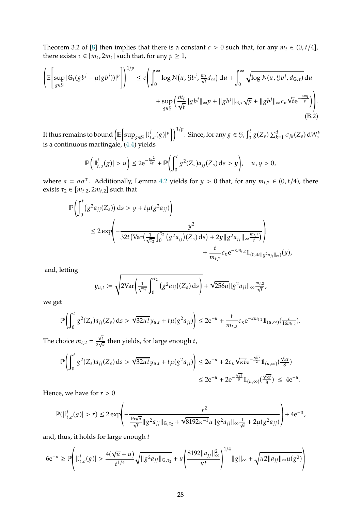Theorem 3.2 of [\[8\]](#page-35-5) then implies that there is a constant  $c > 0$  such that, for any  $m_t \in (0, t/4]$ , there exists  $\tau \in [m_t, 2m_t]$  such that, for any  $p \ge 1$ ,

<span id="page-27-0"></span>
$$
\left(\mathbb{E}\left[\sup_{g\in\mathcal{G}}|\mathbb{G}_{t}(gb^{j}-\mu(gb^{j}))|^{p}\right]\right)^{1/p}\le c\left(\int_{0}^{\infty}\log\mathcal{N}(u,gb^{j},\frac{m_{t}}{\sqrt{t}}d_{\infty})du+\int_{0}^{\infty}\sqrt{\log\mathcal{N}(u,gb^{j},d_{\mathbb{G},\tau})}du+\sup_{g\in\mathcal{G}}\left(\frac{m_{t}}{\sqrt{t}}\|gb^{j}\|_{\infty}p+\|gb^{j}\|_{\mathbb{G},\tau}\sqrt{p}+\|gb^{j}\|_{\infty}c_{\kappa}\sqrt{t}e^{-\frac{\kappa m_{t}}{p}}\right)\right).
$$
\n(B.2)

It thus remains to bound  $\bigl(\mathbb{E}\bigl[$  $\sup_{g \in \mathcal{G}} |\mathbb{I}^j_t$  $\int_{t,\sigma}^{j}(g)|^{p} \, \bigg| \bigg)^{1/p}$ . Since, for any  $g \in \mathcal{G}$ ,  $\int_{0}^{t}$  $\int_0^t g(Z_s) \sum_{k=1}^d \sigma_{jk}(Z_s) dW_s^k$ is a continuous martingale, [\(4.4\)](#page-11-1) yields

$$
\mathbb{P}\Big(|\mathbb{I}_{t,\sigma}^j(g)|>u\Big)\leq 2\mathrm{e}^{-\frac{tu^2}{2y}}+\mathbb{P}\Big(\int_0^t g^2(Z_s)a_{jj}(Z_s)\,\mathrm{d} s>y\Big),\quad u,y>0,
$$

where  $a = \sigma \sigma^{\top}$ . Additionally, Lemma [4.2](#page-11-0) yields for  $y > 0$  that, for any  $m_{t,2} \in (0, t/4)$ , there exists  $\tau_2 \in [m_{t,2}, 2m_{t,2}]$  such that

$$
\mathbb{P}\left(\int_{0}^{t} (g^{2}a_{jj}(Z_{s})) ds > y + t\mu(g^{2}a_{jj})\right)
$$
\n
$$
\leq 2 \exp\left(-\frac{y^{2}}{32t\left(\operatorname{Var}\left(\frac{1}{\sqrt{\tau_{2}}}\int_{0}^{\tau_{2}} (g^{2}a_{jj})(Z_{s}) ds\right) + 2y\|g^{2}a_{jj}\|_{\infty} \frac{m_{t,2}}{t}\right)}{+\frac{t}{m_{t,2}}c_{\kappa}e^{-\kappa m_{t,2}}1_{(0,4t\|g^{2}a_{jj}\|_{\infty})}(y),\right)}
$$

and, letting

$$
y_{u,t} := \sqrt{2\text{Var}\left(\frac{1}{\sqrt{\tau_2}}\int_0^{\tau_2} (g^2 a_{jj})(Z_s) \, ds\right)} + \sqrt{256u} \|g^2 a_{jj}\|_{\infty} \frac{m_{t,2}}{\sqrt{t}},
$$

we get

$$
\mathbb{P}\Biggl(\int_0^t g^2(Z_s)a_{jj}(Z_s)\, \textup{d} s>\sqrt{32ut} \, y_{u,t}+t\mu(g^2a_{jj})\Biggr)\leq 2\textup{e}^{-u}+\frac{t}{m_{t,2}}c_\kappa\textup{e}^{-\kappa m_{t,2}}\mathbb{1}_{(u,\infty)}(\tfrac{t}{16m_{t,2}}).
$$

The choice  $m_{t,2} = \frac{\sqrt{t}}{2\sqrt{t}}$  $\frac{V_l}{2\sqrt{k}}$  then yields, for large enough t,

$$
\begin{split} \mathbb{P}\Biggl( \int_{0}^{t} g^{2}(Z_{s}) a_{jj}(Z_{s}) \, \text{d}s &> \sqrt{32 u t} y_{u,t} + t \mu(g^{2} a_{jj}) \Biggr) \leq 2 \mathrm{e}^{-u} + 2 c_{\kappa} \sqrt{\kappa t} \mathrm{e}^{-\frac{\sqrt{\kappa t}}{2}} 1\!\!1_{(u,\infty)} (\frac{\sqrt{\kappa t}}{8}) \\ &\leq 2 \mathrm{e}^{-u} + 2 \mathrm{e}^{-\frac{\sqrt{\kappa t}}{8}} 1\!\!1_{(u,\infty)} (\frac{\sqrt{\kappa t}}{8}) \ \leq \ 4 \mathrm{e}^{-u}. \end{split}
$$

Hence, we have for  $r > 0$ 

$$
\mathbb{P}(|\mathbb{I}_{t,\sigma}^j(g)|>r)\leq 2\exp\left(-\frac{r^2}{\frac{16\sqrt{u}}{\sqrt{t}}\|g^2a_{jj}\|_{\mathbb{G},\tau_2}+\sqrt{8192\kappa^{-1}}u\|g^2a_{jj}\|_{\infty}\frac{1}{\sqrt{t}}+2\mu(g^2a_{jj})}\right)+4{\rm e}^{-u},
$$

and, thus, it holds for large enough  $t$ 

$$
6e^{-u} \ge \mathbb{P}\left(\left|\mathbb{I}_{t,\sigma}^{j}(g)\right| > \frac{4(\sqrt{u}+u)}{t^{1/4}}\sqrt{\|g^2a_{jj}\|_{\mathbb{G},\tau_2}} + u\left(\frac{8192\|a_{jj}\|_{\infty}^2}{\kappa t}\right)^{1/4}\|g\|_{\infty} + \sqrt{u^2\|a_{jj}\|_{\infty}\mu(g^2)}\right)
$$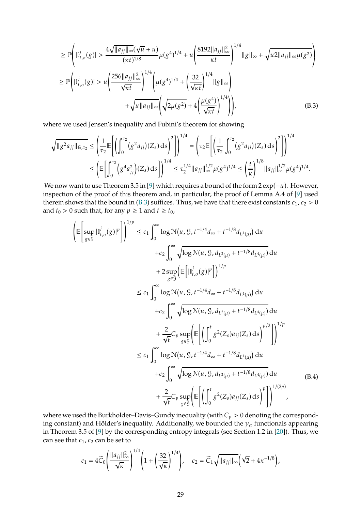<span id="page-28-0"></span>
$$
\geq \mathbb{P}\left(|\mathbb{I}_{t,\sigma}^{j}(g)| > \frac{4\sqrt{||a_{jj}||_{\infty}}(\sqrt{u}+u)}{(\kappa t)^{1/8}}\mu(g^{4})^{1/4} + u\left(\frac{8192||a_{jj}||_{\infty}^{2}}{\kappa t}\right)^{1/4}||g||_{\infty} + \sqrt{u^{2}||a_{jj}||_{\infty}\mu(g^{2})}\right)
$$
  
\n
$$
\geq \mathbb{P}\left(|\mathbb{I}_{t,\sigma}^{j}(g)| > u\left(\frac{256||a_{jj}||_{\infty}^{2}}{\sqrt{\kappa t}}\right)^{1/4}\left(\mu(g^{4})^{1/4} + \left(\frac{32}{\sqrt{\kappa t}}\right)^{1/4}||g||_{\infty}\right) + \sqrt{u^{2}||a_{jj}||_{\infty}}\left(\sqrt{2\mu(g^{2})} + 4\left(\frac{\mu(g^{4})}{\sqrt{\kappa t}}\right)^{1/4}\right)\right),
$$
\n(B.3)

where we used Jensen's inequality and Fubini's theorem for showing

$$
\sqrt{\|g^2 a_{jj}\|_{G,\tau_2}} \le \left(\frac{1}{\tau_2} \mathbb{E}\left[\left(\int_0^{\tau_2} (g^2 a_{jj})(Z_s) \, ds\right)^2\right]\right)^{1/4} = \left(\tau_2 \mathbb{E}\left[\left(\frac{1}{\tau_2} \int_0^{\tau_2} (g^2 a_{jj})(Z_s) \, ds\right)^2\right]\right)^{1/4}
$$

$$
\le \left(\mathbb{E}\left[\int_0^{\tau_2} (g^4 a_{jj}^2)(Z_s) \, ds\right]\right)^{1/4} \le \tau_2^{1/4} \|a_{jj}\|_{\infty}^{1/2} \mu(g^4)^{1/4} \le \left(\frac{t}{\kappa}\right)^{1/8} \|a_{jj}\|_{\infty}^{1/2} \mu(g^4)^{1/4}.
$$

We now want to use Theorem 3.5 in [\[9](#page-35-7)] which requires a bound of the form  $2 \exp(-u)$ . However, inspection of the proof of this theorem and, in particular, the proof of Lemma A.4 of [\[9](#page-35-7)] used therein shows that the bound in [\(B.3\)](#page-28-0) suffices. Thus, we have that there exist constants  $c_1$ ,  $c_2 > 0$ and  $t_0 > 0$  such that, for any  $p \ge 1$  and  $t \ge t_0$ ,

$$
\left( \mathbb{E} \left[ \sup_{g \in \mathcal{G}} |I_{t,\sigma}^{j}(g)|^{p} \right] \right)^{1/p} \leq c_{1} \int_{0}^{\infty} \log \mathcal{N}(u, \mathcal{G}, t^{-1/4} d_{\infty} + t^{-1/8} d_{L^{4}(\mu)}) du \n+ c_{2} \int_{0}^{\infty} \sqrt{\log \mathcal{N}(u, \mathcal{G}, d_{L^{2}(\mu)} + t^{-1/8} d_{L^{4}(\mu)})} du \n+ 2 \sup_{g \in \mathcal{G}} \left( \mathbb{E} \left[ |I_{t,\sigma}^{j}(g)|^{p} \right] \right)^{1/p} \n\leq c_{1} \int_{0}^{\infty} \log \mathcal{N}(u, \mathcal{G}, t^{-1/4} d_{\infty} + t^{-1/8} d_{L^{4}(\mu)}) du \n+ c_{2} \int_{0}^{\infty} \sqrt{\log \mathcal{N}(u, \mathcal{G}, d_{L^{2}(\mu)} + t^{-1/8} d_{L^{4}(\mu)})} du \n+ \frac{2}{\sqrt{t}} C_{p} \sup_{g \in \mathcal{G}} \left( \mathbb{E} \left[ \left( \int_{0}^{t} g^{2}(Z_{s}) a_{jj}(Z_{s}) ds \right)^{p/2} \right] \right)^{1/p} \n\leq c_{1} \int_{0}^{\infty} \log \mathcal{N}(u, \mathcal{G}, t^{-1/4} d_{\infty} + t^{-1/8} d_{L^{4}(\mu)}) du \n+ c_{2} \int_{0}^{\infty} \sqrt{\log \mathcal{N}(u, \mathcal{G}, d_{L^{2}(\mu)} + t^{-1/8} d_{L^{4}(\mu)})} du \n+ c_{2} \int_{0}^{\infty} \sqrt{\log \mathcal{N}(u, \mathcal{G}, d_{L^{2}(\mu)} + t^{-1/8} d_{L^{4}(\mu)})} du \n+ \frac{2}{\sqrt{t}} C_{p} \sup_{g \in \mathcal{G}} \left[ \mathbb{E} \left[ \left( \int_{0}^{t} g^{2}(Z_{s}) a_{jj}(Z_{s}) ds \right)^{p} \right] \right)^{1/(2p)} ,
$$

where we used the Burkholder–Davis–Gundy inequality (with  $C_p > 0$  denoting the corresponding constant) and Hölder's inequality. Additionally, we bounded the  $\gamma_\alpha$  functionals appearing in Theorem 3.5 of [\[9](#page-35-7)] by the corresponding entropy integrals (see Section 1.2 in [\[20\]](#page-36-11)). Thus, we can see that  $c_1$ ,  $c_2$  can be set to

<span id="page-28-1"></span>
$$
c_1 = 4\widetilde{C}_0 \left( \frac{\|a_{jj}\|_{\infty}^2}{\sqrt{\kappa}} \right)^{1/4} \left( 1 + \left( \frac{32}{\sqrt{\kappa}} \right)^{1/4} \right), \quad c_2 = \widetilde{C}_1 \sqrt{\|a_{jj}\|_{\infty}} \left( \sqrt{2} + 4\kappa^{-1/8} \right),
$$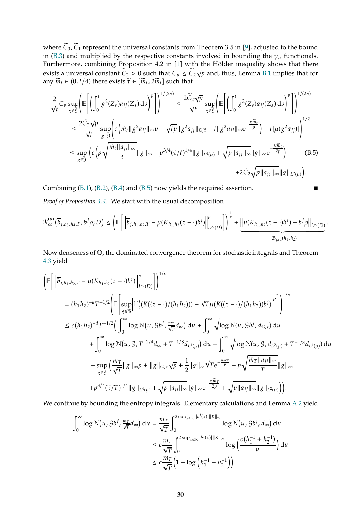where  $\widetilde{C}_0$ ,  $\widetilde{C}_1$  represent the universal constants from Theorem 3.5 in [\[9](#page-35-7)], adjusted to the bound in [\(B.3\)](#page-28-0) and multiplied by the respective constants involved in bounding the  $\gamma_\alpha$  functionals. Furthermore, combining Proposition 4.2 in [\[1](#page-35-9)] with the Hölder inequality shows that there exists a universal constant  $\widetilde{C}_2 > 0$  such that  $C_p \le \widetilde{C}_2 \sqrt{p}$  and, thus, Lemma [B.1](#page-25-0) implies that for any  $\widetilde{m}_t \in (0, t/4)$  there exists  $\widetilde{\tau} \in [\widetilde{m}_t, 2\widetilde{m}_t]$  such that

$$
\frac{2}{\sqrt{t}}C_p \sup_{g\in\mathcal{G}} \left( \mathbb{E} \left[ \left( \int_0^t g^2(Z_s) a_{jj}(Z_s) \, ds \right)^p \right] \right)^{1/(2p)} \leq \frac{2\widetilde{C}_2 \sqrt{p}}{\sqrt{t}} \sup_{g\in\mathcal{G}} \left( \mathbb{E} \left[ \left( \int_0^t g^2(Z_s) a_{jj}(Z_s) \, ds \right)^p \right] \right)^{1/(2p)} \n\leq \frac{2\widetilde{C}_2 \sqrt{p}}{\sqrt{t}} \sup_{g\in\mathcal{G}} \left( c \left( \widetilde{m}_t || g^2 a_{jj} ||_{\infty} p + \sqrt{t p} || g^2 a_{jj} ||_{\infty} \widetilde{\tau} + t || g^2 a_{jj} ||_{\infty} e^{-\frac{\kappa \widetilde{m}_t}{p}} \right) + t |\mu(g^2 a_{jj})| \right)^{1/2} \n\leq \sup_{g\in\mathcal{G}} \left( c \left( p \sqrt{\frac{\widetilde{m}_t || a_{jj} ||_{\infty}}{t}} || g ||_{\infty} + p^{3/4} (\widetilde{\tau}/t)^{1/4} || g ||_{L^4(\mu)} + \sqrt{p || a_{jj} ||_{\infty}} || g ||_{\infty} e^{-\frac{\kappa \widetilde{m}_t}{2p}} \right) \qquad (B.5) \n+ 2\widetilde{C}_2 \sqrt{p || a_{jj} ||_{\infty}} || g ||_{L^2(\mu)} \right).
$$

Combining  $(B.1)$ ,  $(B.2)$ ,  $(B.4)$  and  $(B.5)$  now yields the required assertion.

*Proof of Proposition [4.4.](#page-12-1)* We start with the usual decomposition

$$
\mathcal{R}_{\infty}^{(p)}(\overline{b}_{j,h_3,h_4,T},b^j\rho;D) \leq \left(\mathbb{E}\bigg[\bigg\|\overline{b}_{j,h_1,h_2,T} - \mu(K_{h_1,h_2}(z-\cdot)b^j)\bigg\|_{L^{\infty}(D)}^p\bigg]\right)^{\frac{1}{p}} + \underbrace{\big\|\mu(K_{h_1,h_2}(z-\cdot)b^j) - b^j\rho\big\|_{L^{\infty}(D)}}_{= \mathcal{B}_{b^j\rho}(h_1,h_2)}.
$$

<span id="page-29-0"></span>.

Now denseness of ℚ, the dominated convergence theorem for stochastic integrals and Theorem [4.3](#page-11-2) yield

$$
\begin{split}\n&\left(\mathbb{E}\left[\left\|\overline{b}_{j,h_{1},h_{2},T}-\mu(K_{h_{1},h_{2}}(z-\cdot)b^{j})\right\|^{p}_{L^{\infty}(D)}\right]\right)^{1/p} \\
&= (h_{1}h_{2})^{-d}T^{-1/2}\left(\mathbb{E}\left[\sup_{g\in\mathcal{G}}\left|\mathbb{H}_{t}^{j}(K((z-\cdot)/(h_{1}h_{2})))-\sqrt{T}\mu(K((z-\cdot)/(h_{1}h_{2}))b^{j})\right|^{p}\right]\right)^{1/p} \\
&\leq c(h_{1}h_{2})^{-d}T^{-1/2}\left(\int_{0}^{\infty}\log\mathcal{N}(u,\mathcal{G}b^{j},\frac{m_{T}}{\sqrt{T}}d_{\infty})\,du+\int_{0}^{\infty}\sqrt{\log\mathcal{N}(u,\mathcal{G}b^{j},d_{\mathbb{G},\tau})}\,du\n\right. \\
&\left.+\int_{0}^{\infty}\log\mathcal{N}(u,\mathcal{G},T^{-1/4}d_{\infty}+T^{-1/8}d_{L^{4}(\mu)})\,du+\int_{0}^{\infty}\sqrt{\log\mathcal{N}(u,\mathcal{G},d_{L^{2}(\mu)}+T^{-1/8}d_{L^{4}(\mu)})}\,du\n\right. \\
&\left.+\sup_{g\in\mathcal{G}}\left(\frac{m_{T}}{\sqrt{T}}\|g\|_{\infty}p+\|g\|_{\mathbb{G},\tau}\sqrt{p}+\frac{1}{2}\|g\|_{\infty}\sqrt{T}\mathrm{e}^{-\frac{\kappa m_{T}}{p}}+p\sqrt{\frac{\widetilde{m}_{T}\|a_{jj}\|_{\infty}}{T}}\|g\|_{\infty}\right. \\
&\left.\left.+p^{3/4}(\widetilde{\tau}/T)^{1/4}\|g\|_{L^{4}(\mu)}+\sqrt{p\|a_{jj}\|_{\infty}}\|g\|_{\infty}\mathrm{e}^{-\frac{\kappa\widetilde{m}_{T}}{2p}}+\sqrt{p\|a_{jj}\|_{\infty}}\|g\|_{L^{2}(\mu)}\right)\right).\n\end{split}
$$

We continue by bounding the entropy integrals. Elementary calculations and Lemma [A.2](#page-21-1) yield

$$
\int_0^\infty \log \mathcal{N}(u, \mathcal{G}b^j, \frac{m_T}{\sqrt{T}}d_\infty) du = \frac{m_T}{\sqrt{T}} \int_0^{2 \sup_{x \in \mathcal{K}} |b^j(x)| ||K||_\infty} \log \mathcal{N}(u, \mathcal{G}b^j, d_\infty) du
$$
  

$$
\leq c \frac{m_T}{\sqrt{T}} \int_0^{2 \sup_{x \in \mathcal{K}} |b^j(x)| ||K||_\infty} \log \left(\frac{c(h_1^{-1} + h_2^{-1})}{u}\right) du
$$
  

$$
\leq c \frac{m_T}{\sqrt{T}} \left(1 + \log \left(h_1^{-1} + h_2^{-1}\right)\right).
$$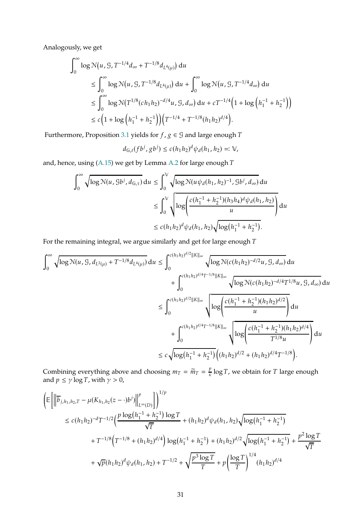Analogously, we get

$$
\int_0^\infty \log N(u, \mathcal{G}, T^{-1/4} d_\infty + T^{-1/8} d_{L^4(\mu)}) du
$$
  
\n
$$
\leq \int_0^\infty \log N(u, \mathcal{G}, T^{-1/8} d_{L^4(\mu)}) du + \int_0^\infty \log N(u, \mathcal{G}, T^{-1/4} d_\infty) du
$$
  
\n
$$
\leq \int_0^\infty \log N(T^{1/8} (c h_1 h_2)^{-d/4} u, \mathcal{G}, d_\infty) du + c T^{-1/4} \left(1 + \log \left( h_1^{-1} + h_2^{-1} \right) \right)
$$
  
\n
$$
\leq c \left(1 + \log \left( h_1^{-1} + h_2^{-1} \right) \right) \left( T^{-1/4} + T^{-1/8} (h_1 h_2)^{d/4} \right).
$$

Furthermore, Proposition [3.1](#page-4-2) yields for  $f$ ,  $g \in \mathcal{G}$  and large enough  $T$ 

$$
d_{\mathbb{G},t}(fb^j, gb^j) \le c(h_1h_2)^d \psi_d(h_1, h_2) =: \mathbb{V},
$$

and, hence, using  $(A.15)$  we get by Lemma [A.2](#page-21-1) for large enough  $T$ 

$$
\int_0^{\infty} \sqrt{\log N(u, g b^j, d_{G,\tau})} du \le \int_0^{\sqrt{\log N(u \psi_d(h_1, h_2)^{-1}, g b^j, d_{\infty})}} du
$$
  

$$
\le \int_0^{\sqrt{\log n}} \sqrt{\log \left( \frac{c(h_1^{-1} + h_2^{-1})(h_3 h_4)^d \psi_d(h_1, h_2)}{u} \right)} du
$$
  

$$
\le c(h_1 h_2)^d \psi_d(h_1, h_2) \sqrt{\log (h_1^{-1} + h_2^{-1})}.
$$

For the remaining integral, we argue similarly and get for large enough  $T$ 

$$
\int_0^\infty \sqrt{\log N(u, \mathcal{G}, d_{L^2(\mu)} + T^{-1/8} d_{L^4(\mu)})} du \leq \int_0^{c(h_1 h_2)^{d/2} ||K||_\infty} \sqrt{\log N(c(h_1 h_2)^{-d/2} u, \mathcal{G}, d_\infty)} du \n+ \int_0^{c(h_1 h_2)^{d/4} T^{-1/8} ||K||_\infty} \sqrt{\log N(c(h_1 h_2)^{-d/4} T^{1/8} u, \mathcal{G}, d_\infty)} du \n\leq \int_0^{c(h_1 h_2)^{d/2} ||K||_\infty} \sqrt{\log \left( \frac{c(h_1^{-1} + h_2^{-1})(h_1 h_2)^{d/2}}{u} \right)} du \n+ \int_0^{c(h_1 h_2)^{d/4} T^{-1/8} ||K||_\infty} \sqrt{\log \left( \frac{c(h_1^{-1} + h_2^{-1})(h_1 h_2)^{d/2}}{T^{1/8} u} \right)} du \n\leq c \sqrt{\log (h_1^{-1} + h_2^{-1})} \left( (h_1 h_2)^{d/2} + (h_1 h_2)^{d/4} T^{-1/8} \right).
$$

Combining everything above and choosing  $m_T = \widetilde{m}_T = \frac{p}{\kappa}$  $\frac{p}{\kappa} \log T$ , we obtain for  $T$  large enough and  $p \le \gamma \log T$ , with  $\gamma > 0$ ,

$$
\begin{split} \bigg( &\mathbb{E}\bigg[ \bigg\| \overline{b}_{j,h_1,h_2,T} - \mu(K_{h_1,h_2}(z-\cdot)b^j) \bigg\|_{L^\infty(D)}^p \bigg] \bigg)^{1/p} \\ &\leq c(h_1h_2)^{-d} T^{-1/2} \bigg( \frac{p\log\big(h_1^{-1} + h_2^{-1}\big)\log T}{\sqrt{T}} + (h_1h_2)^d\psi_d(h_1,h_2) \sqrt{\log\big(h_1^{-1} + h_2^{-1}\big)} \\ &+ T^{-1/8} \Big( T^{-1/8} + (h_1h_2)^{d/4} \Big) \log\big(h_1^{-1} + h_2^{-1}\big) + (h_1h_2)^{d/2} \sqrt{\log\big(h_1^{-1} + h_2^{-1}\big)} + \frac{p^2\log T}{\sqrt{T}} \\ &+ \sqrt{p}(h_1h_2)^d\psi_d(h_1,h_2) + T^{-1/2} + \sqrt{\frac{p^3\log T}{T}} + p \bigg( \frac{\log T}{T} \bigg)^{1/4} (h_1h_2)^{d/4} \end{split}
$$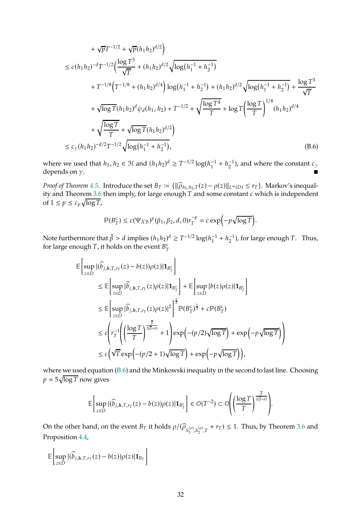$$
+\sqrt{p}T^{-1/2} + \sqrt{p}(h_1h_2)^{d/2}\n\n\leq c(h_1h_2)^{-d}T^{-1/2}\left(\frac{\log T^3}{\sqrt{T}} + (h_1h_2)^{d/2}\sqrt{\log(h_1^{-1} + h_2^{-1})}\n\n+ T^{-1/8}\left(T^{-1/8} + (h_1h_2)^{d/4}\right)\log(h_1^{-1} + h_2^{-1}) + (h_1h_2)^{d/2}\sqrt{\log(h_1^{-1} + h_2^{-1})} + \frac{\log T^3}{\sqrt{T}}\n\n+ \sqrt{\log T}(h_1h_2)^d\psi_d(h_1, h_2) + T^{-1/2} + \sqrt{\frac{\log T^4}{T}} + \log T\left(\frac{\log T}{T}\right)^{1/4}(h_1h_2)^{d/4}\n\n+ \sqrt{\frac{\log T}{T}} + \sqrt{\log T}(h_1h_2)^{d/2}\n\n\leq c_\gamma(h_1h_2)^{-d/2}T^{-1/2}\sqrt{\log(h_1^{-1} + h_2^{-1})},
$$
\n(B.6)

where we used that  $h_1, h_2 \in \mathcal{H}$  and  $(h_1 h_2)^d \geq T^{-1/2} \log(h_1^{-1} + h_2^{-1})$ , and where the constant  $c_{\gamma}$ depends on  $\gamma$ .

*Proof of Theorem* [4.5.](#page-12-2) Introduce the set  $B_T := {\|\widehat{\rho}_{h_1,h_2,T}(z) - \rho(z)\|_{L^\infty(D)}} \leq r_T}$ . Markov's inequal-ity and Theorem [3.6](#page-7-1) then imply, for large enough  $T$  and some constant  $c$  which is independent of  $1 \leq p \leq c_p \sqrt{\log T}$ ,

<span id="page-31-0"></span>
$$
\mathbb{P}(B_T^c) \le c(\Psi \chi_{\mathcal{B}})^p(\beta_1, \beta_2, d, 0)r_T^{-p} = c \exp\left(-p\sqrt{\log T}\right).
$$

Note furthermore that  $\bar{\beta} > d$  implies  $(h_1 h_2)^d \geq T^{-1/2} \log(h_1^{-1} + h_2^{-1})$ , for large enough T. Thus, for large enough T, it holds on the event  $B_7^c$  $\boldsymbol{T}$ 

$$
\begin{split} \mathbb{E} & \left[ \sup_{z \in D} |(\widehat{b}_{j,h,T,r_{T}}(z) - b(z)) \rho(z)| \mathbf{1}_{B^{c}_{T}} \right] \\ & \leq \mathbb{E} \left[ \sup_{z \in D} |\widehat{b}_{j,h,T,r_{T}}(z) \rho(z)| \mathbf{1}_{B^{c}_{T}} \right] + \mathbb{E} \left[ \sup_{z \in D} |b(z) \rho(z)| \mathbf{1}_{B^{c}_{T}} \right] \\ & \leq \mathbb{E} \left[ \sup_{z \in D} |\widehat{b}_{j,h,T,r_{T}}(z) \rho(z)|^{2} \right]^{\frac{1}{2}} \mathbb{P}(B^{c}_{T})^{\frac{1}{2}} + c \mathbb{P}(B^{c}_{T}) \\ & \leq c \left( r_{T}^{-1} \left( \left( \frac{\log T}{T} \right)^{\frac{\overline{\beta}}{2(\overline{\beta} + d)}} + 1 \right) \exp \left( -(p/2) \sqrt{\log T} \right) + \exp \left( -p \sqrt{\log T} \right) \right) \\ & \leq c \left( \sqrt{T} \exp \left( -(p/2 + 1) \sqrt{\log T} \right) + \exp \left( -p \sqrt{\log T} \right) \right), \end{split}
$$

where we used equation [\(B.6\)](#page-31-0) and the Minkowski inequality in the second to last line. Choosing  $p = 5\sqrt{\log T}$  now gives

$$
\mathbb{E}\left[\sup_{z\in D} |(\widehat{b}_{j,h,T,r_T}(z)-b(z))\rho(z)|\mathbf{1}_{B_T^c}\right] \in \mathcal{O}(T^{-2}) \subset \mathcal{O}\left(\left(\frac{\log T}{T}\right)^{\frac{\beta}{2(\beta+d)}}\right)
$$

.

On the other hand, on the event  $B_T$  it holds  $\rho/(\widehat{\rho}_{h_1^{(\rho)},h_2^{(\rho)},T}+r_T)\leq 1.$  Thus, by Theorem [3.6](#page-7-1) and Proposition [4.4,](#page-12-1)

$$
\mathbb{E}\bigg[\sup_{z\in D} |(\widehat{b}_{j,h,T,r_T}(z)-b(z))\rho(z)|\mathbf{1}_{B_T}\bigg]
$$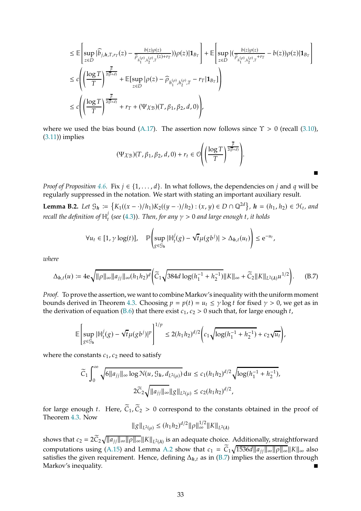$$
\leq \mathbb{E}\left[\sup_{z\in D}|\widehat{b}_{j,h,T,r_T}(z)-\frac{b(z)\rho(z)}{\widehat{\rho}_{h_1^{(\rho)},h_2^{(\rho)},T}(z)+r_T}) )\rho(z)|\mathbf{1}_{B_T}\right]+\mathbb{E}\left[\sup_{z\in D}|(\frac{b(z)\rho(z)}{\widehat{\rho}_{h_1^{(\rho)},h_2^{(\rho)},T}+r_T}-b(z))\rho(z)|\mathbf{1}_{B_T}\right]
$$
  

$$
\leq c\left(\left(\frac{\log T}{T}\right)^{\frac{\overline{\beta}}{2(\overline{\beta}+d)}}+\mathbb{E}[\sup_{z\in D}|\rho(z)-\widehat{\rho}_{h_1^{(\rho)},h_2^{(\rho)},T}-r_T|\mathbf{1}_{B_T}]\right)
$$
  

$$
\leq c\left(\left(\frac{\log T}{T}\right)^{\frac{\overline{\beta}}{2(\overline{\beta}+d)}}+r_T+(\Psi\chi_{\mathcal{B}})(T,\beta_1,\beta_2,d,0)\right),
$$

where we used the bias bound [\(A.17\)](#page-25-1). The assertion now follows since  $\Upsilon > 0$  (recall [\(3.10\)](#page-7-0), [\(3.11\)](#page-7-3)) implies

$$
(\Psi \chi_{\mathcal{B}})(T,\beta_1,\beta_2,d,0)+r_t \in \mathcal{O}\Bigg(\Bigg(\frac{\log T}{T}\Bigg)^{\frac{\beta}{2(\beta+d)}}\Bigg).
$$

п

*Proof of Proposition* [4.6.](#page-14-0) Fix  $j \in \{1, \ldots, d\}$ . In what follows, the dependencies on  $j$  and  $q$  will be regularly suppressed in the notation. We start with stating an important auxiliary result.

<span id="page-32-1"></span>**Lemma B.2.** *Let*  $\mathcal{G}_h := \{ K_1((x - \cdot)/h_1) K_2((y - \cdot)/h_2) : (x, y) \in D \cap \mathbb{Q}^{2d} \}, h = (h_1, h_2) \in \mathcal{H}_t$ , and recall the definition of  $\mathbb{H}^j_t$  $\mathcal{C}_t^{\prime}$  (see [\(4.3\)](#page-11-3)). Then, for any  $\gamma > 0$  and large enough t, it holds

$$
\forall u_t \in [1, \gamma \log(t)], \quad \mathbb{P}\left(\sup_{g \in \mathcal{G}_h} |\mathbb{H}_t^j(g) - \sqrt{t} \mu(gb^j)| > \Delta_{h,t}(u_t)\right) \leq e^{-u_t},
$$

*where*

<span id="page-32-0"></span>
$$
\Delta_{h,t}(u) := 4e\sqrt{\|\rho\|_{\infty}\|a_{jj}\|_{\infty}(h_1h_2)^d}\bigg(\widetilde{C}_1\sqrt{384d\log(h_1^{-1} + h_2^{-1})}\|K\|_{\infty} + \widetilde{C}_2\|K\|_{L^2(\lambda)}u^{1/2}\bigg). \tag{B.7}
$$

Proof. To prove the assertion, we want to combine Markov's inequality with the uniform moment bounds derived in Theorem [4.3.](#page-11-2) Choosing  $p = p(t) = u_t \le \gamma \log t$  for fixed  $\gamma > 0$ , we get as in the derivation of equation [\(B.6\)](#page-31-0) that there exist  $c_1$ ,  $c_2 > 0$  such that, for large enough t,

$$
\mathbb{E}\left[\sup_{g\in\mathcal{G}_h}|\mathbb{H}_t^j(g) - \sqrt{t}\mu(gb^j)|^p\right]^{1/p} \le 2(h_1h_2)^{d/2}\left(c_1\sqrt{\log(h_1^{-1} + h_2^{-1})} + c_2\sqrt{u_t}\right),
$$

where the constants  $c_1$ ,  $c_2$  need to satisfy

$$
\widetilde{C}_1 \int_0^\infty \sqrt{6 \|a_{jj}\|_\infty \log \mathcal{N}(u, \mathcal{G}_h, d_{L^2(\mu)})} \, \mathrm{d}u \le c_1 (h_1 h_2)^{d/2} \sqrt{\log(h_1^{-1} + h_2^{-1})},
$$
\n
$$
2 \widetilde{C}_2 \sqrt{\|a_{jj}\|_\infty} \|g\|_{L^2(\mu)} \le c_2 (h_1 h_2)^{d/2},
$$

for large enough t. Here,  $\tilde{C}_1$ ,  $\tilde{C}_2 > 0$  correspond to the constants obtained in the proof of Theorem [4.3.](#page-11-2) Now

$$
\|g\|_{L^2(\mu)} \le (h_1 h_2)^{d/2} \|\rho\|_{\infty}^{1/2} \|K\|_{L^2(\lambda)}
$$

shows that  $c_2 = 2\widetilde{C}_2\sqrt{||a_{jj}||_{\infty}||\rho||_{\infty}}||K||_{L^2(\Lambda)}$  is an adequate choice. Additionally, straightforward computations using [\(A.15\)](#page-23-0) and Lemma [A.2](#page-21-1) show that  $c_1 = \widetilde{C}_1 \sqrt{1536d ||a_{jj}||_{\infty} ||\rho||_{\infty}} ||K||_{\infty}$  also satisfies the given requirement. Hence, defining  $\Delta_{h,t}$  as in [\(B.7\)](#page-32-0) implies the assertion through Markov's inequality.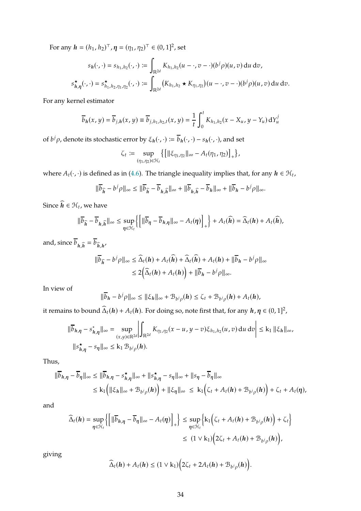For any  $h = (h_1, h_2)^{\top}, \eta = (\eta_1, \eta_2)^{\top} \in (0, 1]^2$ , set

$$
s_h(\cdot,\cdot) = s_{h_1,h_2}(\cdot,\cdot) := \int_{\mathbb{R}^{2d}} K_{h_1,h_2}(u - \cdot, v - \cdot)(b^j \rho)(u, v) du dv,
$$
  

$$
s_{h,\eta}^{\star}(\cdot,\cdot) = s_{h_1,h_2,\eta_1,\eta_2}^{\star}(\cdot,\cdot) := \int_{\mathbb{R}^{2d}} (K_{h_1,h_2} \star K_{\eta_1,\eta_2})(u - \cdot, v - \cdot)(b^j \rho)(u, v) du dv.
$$

For any kernel estimator

$$
\overline{b}_h(x,y) = \overline{b}_{j,h}(x,y) \equiv \overline{b}_{j,h_1,h_2,t}(x,y) = \frac{1}{t} \int_0^t K_{h_1,h_2}(x - X_u, y - Y_u) dY_u^j
$$

of  $b^j \rho$ , denote its stochastic error by  $\xi_h(\cdot, \cdot) \coloneqq \overline{b}_h(\cdot, \cdot) - s_h(\cdot, \cdot)$ , and set

$$
\zeta_t \coloneqq \sup_{(\eta_1,\eta_2)\in\mathcal{H}_t}\big\{\big[\|\xi_{\eta_1,\eta_2}\|_\infty - A_t(\eta_1,\eta_2)\big]_+\big\},
$$

where  $A_t(\cdot, \cdot)$  is defined as in [\(4.6\)](#page-13-1). The triangle inequality implies that, for any  $h \in \mathcal{H}_t$ ,

$$
\|\overline{b}_{\widehat{h}} - b^j \rho\|_{\infty} \le \|\overline{b}_{\widehat{h}} - \overline{b}_{h,\widehat{h}}\|_{\infty} + \|\overline{b}_{h,\widehat{h}} - \overline{b}_{h}\|_{\infty} + \|\overline{b}_{h} - b^j \rho\|_{\infty}.
$$

Since  $\widehat{h} \in \mathcal{H}_t$ , we have

$$
\|\overline{b}_{\widehat{h}} - \overline{b}_{h,\widehat{h}}\|_{\infty} \leq \sup_{\eta \in \mathcal{H}_{t}} \left\{ \left[ \|\overline{b}_{\eta} - \overline{b}_{h,\eta}\|_{\infty} - A_{t}(\eta) \right]_{+} \right\} + A_{t}(\widehat{h}) = \widehat{\Delta}_{t}(h) + A_{t}(\widehat{h}),
$$

and, since  $\overline{b}_{h,\widehat{h}} = \overline{b}_{\widehat{h},h'}$ 

$$
\begin{aligned} \|\overline{b}_{\widehat{h}} - b^j \rho\|_{\infty} &\leq \widehat{\Delta}_t(h) + A_t(\widehat{h}) + \widehat{\Delta}_t(\widehat{h}) + A_t(h) + \|\overline{b}_h - b^j \rho\|_{\infty} \\ &\leq 2\Big(\widehat{\Delta}_t(h) + A_t(h)\Big) + \|\overline{b}_h - b^j \rho\|_{\infty}.\end{aligned}
$$

In view of

$$
\|\overline{b}_h-b^j\rho\|_{\infty}\leq \|\xi_h\|_{\infty}+\mathcal{B}_{b^j\rho}(h)\leq \zeta_t+\mathcal{B}_{b^j\rho}(h)+A_t(h),
$$

it remains to bound  $\widehat{\Delta}_t(h) + A_t(h)$ . For doing so, note first that, for any  $h, \eta \in (0, 1]^2$ ,

$$
\|\overline{b}_{h,\eta} - s_{h,\eta}^* \|_{\infty} = \sup_{(x,y)\in \mathbb{R}^{2d}} \left| \int_{\mathbb{R}^{2d}} K_{\eta_1, \eta_2}(x - u, y - v) \xi_{h_1, h_2}(u, v) du dv \right| \le k_1 \| \xi_h \|_{\infty},
$$
  

$$
\|s_{h,\eta}^{\star} - s_{\eta} \|_{\infty} \le k_1 \mathcal{B}_{b^j \rho}(h).
$$

Thus,

$$
\|\overline{b}_{h,\eta} - \overline{b}_{\eta}\|_{\infty} \le \|\overline{b}_{h,\eta} - s_{h,\eta}^{\star}\|_{\infty} + \|s_{h,\eta}^{\star} - s_{\eta}\|_{\infty} + \|s_{\eta} - \overline{b}_{\eta}\|_{\infty}
$$
  

$$
\le k_1 \left( \|\xi_h\|_{\infty} + \mathcal{B}_{b/\rho}(h) \right) + \|\xi_{\eta}\|_{\infty} \le k_1 \left( \zeta_t + A_t(h) + \mathcal{B}_{b/\rho}(h) \right) + \zeta_t + A_t(\eta),
$$

and

$$
\widehat{\Delta}_{t}(h) = \sup_{\eta \in \mathcal{H}_{t}} \left\{ \left[ \|\overline{b}_{h,\eta} - \overline{b}_{\eta}\|_{\infty} - A_{t}(\eta) \right]_{+} \right\} \leq \sup_{\eta \in \mathcal{H}_{t}} \left\{ k_{1} \left( \zeta_{t} + A_{t}(h) + \mathcal{B}_{b/\rho}(h) \right) + \zeta_{t} \right\}
$$
\n
$$
\leq (1 \vee k_{1}) \left( 2\zeta_{t} + A_{t}(h) + \mathcal{B}_{b/\rho}(h) \right),
$$

giving

$$
\widehat{\Delta}_t(\boldsymbol{h})+A_t(\boldsymbol{h})\leq (1\vee k_1)\Big(2\zeta_t+2A_t(\boldsymbol{h})+\mathcal{B}_{b^j\rho}(\boldsymbol{h})\Big).
$$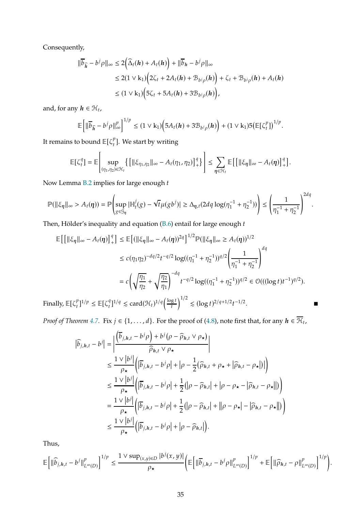Consequently,

$$
\|\overline{b}_{\widehat{h}} - b^j \rho\|_{\infty} \le 2(\widehat{\Delta}_t(h) + A_t(h)) + \|\overline{b}_h - b^j \rho\|_{\infty}
$$
  
\n
$$
\le 2(1 \vee k_1) (2\zeta_t + 2A_t(h) + \mathcal{B}_{b^j \rho}(h)) + \zeta_t + \mathcal{B}_{b^j \rho}(h) + A_t(h)
$$
  
\n
$$
\le (1 \vee k_1) (5\zeta_t + 5A_t(h) + 3\mathcal{B}_{b^j \rho}(h)),
$$

and, for any  $h \in \mathcal{H}_t$ ,

$$
\mathbb{E}\Big[\|\overline{b}_{\widehat{h}}-b^j\rho\|_{\infty}^p\Big]^{1/p}\leq (1\vee k_1)\Big(5A_t(h)+3\mathcal{B}_{b^j\rho}(h)\Big)+(1\vee k_1)5\big(\mathbb{E}[\zeta_t^p]\big)^{1/p}.
$$

It remains to bound  $\mathbb{E}[\zeta_t^p]$  $_{t}^{\prime}$ ]. We start by writing

$$
\mathbb{E}\big[\zeta_t^q\big]=\mathbb{E}\Bigg[\sup_{(\eta_1,\eta_2)\in\mathcal{H}_t}\Big\{\big[\|\xi_{\eta_1,\eta_2}\|_\infty-A_t(\eta_1,\eta_2)\big]_+^q\big\}\Bigg]\leq \sum_{\pmb{\eta}\in\mathcal{H}_t}\mathbb{E}\big[\big[\|\xi_{\pmb{\eta}}\|_\infty-A_t(\pmb{\eta})\big]_+^q\big].
$$

Now Lemma [B.2](#page-32-1) implies for large enough  $t$ 

$$
\mathbb{P}(\|\xi_{\eta}\|_{\infty} > A_t(\eta)) = \mathbb{P}\left(\sup_{g \in \mathcal{G}_{\eta}} |\mathbb{H}_t^j(g) - \sqrt{t}\mu(gb^j)| \geq \Delta_{\eta,t}(2dq\log(\eta_1^{-1} + \eta_2^{-1}))\right) \leq \left(\frac{1}{\eta_1^{-1} + \eta_2^{-1}}\right)^{2dq}.
$$

Then, Hölder's inequality and equation ( $B.6$ ) entail for large enough  $t$ 

$$
\mathbb{E}\left[\left[\|\xi_{\eta}\|_{\infty} - A_{t}(\eta)\right]_{+}^{q}\right] \leq \mathbb{E}\left[\left(\|\xi_{\eta}\|_{\infty} - A_{t}(\eta)\right)^{2q}\right]^{1/2} \mathbb{P}(\|\xi_{\eta}\|_{\infty} \geq A_{t}(\eta))^{1/2}
$$
\n
$$
\leq c(\eta_{1}\eta_{2})^{-dq/2}t^{-q/2}\log((\eta_{1}^{-1} + \eta_{2}^{-1}))^{q/2}\left(\frac{1}{\eta_{1}^{-1} + \eta_{2}^{-1}}\right)^{dq}
$$
\n
$$
= c\left(\sqrt{\frac{\eta_{1}}{\eta_{2}}} + \sqrt{\frac{\eta_{2}}{\eta_{1}}}\right)^{-dq}t^{-q/2}\log((\eta_{1}^{-1} + \eta_{2}^{-1}))^{q/2} \in \mathcal{O}((\log t)t^{-1})^{q/2}).
$$
\nally,  $\mathbb{E}[\zeta_{t}^{p}]^{1/p} \leq \mathbb{E}[\zeta_{t}^{q}]^{1/q} \leq \text{card}(\mathcal{H}_{t})^{1/q}\left(\frac{\log t}{t}\right)^{1/2} \leq (\log t)^{2/q+1/2}t^{-1/2}.$ 

Finally,  $\mathbb{E}[\zeta_t^p]$  $_{t}^{p}$ ]<sup>1/p</sup>  $\leq \mathbb{E}[\zeta_{t}^{q}]$ t

*Proof of Theorem [4.7.](#page-14-2)* Fix  $j \in \{1, ..., d\}$ . For the proof of [\(4.8\)](#page-14-3), note first that, for any  $h \in \overline{\mathcal{H}}_t$ ,

$$
\begin{split}\n|\widehat{b}_{j,h,t} - b^j| &= \left| \frac{(\overline{b}_{j,h,t} - b^j \rho) + b^j (\rho - \widehat{\rho}_{h,t} \vee \rho_\star)}{\widehat{\rho}_{h,t} \vee \rho_\star} \right| \\
&\leq \frac{1 \vee |b^j|}{\rho_\star} \left( |\overline{b}_{j,h,t} - b^j \rho| + |\rho - \frac{1}{2} (\widehat{\rho}_{h,t} + \rho_\star + |\widehat{\rho}_{h,t} - \rho_\star|) | \right) \\
&\leq \frac{1 \vee |b^j|}{\rho_\star} \left( |\overline{b}_{j,h,t} - b^j \rho| + \frac{1}{2} (|\rho - \widehat{\rho}_{h,t}| + |\rho - \rho_\star - |\widehat{\rho}_{h,t} - \rho_\star| |) \right) \\
&= \frac{1 \vee |b^j|}{\rho_\star} \left( |\overline{b}_{j,h,t} - b^j \rho| + \frac{1}{2} (|\rho - \widehat{\rho}_{h,t}| + ||\rho - \rho_\star| - |\widehat{\rho}_{h,t} - \rho_\star| |) \right) \\
&\leq \frac{1 \vee |b^j|}{\rho_\star} \left( |\overline{b}_{j,h,t} - b^j \rho| + |\rho - \widehat{\rho}_{h,t}| \right).\n\end{split}
$$

Thus,

$$
\mathbb{E}\bigg[\|\widehat{b}_{j,h,t}-b^j\|^p_{L^{\infty}(D)}\bigg]^{1/p} \leq \frac{1 \vee \sup_{(x,y)\in D} |b^j(x,y)|}{\rho_\star}\bigg(\mathbb{E}\bigg[\|\overline{b}_{j,h,t}-b^j\rho\|^p_{L^{\infty}(D)}\bigg]^{1/p} + \mathbb{E}\bigg[\|\widehat{\rho}_{h,t}-\rho\|^p_{L^{\infty}(D)}\bigg]^{1/p}\bigg).
$$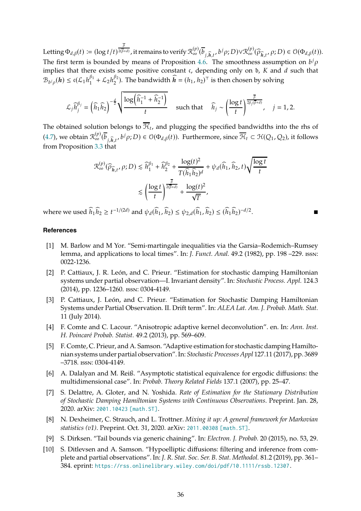Letting  $\Phi_{d,\beta}(t)\coloneqq (\log t/t)^{\frac{\beta}{2(\overline{\beta}-1)}}$  $\frac{2(\overline{F}+d)}{2(\overline{\beta}+d)}$ , it remains to verify  $\mathcal{R}^{(p)}_\infty(\overline{b}_{j,\widehat{h},t},b^j\rho;D)\vee\mathcal{R}^{(p)}_\infty(\widehat{\rho}_{\widehat{h},t},\rho;D)\in\mathcal{O}(\Phi_{d,\beta}(t)).$ The first term is bounded by means of Proposition [4.6.](#page-14-0) The smoothness assumption on  $b^j \rho$ implies that there exists some positive constant  $\mathfrak c$ , depending only on  $\mathfrak b$ ,  $K$  and  $d$  such that  $\mathcal{B}_{b^j \rho}(\boldsymbol{h}) \leq \mathfrak{c}(\mathcal{L}_1 h_1^{\beta_1})$  $\int_{1}^{\beta_1} + \mathcal{L}_2 h_2^{\beta_2}$  $\binom{\beta_2}{2}$ . The bandwidth  $\widehat{\boldsymbol{h}} = (h_1, h_2)^\top$  is then chosen by solving

$$
\mathcal{L}_j \widehat{h}_j^{\beta_j} = \left(\widehat{h}_1 \widehat{h}_2\right)^{-\frac{d}{2}} \sqrt{\frac{\log \left(\widehat{h}_1^{-1} + \widehat{h}_2^{-1}\right)}{t}} \quad \text{such that} \quad \widehat{h}_j \sim \left(\frac{\log t}{t}\right)^{\frac{\overline{\beta}}{2\beta_j(\overline{\beta}+d)}}, \quad j = 1, 2.
$$

The obtained solution belongs to  $\mathcal{H}_t$ , and plugging the specified bandwidths into the rhs of [\(4.7\)](#page-14-4), we obtain  $\mathcal{R}_{\infty}^{(p)}(\overline{b}_{j,\widehat{h},t},b^j\rho;D)\in\mathcal{O}(\Phi_{d,\beta}(t))$ . Furthermore, since  $\overline{\mathcal{H}}_t\subset\mathcal{H}(Q_1,Q_2)$ , it follows from Proposition [3.3](#page-6-2) that

$$
\begin{aligned} \mathcal{R}^{(p)}_\infty (\widehat{\rho}_{\widehat{h},t},\rho; D) &\lesssim \widehat{h}_1^{\beta_1} + \widehat{h}_2^{\beta_2} + \frac{\log(t)^2}{T(\widehat{h}_1\widehat{h}_2)^d} + \psi_d(\widehat{h}_1,\widehat{h}_2,t) \sqrt{\frac{\log t}{t}} \\&\lesssim \left(\frac{\log t}{t}\right)^{\frac{\overline{\beta}}{2(\overline{\beta}+d)}} + \frac{\log(t)^2}{\sqrt{T}}, \end{aligned}
$$

where we used  $h_1 h_2 \ge t^{-1/(2d)}$  and  $\psi_d(h_1, h_2) \le \psi_{2,d}(h_1, h_2) \le (h_1 h_2)^{-d/2}$ .

# <span id="page-35-9"></span>**References**

- [1] M. Barlow and M Yor. "Semi-martingale inequalities via the Garsia–Rodemich–Rumsey lemma, and applications to local times". In: *J. Funct. Anal.* 49.2 (1982), pp. 198 –229. issn: 0022-1236.
- <span id="page-35-1"></span>[2] P. Cattiaux, J. R. León, and C. Prieur. "Estimation for stochastic damping Hamiltonian systems under partial observation—I. Invariant density". In: *Stochastic Process. Appl.* 124.3 (2014), pp. 1236–1260. issn: 0304-4149.
- <span id="page-35-6"></span>[3] P. Cattiaux, J. León, and C. Prieur. "Estimation for Stochastic Damping Hamiltonian Systems under Partial Observation. II. Drift term". In: *ALEA Lat. Am. J. Probab. Math. Stat.* 11 (July 2014).
- <span id="page-35-8"></span>[4] F. Comte and C. Lacour. "Anisotropic adaptive kernel deconvolution". en. In: *Ann. Inst. H. Poincaré Probab. Statist.* 49.2 (2013), pp. 569–609.
- <span id="page-35-2"></span>[5] F. Comte, C. Prieur, and A. Samson. "Adaptive estimation for stochastic damping Hamiltonian systems under partial observation". In: *Stochastic Processes Appl* 127.11 (2017), pp. 3689 –3718. issn: 0304-4149.
- <span id="page-35-4"></span>[6] A. Dalalyan and M. Reiß. "Asymptotic statistical equivalence for ergodic diffusions: the multidimensional case". In: *Probab. Theory Related Fields* 137.1 (2007), pp. 25–47.
- <span id="page-35-3"></span>[7] S. Delattre, A. Gloter, and N. Yoshida. *Rate of Estimation for the Stationary Distribution of Stochastic Damping Hamiltonian Systems with Continuous Observations*. Preprint. Jan. 28, 2020. arXiv: [2001.10423 \[math.ST\]](https://arxiv.org/abs/2001.10423).
- <span id="page-35-5"></span>[8] N. Dexheimer, C. Strauch, and L. Trottner. *Mixing it up: A general framework for Markovian statistics (v1)*. Preprint. Oct. 31, 2020. arXiv: [2011.00308 \[math.ST\]](https://arxiv.org/abs/2011.00308).
- <span id="page-35-7"></span><span id="page-35-0"></span>[9] S. Dirksen. "Tail bounds via generic chaining". In: *Electron. J. Probab.* 20 (2015), no. 53, 29.
- [10] S. Ditlevsen and A. Samson. "Hypoelliptic diffusions: filtering and inference from complete and partial observations". In: *J. R. Stat. Soc. Ser. B. Stat. Methodol.* 81.2 (2019), pp. 361– 384. eprint: <https://rss.onlinelibrary.wiley.com/doi/pdf/10.1111/rssb.12307>.